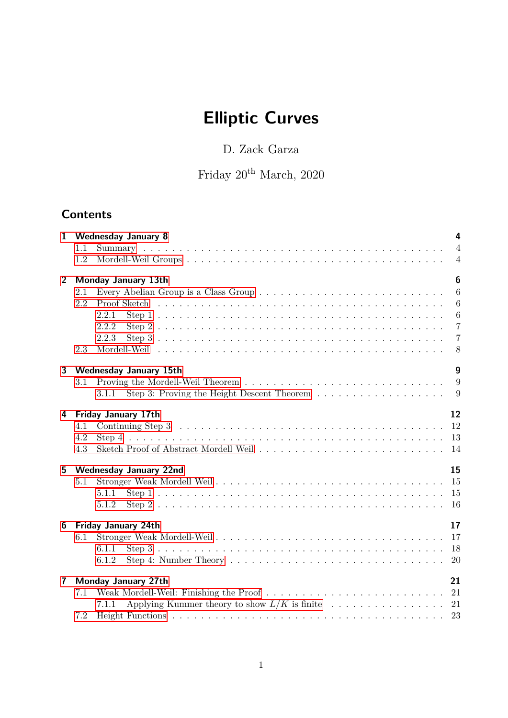# **Elliptic Curves**

D. Zack Garza

Friday $20^{\rm th}$ March, 2020

# **Contents**

| $\mathbf{1}$   |                           | 4<br><b>Wednesday January 8</b>                   |  |  |  |  |
|----------------|---------------------------|---------------------------------------------------|--|--|--|--|
|                | 1.1<br>1.2                | $\overline{4}$<br>$\overline{4}$                  |  |  |  |  |
| $\overline{2}$ |                           | $\boldsymbol{6}$<br>Monday January 13th           |  |  |  |  |
|                | 2.1                       | $\overline{6}$                                    |  |  |  |  |
|                | 2.2                       | $\overline{6}$<br>Proof Sketch                    |  |  |  |  |
|                |                           | $\overline{6}$<br>2.2.1                           |  |  |  |  |
|                |                           | $\overline{7}$<br>2.2.2                           |  |  |  |  |
|                | 2.3                       | $\overline{7}$<br>2.2.3<br>8                      |  |  |  |  |
|                |                           |                                                   |  |  |  |  |
| 3              |                           | $\boldsymbol{g}$<br><b>Wednesday January 15th</b> |  |  |  |  |
|                | 3.1                       | 9                                                 |  |  |  |  |
|                |                           | 3.1.1                                             |  |  |  |  |
| 4              |                           | 12<br><b>Friday January 17th</b>                  |  |  |  |  |
|                | 4.1                       | <sup>12</sup>                                     |  |  |  |  |
|                | 4.2                       |                                                   |  |  |  |  |
|                | 4.3                       | -14                                               |  |  |  |  |
| 5 <sup>5</sup> |                           | 15<br><b>Wednesday January 22nd</b>               |  |  |  |  |
|                | 5.1                       |                                                   |  |  |  |  |
|                |                           | 5.1.1                                             |  |  |  |  |
|                |                           | <sup>16</sup><br>5.1.2                            |  |  |  |  |
| 6              |                           | 17<br><b>Friday January 24th</b>                  |  |  |  |  |
|                | 6.1                       | 17                                                |  |  |  |  |
|                |                           | <sup>18</sup><br>6.1.1                            |  |  |  |  |
|                |                           | 20<br>6.1.2                                       |  |  |  |  |
| $\mathbf{7}$   | 21<br>Monday January 27th |                                                   |  |  |  |  |
|                | 7.1                       |                                                   |  |  |  |  |
|                |                           | 7.1.1                                             |  |  |  |  |
|                | 7.2                       | - 23                                              |  |  |  |  |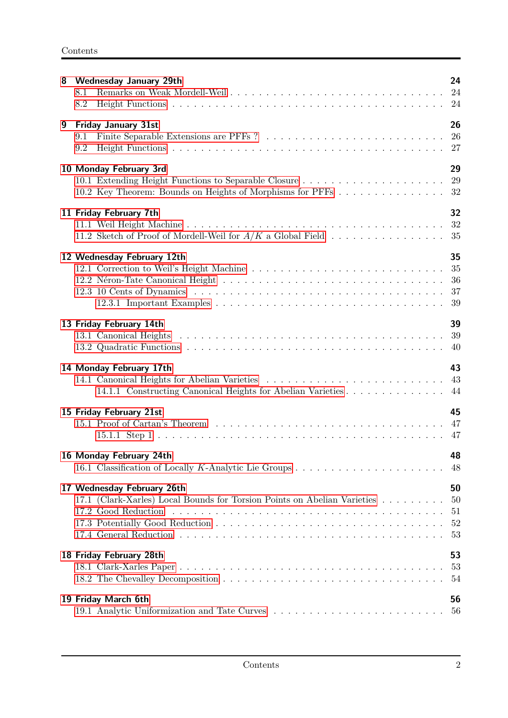| 8 | <b>Wednesday January 29th</b><br>8.1<br>8.2                                                                                            | 24                         |
|---|----------------------------------------------------------------------------------------------------------------------------------------|----------------------------|
| 9 | <b>Friday January 31st</b><br>9.1<br>9.2                                                                                               | 26<br>26<br>27             |
|   | 10 Monday February 3rd<br>10.2 Key Theorem: Bounds on Heights of Morphisms for PFFs 32                                                 | 29<br>29                   |
|   | 11 Friday February 7th<br>11.2 Sketch of Proof of Mordell-Weil for $A/K$ a Global Field                                                | 32<br>32<br>35             |
|   | 12 Wednesday February 12th                                                                                                             | 35<br>35<br>36<br>37<br>39 |
|   | 13 Friday February 14th                                                                                                                | 39<br>39<br>40             |
|   | 14 Monday February 17th<br>14.1 Canonical Heights for Abelian Varieties<br>14.1.1 Constructing Canonical Heights for Abelian Varieties | 43<br>43<br>44             |
|   | 15 Friday February 21st                                                                                                                | 45                         |
|   | 16 Monday February 24th                                                                                                                | 48<br>48                   |
|   | 17 Wednesday February 26th<br>17.1 (Clark-Xarles) Local Bounds for Torsion Points on Abelian Varieties<br>17.2 Good Reduction          | 50<br>50<br>51<br>52<br>53 |
|   | 18 Friday February 28th                                                                                                                | 53<br>53<br>54             |
|   | 19 Friday March 6th<br>19.1 Analytic Uniformization and Tate Curves                                                                    | 56<br>56                   |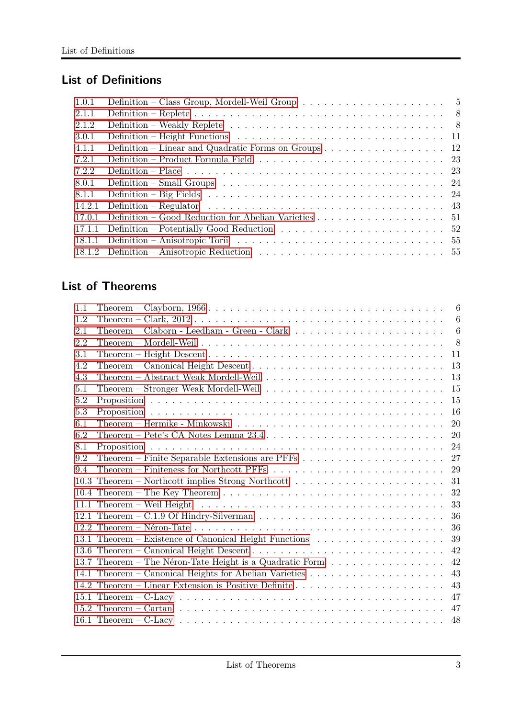# **List of Definitions**

| 1.0.1  | Definition – Class Group, Mordell-Weil Group $\ldots \ldots \ldots \ldots \ldots \ldots \ldots \ldots$             |  |
|--------|--------------------------------------------------------------------------------------------------------------------|--|
| 2.1.1  |                                                                                                                    |  |
| 2.1.2  |                                                                                                                    |  |
| 3.0.1  |                                                                                                                    |  |
| 4.1.1  | Definition – Linear and Quadratic Forms on Groups $\dots \dots \dots \dots \dots \dots \dots \dots$                |  |
| 7.2.1  |                                                                                                                    |  |
| 7.2.2  | Definition – Place $\ldots \ldots \ldots \ldots \ldots \ldots \ldots \ldots \ldots \ldots \ldots \ldots \ldots 23$ |  |
| 8.0.1  |                                                                                                                    |  |
| 8.1.1  |                                                                                                                    |  |
| 14.2.1 | Definition – Regulator $\dots \dots \dots \dots \dots \dots \dots \dots \dots \dots \dots \dots \dots \dots$       |  |
| 17.0.1 | Definition – Good Reduction for Abelian Varieties 51                                                               |  |
| 17.1.1 |                                                                                                                    |  |
| 18.1.1 |                                                                                                                    |  |
|        |                                                                                                                    |  |
|        |                                                                                                                    |  |

# **List of Theorems**

| 1.1 |                                                                                                                     | 6   |
|-----|---------------------------------------------------------------------------------------------------------------------|-----|
| 1.2 |                                                                                                                     | 6   |
| 2.1 | Theorem – Claborn - Leedham - Green - Clark $\ldots \ldots \ldots \ldots \ldots \ldots \ldots$                      | 6   |
| 2.2 | Theorem – Mordell-Weil $\ldots \ldots \ldots \ldots \ldots \ldots \ldots \ldots \ldots \ldots \ldots \ldots \ldots$ | - 8 |
| 3.1 |                                                                                                                     | 11  |
| 4.2 |                                                                                                                     | 13  |
| 4.3 |                                                                                                                     | 13  |
| 5.1 |                                                                                                                     | 15  |
| 5.2 |                                                                                                                     | 15  |
| 5.3 |                                                                                                                     | 16  |
| 6.1 |                                                                                                                     | 20  |
| 6.2 | Theorem – Pete's CA Notes Lemma $23.4 \ldots \ldots \ldots \ldots \ldots \ldots \ldots \ldots \ldots$               | 20  |
| 8.1 |                                                                                                                     | 24  |
| 9.2 |                                                                                                                     | 27  |
| 9.4 | Theorem – Finiteness for Northcott PFFs $\ldots \ldots \ldots \ldots \ldots \ldots \ldots \ldots$                   | 29  |
|     |                                                                                                                     | 31  |
|     |                                                                                                                     | 32  |
|     |                                                                                                                     | 33  |
|     |                                                                                                                     | 36  |
|     |                                                                                                                     | 36  |
|     |                                                                                                                     | 39  |
|     |                                                                                                                     | 42  |
|     | 13.7 Theorem – The Néron-Tate Height is a Quadratic Form                                                            | 42  |
|     |                                                                                                                     | 43  |
|     |                                                                                                                     | 43  |
|     |                                                                                                                     | 47  |
|     |                                                                                                                     | 47  |
|     |                                                                                                                     | 48  |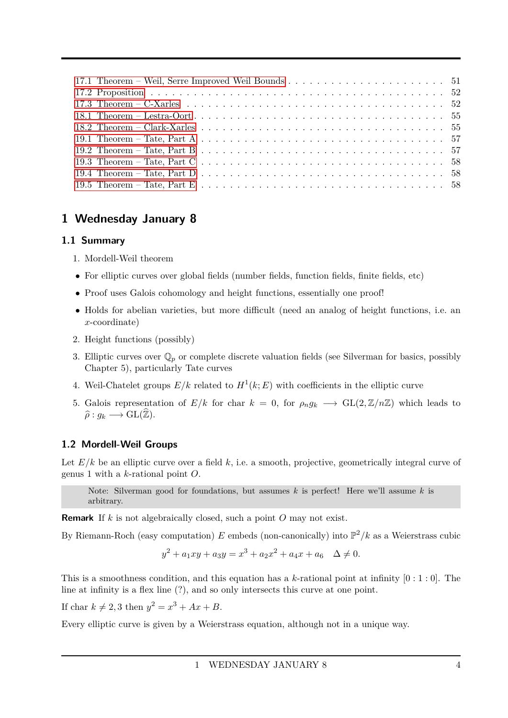# <span id="page-3-0"></span>**1 Wednesday January 8**

### <span id="page-3-1"></span>**1.1 Summary**

- 1. Mordell-Weil theorem
- For elliptic curves over global fields (number fields, function fields, finite fields, etc)
- Proof uses Galois cohomology and height functions, essentially one proof!
- Holds for abelian varieties, but more difficult (need an analog of height functions, i.e. an *x*-coordinate)
- 2. Height functions (possibly)
- 3. Elliptic curves over  $\mathbb{Q}_p$  or complete discrete valuation fields (see Silverman for basics, possibly Chapter 5), particularly Tate curves
- 4. Weil-Chatelet groups  $E/k$  related to  $H^1(k; E)$  with coefficients in the elliptic curve
- 5. Galois representation of  $E/k$  for char  $k = 0$ , for  $\rho_n g_k \longrightarrow GL(2, \mathbb{Z}/n\mathbb{Z})$  which leads to  $\widehat{\rho}: g_k \longrightarrow GL(\widehat{\mathbb{Z}}).$

### <span id="page-3-2"></span>**1.2 Mordell-Weil Groups**

Let  $E/k$  be an elliptic curve over a field  $k$ , i.e. a smooth, projective, geometrically integral curve of genus 1 with a *k*-rational point *O*.

Note: Silverman good for foundations, but assumes *k* is perfect! Here we'll assume *k* is arbitrary.

**Remark** If *k* is not algebraically closed, such a point *O* may not exist.

By Riemann-Roch (easy computation)  $E$  embeds (non-canonically) into  $\mathbb{P}^2/k$  as a Weierstrass cubic

$$
y^{2} + a_{1}xy + a_{3}y = x^{3} + a_{2}x^{2} + a_{4}x + a_{6} \quad \Delta \neq 0.
$$

This is a smoothness condition, and this equation has a  $k$ -rational point at infinity  $[0:1:0]$ . The line at infinity is a flex line (?), and so only intersects this curve at one point.

If char  $k \neq 2, 3$  then  $y^2 = x^3 + Ax + B$ .

Every elliptic curve is given by a Weierstrass equation, although not in a unique way.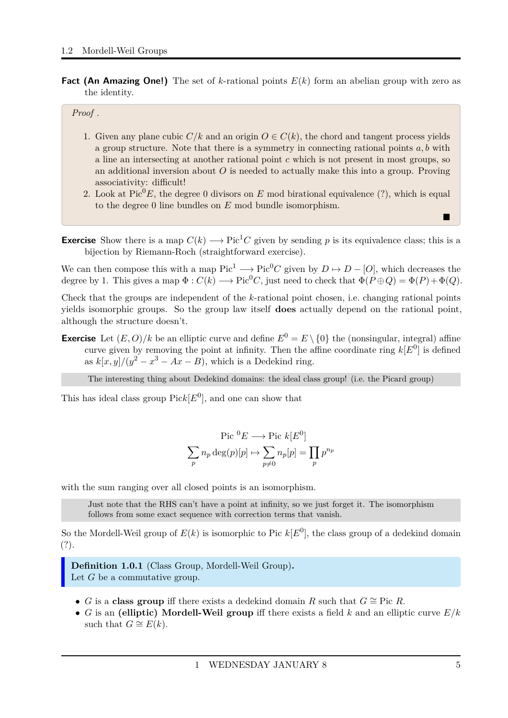**Fact (An Amazing One!)** The set of *k*-rational points *E*(*k*) form an abelian group with zero as the identity.

#### *Proof .*

- 1. Given any plane cubic  $C/k$  and an origin  $O \in C(k)$ , the chord and tangent process yields a group structure. Note that there is a symmetry in connecting rational points *a, b* with a line an intersecting at another rational point *c* which is not present in most groups, so an additional inversion about *O* is needed to actually make this into a group. Proving associativity: difficult!
- 2. Look at  $Pic^{0}E$ , the degree 0 divisors on *E* mod birational equivalence (?), which is equal to the degree 0 line bundles on *E* mod bundle isomorphism.
- **Exercise** Show there is a map  $C(k) \longrightarrow Pic^1C$  given by sending p is its equivalence class; this is a bijection by Riemann-Roch (straightforward exercise).

We can then compose this with a map  $Pic^1 \longrightarrow Pic^0C$  given by  $D \mapsto D - [O]$ , which decreases the degree by 1. This gives a map  $\Phi: C(k) \longrightarrow Pic^{0}C$ , just need to check that  $\Phi(P \oplus Q) = \Phi(P) + \Phi(Q)$ .

Check that the groups are independent of the *k*-rational point chosen, i.e. changing rational points yields isomorphic groups. So the group law itself **does** actually depend on the rational point, although the structure doesn't.

**Exercise** Let  $(E, O)/k$  be an elliptic curve and define  $E^0 = E \setminus \{0\}$  the (nonsingular, integral) affine curve given by removing the point at infinity. Then the affine coordinate ring  $k[E^0]$  is defined as  $k[x, y]/(y^2 - x^3 - Ax - B)$ , which is a Dedekind ring.

The interesting thing about Dedekind domains: the ideal class group! (i.e. the Picard group)

This has ideal class group  $Pick[E^0]$ , and one can show that

$$
\operatorname{Pic}^{0}E \longrightarrow \operatorname{Pic} k[E^{0}]
$$

$$
\sum_{p} n_{p} \operatorname{deg}(p)[p] \mapsto \sum_{p \neq 0} n_{p}[p] = \prod_{p} p^{n_{p}}
$$

with the sum ranging over all closed points is an isomorphism.

Just note that the RHS can't have a point at infinity, so we just forget it. The isomorphism follows from some exact sequence with correction terms that vanish.

So the Mordell-Weil group of  $E(k)$  is isomorphic to Pic  $k[E^0]$ , the class group of a dedekind domain (?).

<span id="page-4-0"></span>**Definition 1.0.1** (Class Group, Mordell-Weil Group)**.** Let *G* be a commutative group.

- *G* is a **class group** iff there exists a dedekind domain *R* such that  $G \cong$  Pic *R*.
- *G* is an **(elliptic) Mordell-Weil group** iff there exists a field *k* and an elliptic curve *E/k* such that  $G \cong E(k)$ .

 $\blacksquare$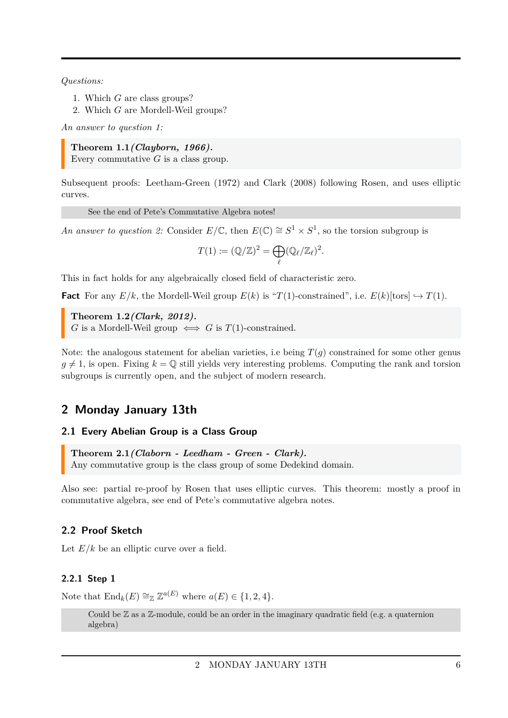*Questions:*

- 1. Which *G* are class groups?
- 2. Which *G* are Mordell-Weil groups?

*An answer to question 1:*

<span id="page-5-4"></span>**Theorem 1.1***(Clayborn, 1966).* Every commutative *G* is a class group.

Subsequent proofs: Leetham-Green (1972) and Clark (2008) following Rosen, and uses elliptic curves.

See the end of Pete's Commutative Algebra notes!

*An answer to question 2:* Consider  $E/\mathbb{C}$ , then  $E(\mathbb{C}) \cong S^1 \times S^1$ , so the torsion subgroup is

$$
T(1) := (\mathbb{Q}/\mathbb{Z})^2 = \bigoplus_{\ell} (\mathbb{Q}_{\ell}/\mathbb{Z}_{\ell})^2.
$$

This in fact holds for any algebraically closed field of characteristic zero.

**Fact** For any  $E/k$ , the Mordell-Weil group  $E(k)$  is "*T*(1)-constrained", i.e.  $E(k)$ [tors]  $\hookrightarrow$  *T*(1).

<span id="page-5-5"></span>**Theorem 1.2***(Clark, 2012). G* is a Mordell-Weil group  $\iff$  *G* is *T*(1)-constrained.

Note: the analogous statement for abelian varieties, i.e being  $T(q)$  constrained for some other genus  $g \neq 1$ , is open. Fixing  $k = \mathbb{Q}$  still yields very interesting problems. Computing the rank and torsion subgroups is currently open, and the subject of modern research.

# <span id="page-5-0"></span>**2 Monday January 13th**

### <span id="page-5-1"></span>**2.1 Every Abelian Group is a Class Group**

<span id="page-5-6"></span>**Theorem 2.1***(Claborn - Leedham - Green - Clark).* Any commutative group is the class group of some Dedekind domain.

Also see: partial re-proof by Rosen that uses elliptic curves. This theorem: mostly a proof in commutative algebra, see end of Pete's commutative algebra notes.

### <span id="page-5-2"></span>**2.2 Proof Sketch**

Let  $E/k$  be an elliptic curve over a field.

### <span id="page-5-3"></span>**2.2.1 Step 1**

Note that  $\text{End}_k(E) \cong_{\mathbb{Z}} \mathbb{Z}^{a(E)}$  where  $a(E) \in \{1, 2, 4\}.$ 

Could be  $\mathbb Z$  as a  $\mathbb Z$ -module, could be an order in the imaginary quadratic field (e.g. a quaternion algebra)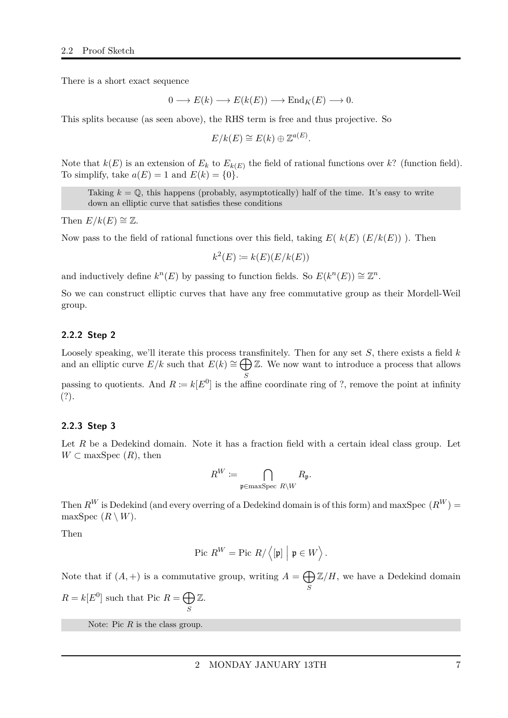There is a short exact sequence

$$
0 \longrightarrow E(k) \longrightarrow E(k(E)) \longrightarrow \text{End}_{K}(E) \longrightarrow 0.
$$

This splits because (as seen above), the RHS term is free and thus projective. So

$$
E/k(E) \cong E(k) \oplus \mathbb{Z}^{a(E)}.
$$

Note that  $k(E)$  is an extension of  $E_k$  to  $E_{k(E)}$  the field of rational functions over  $k$ ? (function field). To simplify, take  $a(E) = 1$  and  $E(k) = \{0\}.$ 

Taking  $k = \mathbb{Q}$ , this happens (probably, asymptotically) half of the time. It's easy to write down an elliptic curve that satisfies these conditions

Then  $E/k(E) \cong \mathbb{Z}$ .

Now pass to the field of rational functions over this field, taking *E*( *k*(*E*) (*E/k*(*E*)) ). Then

$$
k^2(E) \coloneqq k(E)(E/k(E))
$$

and inductively define  $k^n(E)$  by passing to function fields. So  $E(k^n(E)) \cong \mathbb{Z}^n$ .

So we can construct elliptic curves that have any free commutative group as their Mordell-Weil group.

#### <span id="page-6-0"></span>**2.2.2 Step 2**

Loosely speaking, we'll iterate this process transfinitely. Then for any set *S*, there exists a field *k* and an elliptic curve  $E/k$  such that  $E(k) \cong \bigoplus \mathbb{Z}$ . We now want to introduce a process that allows *S* passing to quotients. And  $R \coloneqq k[E^0]$  is the affine coordinate ring of ?, remove the point at infinity

(?).

#### <span id="page-6-1"></span>**2.2.3 Step 3**

Let *R* be a Dedekind domain. Note it has a fraction field with a certain ideal class group. Let  $W \subset \text{maxSpec } (R)$ , then

$$
R^W\coloneqq \bigcap_{\mathfrak{p}\in\max \operatorname{Spec}\, R\setminus W}R_{\mathfrak{p}}.
$$

Then  $R^W$  is Dedekind (and every overring of a Dedekind domain is of this form) and maxSpec  $(R^W)$  = maxSpec  $(R \setminus W)$ .

Then

$$
\text{Pic } R^W = \text{Pic } R / \left\langle [\mathfrak{p}] \middle| \mathfrak{p} \in W \right\rangle.
$$

Note that if  $(A,+)$  is a commutative group, writing  $A = \bigoplus \mathbb{Z}/H$ , we have a Dedekind domain *S*

 $R = k[E^0]$  such that Pic  $R = \bigoplus$ *S* Z.

Note: Pic R is the class group.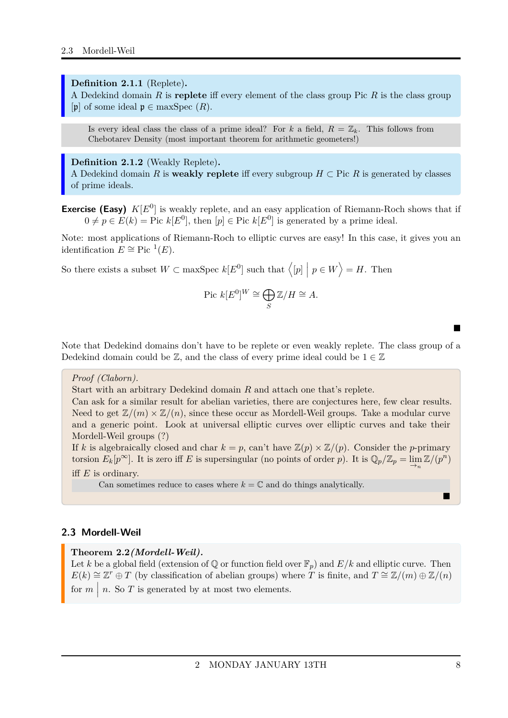#### <span id="page-7-1"></span>**Definition 2.1.1** (Replete)**.**

A Dedekind domain *R* is **replete** iff every element of the class group Pic *R* is the class group [p] of some ideal  $\mathfrak{p} \in \text{maxSpec } (R)$ .

Is every ideal class the class of a prime ideal? For *k* a field,  $R = \mathbb{Z}_k$ . This follows from Chebotarev Density (most important theorem for arithmetic geometers!)

#### <span id="page-7-2"></span>**Definition 2.1.2** (Weakly Replete)**.**

A Dedekind domain *R* is **weakly replete** iff every subgroup  $H \subset \text{Pic } R$  is generated by classes of prime ideals.

**Exercise (Easy)**  $K[E^0]$  is weakly replete, and an easy application of Riemann-Roch shows that if  $0 \neq p \in E(k) =$  Pic  $k[E^0]$ , then  $[p] \in$  Pic  $k[E^0]$  is generated by a prime ideal.

Note: most applications of Riemann-Roch to elliptic curves are easy! In this case, it gives you an identification  $E \cong \text{Pic}^{-1}(E)$ .

So there exists a subset  $W \subset \text{maxSpec } k[E^0]$  such that  $\langle [p] | p \in W \rangle = H$ . Then

$$
Pic k[E^0]^W \cong \bigoplus_S \mathbb{Z}/H \cong A.
$$

Note that Dedekind domains don't have to be replete or even weakly replete. The class group of a Dedekind domain could be  $\mathbb{Z}$ , and the class of every prime ideal could be  $1 \in \mathbb{Z}$ 

#### *Proof (Claborn).*

Start with an arbitrary Dedekind domain *R* and attach one that's replete.

Can ask for a similar result for abelian varieties, there are conjectures here, few clear results. Need to get  $\mathbb{Z}/(m) \times \mathbb{Z}/(n)$ , since these occur as Mordell-Weil groups. Take a modular curve and a generic point. Look at universal elliptic curves over elliptic curves and take their Mordell-Weil groups (?)

If *k* is algebraically closed and char  $k = p$ , can't have  $\mathbb{Z}(p) \times \mathbb{Z}/(p)$ . Consider the *p*-primary torsion  $E_k[p^{\infty}]$ . It is zero iff *E* is supersingular (no points of order *p*). It is  $\mathbb{Q}_p/\mathbb{Z}_p = \lim_{n \to \infty} \mathbb{Z}/(p^n)$ iff *E* is ordinary.

Can sometimes reduce to cases where  $k = \mathbb{C}$  and do things analytically.

#### <span id="page-7-0"></span>**2.3 Mordell-Weil**

#### <span id="page-7-3"></span>**Theorem 2.2***(Mordell-Weil).*

Let *k* be a global field (extension of  $\mathbb{Q}$  or function field over  $\mathbb{F}_p$ ) and *E/k* and elliptic curve. Then  $E(k) \cong \mathbb{Z}^r \oplus T$  (by classification of abelian groups) where *T* is finite, and  $T \cong \mathbb{Z}/(m) \oplus \mathbb{Z}/(n)$ for  $m \mid n$ . So  $T$  is generated by at most two elements.

 $\blacksquare$ 

 $\blacksquare$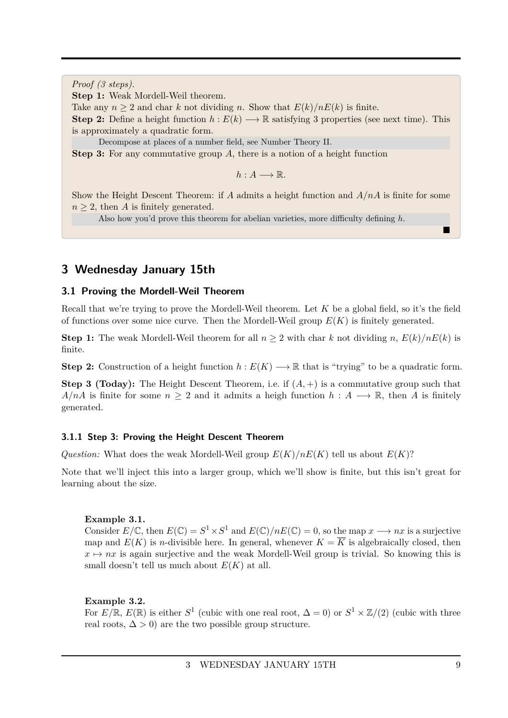*Proof (3 steps).*

**Step 1:** Weak Mordell-Weil theorem.

Take any  $n \geq 2$  and char *k* not dividing *n*. Show that  $E(k)/nE(k)$  is finite.

**Step 2:** Define a height function  $h : E(k) \longrightarrow \mathbb{R}$  satisfying 3 properties (see next time). This is approximately a quadratic form.

Decompose at places of a number field, see Number Theory II.

**Step 3:** For any commutative group *A*, there is a notion of a height function

 $h: A \longrightarrow \mathbb{R}$ .

Show the Height Descent Theorem: if *A* admits a height function and *A/nA* is finite for some  $n \geq 2$ , then *A* is finitely generated.

Also how you'd prove this theorem for abelian varieties, more difficulty defining *h*.

### <span id="page-8-0"></span>**3 Wednesday January 15th**

#### <span id="page-8-1"></span>**3.1 Proving the Mordell-Weil Theorem**

Recall that we're trying to prove the Mordell-Weil theorem. Let *K* be a global field, so it's the field of functions over some nice curve. Then the Mordell-Weil group  $E(K)$  is finitely generated.

**Step 1:** The weak Mordell-Weil theorem for all  $n \geq 2$  with char *k* not dividing *n*,  $E(k)/nE(k)$  is finite.

**Step 2:** Construction of a height function  $h: E(K) \longrightarrow \mathbb{R}$  that is "trying" to be a quadratic form.

**Step 3 (Today):** The Height Descent Theorem, i.e. if (*A,* +) is a commutative group such that *A/nA* is finite for some  $n \geq 2$  and it admits a heigh function  $h : A \longrightarrow \mathbb{R}$ , then *A* is finitely generated.

#### <span id="page-8-2"></span>**3.1.1 Step 3: Proving the Height Descent Theorem**

*Question:* What does the weak Mordell-Weil group  $E(K)/nE(K)$  tell us about  $E(K)$ ?

Note that we'll inject this into a larger group, which we'll show is finite, but this isn't great for learning about the size.

#### **Example 3.1.**

Consider  $E/\mathbb{C}$ , then  $E(\mathbb{C}) = S^1 \times S^1$  and  $E(\mathbb{C})/nE(\mathbb{C}) = 0$ , so the map  $x \longrightarrow nx$  is a surjective map and  $E(K)$  is *n*-divisible here. In general, whenever  $K = \overline{K}$  is algebraically closed, then  $x \mapsto nx$  is again surjective and the weak Mordell-Weil group is trivial. So knowing this is small doesn't tell us much about  $E(K)$  at all.

#### **Example 3.2.**

For  $E/\mathbb{R}$ ,  $E(\mathbb{R})$  is either  $S^1$  (cubic with one real root,  $\Delta = 0$ ) or  $S^1 \times \mathbb{Z}/(2)$  (cubic with three real roots,  $\Delta > 0$  are the two possible group structure.

 $\blacksquare$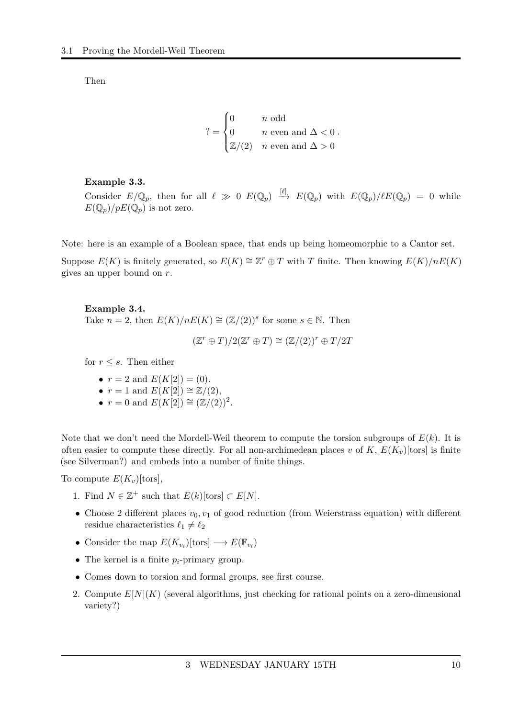Then

$$
? = \begin{cases} 0 & n \text{ odd} \\ 0 & n \text{ even and } \Delta < 0 \\ \mathbb{Z}/(2) & n \text{ even and } \Delta > 0 \end{cases}
$$

#### **Example 3.3.**

Consider  $E/\mathbb{Q}_p$ , then for all  $\ell \gg 0$   $E(\mathbb{Q}_p) \stackrel{[\ell]}{\longrightarrow} E(\mathbb{Q}_p)$  with  $E(\mathbb{Q}_p)/\ell E(\mathbb{Q}_p) = 0$  while  $E(\mathbb{Q}_p)/pE(\mathbb{Q}_p)$  is not zero.

Note: here is an example of a Boolean space, that ends up being homeomorphic to a Cantor set.

Suppose  $E(K)$  is finitely generated, so  $E(K) \cong \mathbb{Z}^r \oplus T$  with *T* finite. Then knowing  $E(K)/nE(K)$ gives an upper bound on *r*.

### **Example 3.4.** Take  $n = 2$ , then  $E(K)/nE(K) \cong (\mathbb{Z}/(2))^s$  for some  $s \in \mathbb{N}$ . Then

 $(\mathbb{Z}^r \oplus T)/2(\mathbb{Z}^r \oplus T) \cong (\mathbb{Z}/(2))^r \oplus T/2T$ 

for  $r \leq s$ . Then either

- $r = 2$  and  $E(K[2]) = (0)$ .
- $r = 1$  and  $E(K[2]) \cong \mathbb{Z}/(2)$ ,
- $r = 0$  and  $E(K[2]) \cong (\mathbb{Z}/(2))^2$ .

Note that we don't need the Mordell-Weil theorem to compute the torsion subgroups of  $E(k)$ . It is often easier to compute these directly. For all non-archimedean places *v* of  $K$ ,  $E(K_v)[\text{tors}]$  is finite (see Silverman?) and embeds into a number of finite things.

To compute  $E(K_v)[\text{tors}],$ 

- 1. Find  $N \in \mathbb{Z}^+$  such that  $E(k)$ [tors]  $\subset E[N]$ .
- Choose 2 different places  $v_0, v_1$  of good reduction (from Weierstrass equation) with different residue characteristics  $\ell_1 \neq \ell_2$
- Consider the map  $E(K_{v_i})$ [tors]  $\longrightarrow E(\mathbb{F}_{v_i})$
- The kernel is a finite  $p_i$ -primary group.
- Comes down to torsion and formal groups, see first course.
- 2. Compute  $E[N](K)$  (several algorithms, just checking for rational points on a zero-dimensional variety?)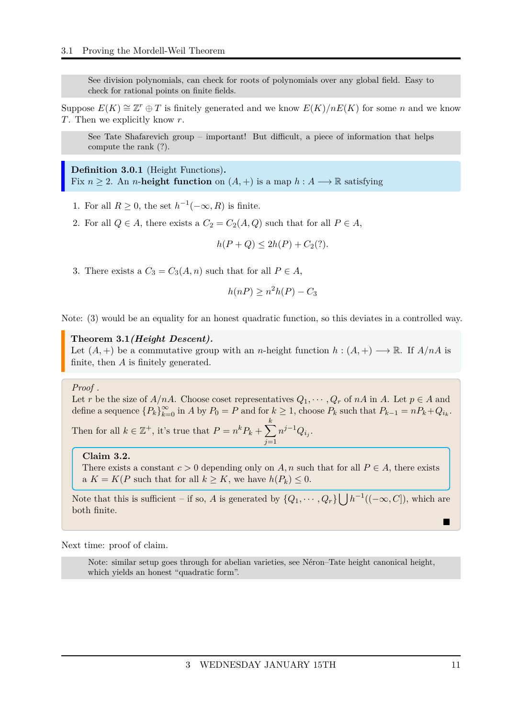See division polynomials, can check for roots of polynomials over any global field. Easy to check for rational points on finite fields.

Suppose  $E(K) \cong \mathbb{Z}^r \oplus T$  is finitely generated and we know  $E(K)/nE(K)$  for some *n* and we know *T*. Then we explicitly know *r*.

See Tate Shafarevich group – important! But difficult, a piece of information that helps compute the rank (?).

<span id="page-10-0"></span>**Definition 3.0.1** (Height Functions)**.** Fix  $n > 2$ . An *n*-height function on  $(A, +)$  is a map  $h : A \longrightarrow \mathbb{R}$  satisfying

- 1. For all  $R \geq 0$ , the set  $h^{-1}(-\infty, R)$  is finite.
- 2. For all  $Q \in A$ , there exists a  $C_2 = C_2(A, Q)$  such that for all  $P \in A$ ,

$$
h(P + Q) \le 2h(P) + C_2(?)
$$

3. There exists a  $C_3 = C_3(A, n)$  such that for all  $P \in A$ ,

$$
h(nP) \ge n^2h(P) - C_3
$$

Note: (3) would be an equality for an honest quadratic function, so this deviates in a controlled way.

#### <span id="page-10-1"></span>**Theorem 3.1***(Height Descent).*

Let  $(A,+)$  be a commutative group with an *n*-height function  $h:(A,+) \longrightarrow \mathbb{R}$ . If  $A/nA$  is finite, then *A* is finitely generated.

#### *Proof .*

Let *r* be the size of *A/nA*. Choose coset representatives  $Q_1, \dots, Q_r$  of *nA* in *A*. Let  $p \in A$  and define a sequence  ${P_k}_{k=0}^{\infty}$  in *A* by  $P_0 = P$  and for  $k \ge 1$ , choose  $P_k$  such that  $P_{k-1} = nP_k + Q_{i_k}$ .

Then for all  $k \in \mathbb{Z}^+$ , it's true that  $P = n^k P_k + \sum$ *k j*=1  $n^{j-1}Q_{i_j}$ .

#### **Claim 3.2.**

There exists a constant  $c > 0$  depending only on  $A, n$  such that for all  $P \in A$ , there exists a  $K = K(P \text{ such that for all } k \geq K, \text{ we have } h(P_k) \leq 0.$ 

Note that this is sufficient – if so, *A* is generated by  $\{Q_1, \dots, Q_r\}$   $\left[ \int h^{-1}((-\infty, C])$ , which are both finite.

Next time: proof of claim.

Note: similar setup goes through for abelian varieties, see Néron–Tate height canonical height, which yields an honest "quadratic form".

П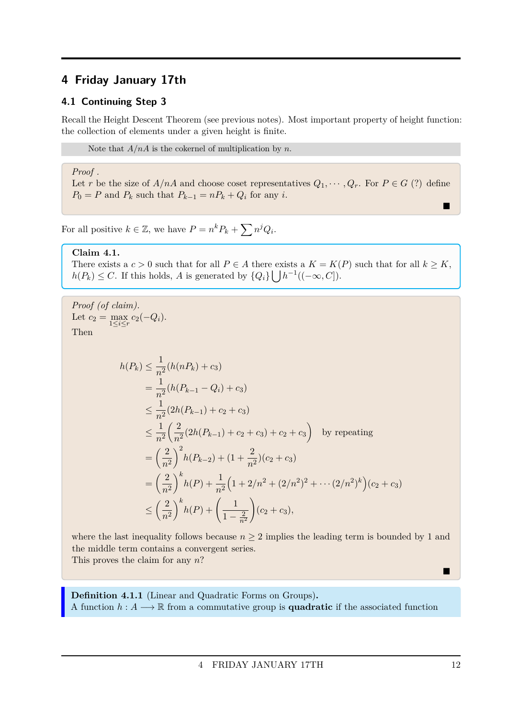# <span id="page-11-0"></span>**4 Friday January 17th**

### <span id="page-11-1"></span>**4.1 Continuing Step 3**

Recall the Height Descent Theorem (see previous notes). Most important property of height function: the collection of elements under a given height is finite.

Note that *A/nA* is the cokernel of multiplication by *n*.

#### *Proof .*

Let *r* be the size of  $A/nA$  and choose coset representatives  $Q_1, \dots, Q_r$ . For  $P \in G$  (?) define  $P_0 = P$  and  $P_k$  such that  $P_{k-1} = nP_k + Q_i$  for any *i*.

For all positive  $k \in \mathbb{Z}$ , we have  $P = n^k P_k + \sum n^j Q_i$ .

#### **Claim 4.1.**

There exists a  $c > 0$  such that for all  $P \in A$  there exists a  $K = K(P)$  such that for all  $k \geq K$ ,  $h(P_k) \leq C$ . If this holds, *A* is generated by  $\{Q_i\} \bigcup h^{-1}((-\infty, C])$ .

Proof (of claim).  
\nLet 
$$
c_2 = \max_{1 \le i \le r} c_2(-Q_i)
$$
.  
\nThen  
\n
$$
h(P_k) \le \frac{1}{n^2} (h(nP_k) + c_3)
$$
\n
$$
= \frac{1}{n^2} (h(P_{k-1} - Q_i) + c_3)
$$
\n
$$
\le \frac{1}{n^2} (2h(P_{k-1}) + c_2 + c_3)
$$
\n
$$
\le \frac{1}{n^2} \left( \frac{2}{n^2} (2h(P_{k-1}) + c_2 + c_3) + c_2 + c_3 \right)
$$
 by repeating\n
$$
= \left( \frac{2}{n^2} \right)^2 h(P_{k-2}) + (1 + \frac{2}{n^2}) (c_2 + c_3)
$$
\n
$$
= \left( \frac{2}{n^2} \right)^k h(P) + \frac{1}{n^2} \left( 1 + 2/n^2 + (2/n^2)^2 + \dots + (2/n^2)^k \right) (c_2 + c_3)
$$
\n
$$
\le \left( \frac{2}{n^2} \right)^k h(P) + \left( \frac{1}{1 - \frac{2}{n^2}} \right) (c_2 + c_3),
$$

where the last inequality follows because  $n \geq 2$  implies the leading term is bounded by 1 and the middle term contains a convergent series. This proves the claim for any *n*?

<span id="page-11-2"></span>**Definition 4.1.1** (Linear and Quadratic Forms on Groups)**.** A function  $h: A \longrightarrow \mathbb{R}$  from a commutative group is **quadratic** if the associated function

 $\blacksquare$ 

П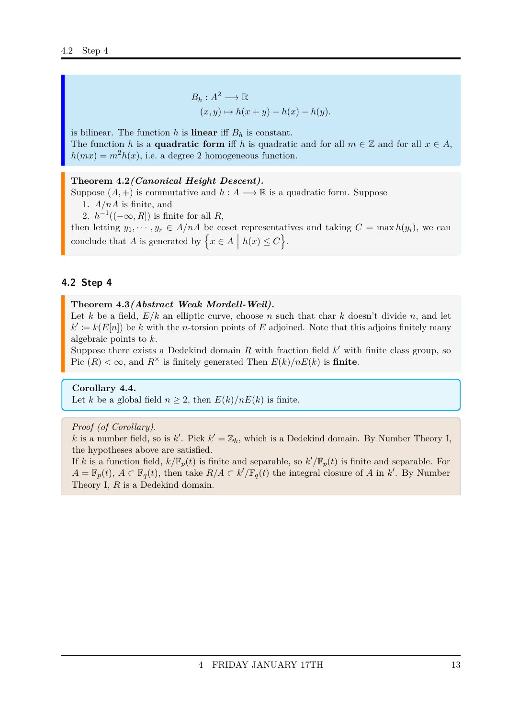$$
B_h: A^2 \longrightarrow \mathbb{R}
$$
  
(x, y)  $\mapsto h(x + y) - h(x) - h(y)$ .

is bilinear. The function  $h$  is **linear** iff  $B_h$  is constant. The function *h* is a **quadratic form** iff *h* is quadratic and for all  $m \in \mathbb{Z}$  and for all  $x \in A$ ,  $h(mx) = m^2h(x)$ , i.e. a degree 2 homogeneous function.

#### <span id="page-12-1"></span>**Theorem 4.2***(Canonical Height Descent).*

Suppose  $(A,+)$  is commutative and  $h: A \longrightarrow \mathbb{R}$  is a quadratic form. Suppose

1. *A/nA* is finite, and

2.  $h^{-1}((-\infty, R])$  is finite for all *R*,

then letting  $y_1, \dots, y_r \in A/nA$  be coset representatives and taking  $C = \max h(y_i)$ , we can conclude that *A* is generated by  $\left\{ x \in A \mid h(x) \le C \right\}$ .

#### <span id="page-12-0"></span>**4.2 Step 4**

#### <span id="page-12-2"></span>**Theorem 4.3***(Abstract Weak Mordell-Weil).*

Let *k* be a field, *E/k* an elliptic curve, choose *n* such that char *k* doesn't divide *n*, and let  $k' := k(E[n])$  be *k* with the *n*-torsion points of *E* adjoined. Note that this adjoins finitely many algebraic points to *k*.

Suppose there exists a Dedekind domain  $R$  with fraction field  $k'$  with finite class group, so Pic  $(R) < \infty$ , and  $R^{\times}$  is finitely generated Then  $E(k)/nE(k)$  is finite.

#### **Corollary 4.4.**

Let *k* be a global field  $n \geq 2$ , then  $E(k)/nE(k)$  is finite.

#### *Proof (of Corollary).*

k is a number field, so is  $k'$ . Pick  $k' = \mathbb{Z}_k$ , which is a Dedekind domain. By Number Theory I, the hypotheses above are satisfied.

If *k* is a function field,  $k/\mathbb{F}_p(t)$  is finite and separable, so  $k'/\mathbb{F}_p(t)$  is finite and separable. For  $A = \mathbb{F}_p(t)$ ,  $A \subset \mathbb{F}_q(t)$ , then take  $R/A \subset k'/\mathbb{F}_q(t)$  the integral closure of *A* in *k*'. By Number Theory I, *R* is a Dedekind domain.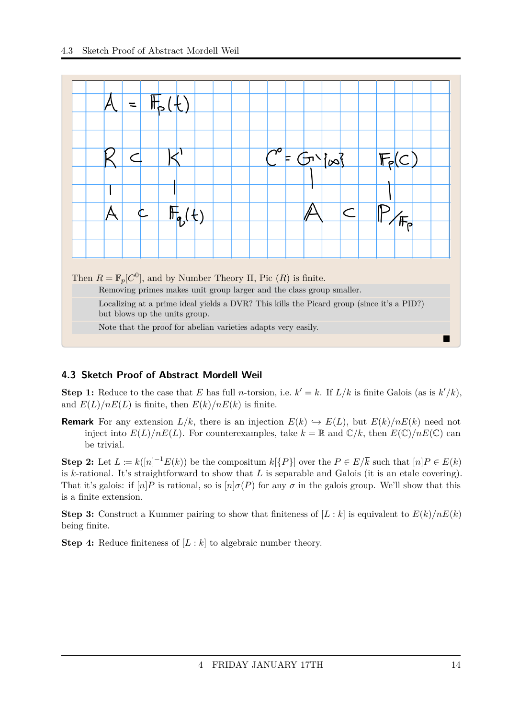

### <span id="page-13-0"></span>**4.3 Sketch Proof of Abstract Mordell Weil**

**Step 1:** Reduce to the case that *E* has full *n*-torsion, i.e.  $k' = k$ . If  $L/k$  is finite Galois (as is  $k'/k$ ), and  $E(L)/nE(L)$  is finite, then  $E(k)/nE(k)$  is finite.

**Remark** For any extension  $L/k$ , there is an injection  $E(k) \hookrightarrow E(L)$ , but  $E(k)/nE(k)$  need not inject into  $E(L)/nE(L)$ . For counterexamples, take  $k = \mathbb{R}$  and  $\mathbb{C}/k$ , then  $E(\mathbb{C})/nE(\mathbb{C})$  can be trivial.

**Step 2:** Let  $L := k([n]^{-1}E(k))$  be the compositum  $k[\{P\}]$  over the  $P \in E/\overline{k}$  such that  $[n]P \in E(k)$ is *k*-rational. It's straightforward to show that *L* is separable and Galois (it is an etale covering). That it's galois: if  $[n]$ *P* is rational, so is  $[n]$ *σ*(*P*) for any *σ* in the galois group. We'll show that this is a finite extension.

**Step 3:** Construct a Kummer pairing to show that finiteness of  $[L : k]$  is equivalent to  $E(k)/nE(k)$ being finite.

**Step 4:** Reduce finiteness of [*L* : *k*] to algebraic number theory.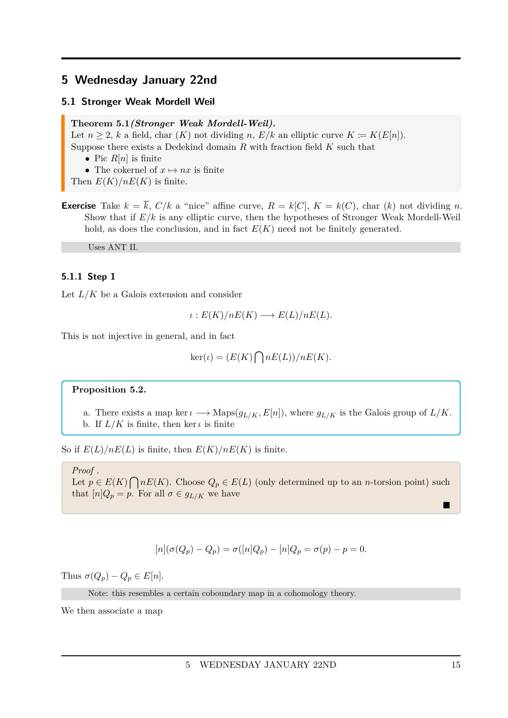### <span id="page-14-0"></span>**5 Wednesday January 22nd**

#### <span id="page-14-1"></span>**5.1 Stronger Weak Mordell Weil**

<span id="page-14-3"></span>**Theorem 5.1***(Stronger Weak Mordell-Weil).*

Let  $n \geq 2$ , k a field, char  $(K)$  not dividing  $n, E/k$  an elliptic curve  $K \coloneqq K(E[n])$ . Suppose there exists a Dedekind domain *R* with fraction field *K* such that

- Pic  $R[n]$  is finite
- The cokernel of  $x \mapsto nx$  is finite
- Then  $E(K)/nE(K)$  is finite.
- **Exercise** Take  $k = \overline{k}$ ,  $C/k$  a "nice" affine curve,  $R = k[C]$ ,  $K = k(C)$ , char (*k*) not dividing *n*. Show that if *E/k* is any elliptic curve, then the hypotheses of Stronger Weak Mordell-Weil hold, as does the conclusion, and in fact  $E(K)$  need not be finitely generated.

Uses ANT II.

#### <span id="page-14-2"></span>**5.1.1 Step 1**

Let  $L/K$  be a Galois extension and consider

$$
\iota: E(K)/nE(K) \longrightarrow E(L)/nE(L).
$$

This is not injective in general, and in fact

$$
ker(\iota) = (E(K) \bigcap nE(L))/nE(K).
$$

#### <span id="page-14-4"></span>**Proposition 5.2.**

a. There exists a map ker  $\iota \longrightarrow \text{Maps}(g_{L/K}, E[n])$ , where  $g_{L/K}$  is the Galois group of  $L/K$ . b. If  $L/K$  is finite, then ker  $\iota$  is finite

So if  $E(L)/nE(L)$  is finite, then  $E(K)/nE(K)$  is finite.

#### *Proof .*

Let  $p \in E(K) \cap nE(K)$ . Choose  $Q_p \in E(L)$  (only determined up to an *n*-torsion point) such that  $[n]Q_p = p$ . For all  $\sigma \in g_{L/K}$  we have

$$
[n](\sigma(Q_p) - Q_p) = \sigma([n]Q_p) - [n]Q_p = \sigma(p) - p = 0.
$$

Thus  $\sigma(Q_p) - Q_p \in E[n]$ .

Note: this resembles a certain coboundary map in a cohomology theory.

We then associate a map

 $\blacksquare$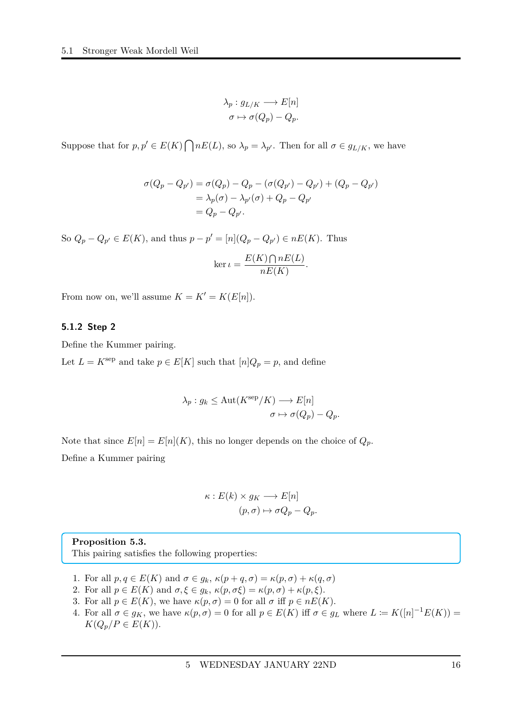$$
\lambda_p: g_{L/K} \longrightarrow E[n]
$$

$$
\sigma \mapsto \sigma(Q_p) - Q_p.
$$

Suppose that for  $p, p' \in E(K) \cap nE(L)$ , so  $\lambda_p = \lambda_{p'}$ . Then for all  $\sigma \in g_{L/K}$ , we have

$$
\sigma(Q_p - Q_{p'}) = \sigma(Q_p) - Q_p - (\sigma(Q_{p'}) - Q_{p'}) + (Q_p - Q_{p'})
$$
  
=  $\lambda_p(\sigma) - \lambda_{p'}(\sigma) + Q_p - Q_{p'}$   
=  $Q_p - Q_{p'}$ .

So  $Q_p - Q_{p'} \in E(K)$ , and thus  $p - p' = [n](Q_p - Q_{p'}) \in nE(K)$ . Thus

$$
\ker \iota = \frac{E(K) \bigcap nE(L)}{nE(K)}.
$$

From now on, we'll assume  $K = K' = K(E[n])$ .

#### <span id="page-15-0"></span>**5.1.2 Step 2**

Define the Kummer pairing.

Let  $L = K^{\text{sep}}$  and take  $p \in E[K]$  such that  $[n]Q_p = p$ , and define

$$
\lambda_p : g_k \le \text{Aut}(K^{\text{sep}}/K) \longrightarrow E[n]
$$

$$
\sigma \mapsto \sigma(Q_p) - Q_p.
$$

Note that since  $E[n] = E[n](K)$ , this no longer depends on the choice of  $Q_p$ . Define a Kummer pairing

$$
\kappa: E(k) \times g_K \longrightarrow E[n]
$$

$$
(p, \sigma) \mapsto \sigma Q_p - Q_p.
$$

<span id="page-15-1"></span>**Proposition 5.3.** This pairing satisfies the following properties:

- 1. For all  $p, q \in E(K)$  and  $\sigma \in g_k$ ,  $\kappa(p+q, \sigma) = \kappa(p, \sigma) + \kappa(q, \sigma)$
- 2. For all  $p \in E(K)$  and  $\sigma, \xi \in g_k$ ,  $\kappa(p, \sigma \xi) = \kappa(p, \sigma) + \kappa(p, \xi)$ .
- 3. For all  $p \in E(K)$ , we have  $\kappa(p, \sigma) = 0$  for all  $\sigma$  iff  $p \in nE(K)$ .
- 4. For all  $\sigma \in g_K$ , we have  $\kappa(p, \sigma) = 0$  for all  $p \in E(K)$  iff  $\sigma \in g_L$  where  $L \coloneqq K([n]^{-1}E(K))$  $K(Q_p/P \in E(K)).$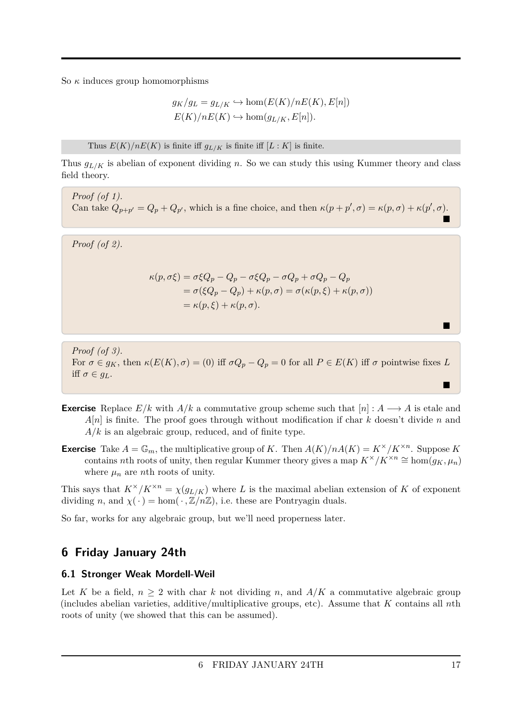So  $\kappa$  induces group homomorphisms

$$
g_K/g_L = g_{L/K} \hookrightarrow \hom(E(K)/nE(K), E[n])
$$
  

$$
E(K)/nE(K) \hookrightarrow \hom(g_{L/K}, E[n]).
$$

Thus  $E(K)/nE(K)$  is finite iff  $g_{L/K}$  is finite iff  $[L:K]$  is finite.

Thus *gL/K* is abelian of exponent dividing *n*. So we can study this using Kummer theory and class field theory.

*Proof (of 1).* Can take  $Q_{p+p'} = Q_p + Q_{p'}$ , which is a fine choice, and then  $\kappa(p+p',\sigma) = \kappa(p,\sigma) + \kappa(p',\sigma)$ . Ē

*Proof (of 2).*

$$
\kappa(p, \sigma \xi) = \sigma \xi Q_p - Q_p - \sigma \xi Q_p - \sigma Q_p + \sigma Q_p - Q_p
$$
  
=  $\sigma (\xi Q_p - Q_p) + \kappa(p, \sigma) = \sigma (\kappa(p, \xi) + \kappa(p, \sigma))$   
=  $\kappa(p, \xi) + \kappa(p, \sigma).$ 

*Proof (of 3).* For  $\sigma \in g_K$ , then  $\kappa(E(K), \sigma) = (0)$  iff  $\sigma Q_p - Q_p = 0$  for all  $P \in E(K)$  iff  $\sigma$  pointwise fixes *L* iff  $\sigma \in g_L$ .

- **Exercise** Replace  $E/k$  with  $A/k$  a commutative group scheme such that  $[n]: A \longrightarrow A$  is etale and *A*[*n*] is finite. The proof goes through without modification if char *k* doesn't divide *n* and *A/k* is an algebraic group, reduced, and of finite type.
- **Exercise** Take  $A = \mathbb{G}_m$ , the multiplicative group of *K*. Then  $A(K)/nA(K) = K^{\times}/K^{\times n}$ . Suppose *K* contains *n*th roots of unity, then regular Kummer theory gives a map  $K^{\times}/K^{\times n} \cong \text{hom}(g_K, \mu_n)$ where  $\mu_n$  are *n*th roots of unity.

This says that  $K^{\times}/K^{\times n} = \chi(g_{L/K})$  where *L* is the maximal abelian extension of *K* of exponent dividing *n*, and  $\chi(\cdot) = \text{hom}(\cdot, \mathbb{Z}/n\mathbb{Z})$ , i.e. these are Pontryagin duals.

So far, works for any algebraic group, but we'll need properness later.

### <span id="page-16-0"></span>**6 Friday January 24th**

### <span id="page-16-1"></span>**6.1 Stronger Weak Mordell-Weil**

Let K be a field,  $n \geq 2$  with char k not dividing n, and  $A/K$  a commutative algebraic group (includes abelian varieties, additive/multiplicative groups, etc). Assume that *K* contains all *n*th roots of unity (we showed that this can be assumed).

П

 $\blacksquare$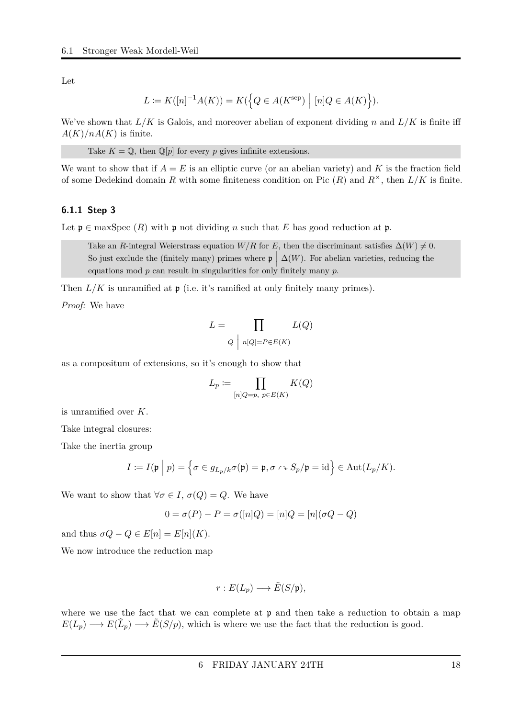Let

$$
L \coloneqq K([n]^{-1}A(K)) = K(\left\{Q \in A(K^{\text{sep}}) \mid [n]Q \in A(K)\right\}).
$$

We've shown that  $L/K$  is Galois, and moreover abelian of exponent dividing *n* and  $L/K$  is finite iff  $A(K)/nA(K)$  is finite.

Take  $K = \mathbb{Q}$ , then  $\mathbb{Q}[p]$  for every *p* gives infinite extensions.

We want to show that if  $A = E$  is an elliptic curve (or an abelian variety) and K is the fraction field of some Dedekind domain *R* with some finiteness condition on Pic  $(R)$  and  $R^{\times}$ , then  $L/K$  is finite.

#### <span id="page-17-0"></span>**6.1.1 Step 3**

Let  $\mathfrak{p} \in \text{maxSpec } (R)$  with  $\mathfrak{p}$  not dividing *n* such that *E* has good reduction at  $\mathfrak{p}$ .

Take an *R*-integral Weierstrass equation *W/R* for *E*, then the discriminant satisfies  $\Delta(W) \neq 0$ . So just exclude the (finitely many) primes where  $\mathfrak{p} \mid \Delta(W)$ . For abelian varieties, reducing the equations mod *p* can result in singularities for only finitely many *p*.

Then  $L/K$  is unramified at  $\mathfrak p$  (i.e. it's ramified at only finitely many primes).

*Proof:* We have

$$
L = \prod_{Q \mid n[Q] = P \in E(K)} L(Q)
$$

as a compositum of extensions, so it's enough to show that

$$
L_p := \prod_{[n]Q = p, \ p \in E(K)} K(Q)
$$

is unramified over *K*.

Take integral closures:

Take the inertia group

$$
I \coloneqq I(\mathfrak{p} \mid p) = \left\{ \sigma \in g_{L_p/k} \sigma(\mathfrak{p}) = \mathfrak{p}, \sigma \curvearrowright S_p/\mathfrak{p} = \mathrm{id} \right\} \in \mathrm{Aut}(L_p/K).
$$

We want to show that  $\forall \sigma \in I$ ,  $\sigma(Q) = Q$ . We have

$$
0 = \sigma(P) - P = \sigma([n]Q) = [n]Q = [n](\sigma Q - Q)
$$

and thus  $\sigma Q - Q \in E[n] = E[n](K)$ .

We now introduce the reduction map

$$
r: E(L_p) \longrightarrow \tilde{E}(S/\mathfrak{p}),
$$

where we use the fact that we can complete at  $\mathfrak p$  and then take a reduction to obtain a map  $E(L_p) \longrightarrow E(\widehat{L}_p) \longrightarrow \widetilde{E}(S/p)$ , which is where we use the fact that the reduction is good.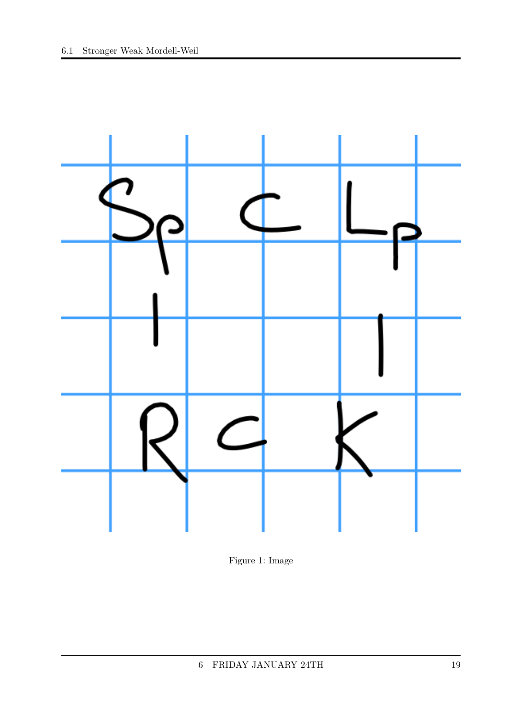

Figure 1: Image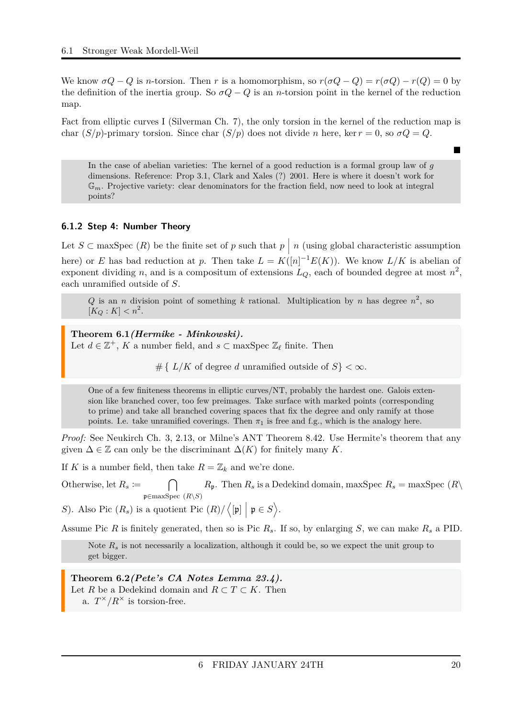We know  $\sigma Q - Q$  is *n*-torsion. Then *r* is a homomorphism, so  $r(\sigma Q - Q) = r(\sigma Q) - r(Q) = 0$  by the definition of the inertia group. So  $\sigma Q - Q$  is an *n*-torsion point in the kernel of the reduction map.

Fact from elliptic curves I (Silverman Ch. 7), the only torsion in the kernel of the reduction map is char  $(S/p)$ -primary torsion. Since char  $(S/p)$  does not divide *n* here, ker  $r = 0$ , so  $\sigma Q = Q$ .

In the case of abelian varieties: The kernel of a good reduction is a formal group law of *g* dimensions. Reference: Prop 3.1, Clark and Xales (?) 2001. Here is where it doesn't work for G*m*. Projective variety: clear denominators for the fraction field, now need to look at integral points?

### <span id="page-19-0"></span>**6.1.2 Step 4: Number Theory**

Let  $S \subset \text{maxSpec}(R)$  be the finite set of *p* such that  $p \mid n$  (using global characteristic assumption here) or *E* has bad reduction at *p*. Then take  $L = K([n]^{-1}E(K))$ . We know  $L/K$  is abelian of exponent dividing *n*, and is a compositum of extensions  $L_Q$ , each of bounded degree at most  $n^2$ , each unramified outside of *S*.

Q is an *n* division point of something *k* rational. Multiplication by *n* has degree  $n^2$ , so  $[K_Q: K] < n^2$ .

<span id="page-19-1"></span>**Theorem 6.1***(Hermike - Minkowski).* Let  $d \in \mathbb{Z}^+$ , *K* a number field, and  $s \subset \max \operatorname{Spec} \mathbb{Z}_\ell$  finite. Then

#{ $L/K$  of degree *d* unramified outside of  $S$ } <  $\infty$ .

One of a few finiteness theorems in elliptic curves/NT, probably the hardest one. Galois extension like branched cover, too few preimages. Take surface with marked points (corresponding to prime) and take all branched covering spaces that fix the degree and only ramify at those points. I.e. take unramified coverings. Then  $\pi_1$  is free and f.g., which is the analogy here.

*Proof:* See Neukirch Ch. 3, 2.13, or Milne's ANT Theorem 8.42. Use Hermite's theorem that any given  $\Delta \in \mathbb{Z}$  can only be the discriminant  $\Delta(K)$  for finitely many K.

If *K* is a number field, then take  $R = \mathbb{Z}_k$  and we're done.

Otherwise, let  $R_s \coloneqq \bigcap$ p∈maxSpec (*R*\*S*)  $R_p$ . Then  $R_s$  is a Dedekind domain, maxSpec  $R_s = \max$ Spec  $(R \setminus R_p)$ 

*S*). Also Pic  $(R_s)$  is a quotient Pic  $(R) / \langle [\mathfrak{p}] | \mathfrak{p} \in S \rangle$ .

Assume Pic *R* is finitely generated, then so is Pic *Rs*. If so, by enlarging *S*, we can make *R<sup>s</sup>* a PID.

Note  $R_s$  is not necessarily a localization, although it could be, so we expect the unit group to get bigger.

<span id="page-19-2"></span>**Theorem 6.2***(Pete's CA Notes Lemma 23.4).* Let *R* be a Dedekind domain and  $R \subset T \subset K$ . Then a.  $T^{\times}/R^{\times}$  is torsion-free.

Ē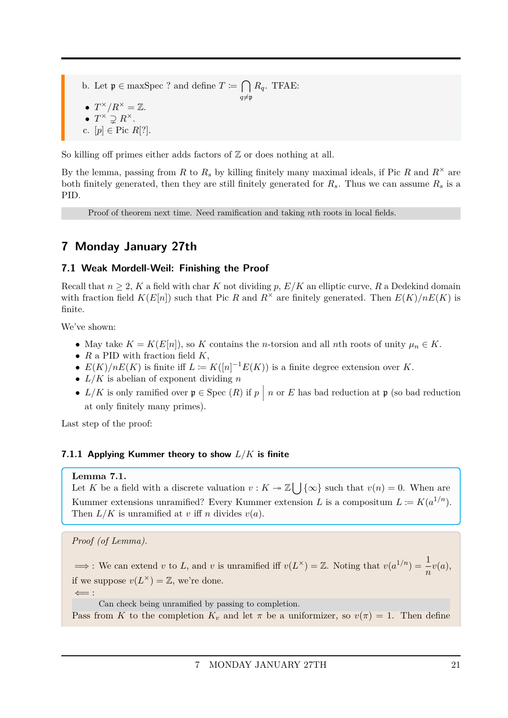- b. Let  $\mathfrak{p} \in \text{maxSpec}$ ? and define  $T \coloneqq \bigcap R_q$ . TFAE:
- $T^{\times}/R^{\times} = \mathbb{Z}$ .

$$
\bullet T^{\times} \supsetneq R^{\times}.
$$

c. 
$$
[p] \in \text{Pic } R[?].
$$

So killing off primes either adds factors of  $\mathbb Z$  or does nothing at all.

By the lemma, passing from *R* to  $R_s$  by killing finitely many maximal ideals, if Pic *R* and  $R^{\times}$  are both finitely generated, then they are still finitely generated for  $R_s$ . Thus we can assume  $R_s$  is a PID.

Proof of theorem next time. Need ramification and taking *n*th roots in local fields.

 $q\neq p$ 

# <span id="page-20-0"></span>**7 Monday January 27th**

### <span id="page-20-1"></span>**7.1 Weak Mordell-Weil: Finishing the Proof**

Recall that  $n \geq 2$ , K a field with char K not dividing p,  $E/K$  an elliptic curve, R a Dedekind domain with fraction field  $K(E[n])$  such that Pic *R* and  $R^{\times}$  are finitely generated. Then  $E(K)/nE(K)$  is finite.

We've shown:

- May take  $K = K(E[n])$ , so  $K$  contains the *n*-torsion and all *n*th roots of unity  $\mu_n \in K$ .
- *R* a PID with fraction field *K*,
- $E(K)/nE(K)$  is finite iff  $L := K([n]^{-1}E(K))$  is a finite degree extension over K.
- *L/K* is abelian of exponent dividing *n*
- $L/K$  is only ramified over  $\mathfrak{p} \in \text{Spec } (R)$  if  $p \mid n$  or  $E$  has bad reduction at  $\mathfrak{p}$  (so bad reduction at only finitely many primes).

Last step of the proof:

### <span id="page-20-2"></span>**7.1.1 Applying Kummer theory to show** *L/K* **is finite**

### **Lemma 7.1.**

Let *K* be a field with a discrete valuation  $v: K \to \mathbb{Z} \cup \{ \infty \}$  such that  $v(n) = 0$ . When are Kummer extensions unramified? Every Kummer extension *L* is a compositum  $L \coloneqq K(a^{1/n})$ . Then  $L/K$  is unramified at *v* iff *n* divides  $v(a)$ .

```
Proof (of Lemma).
```
 $\implies$ : We can extend *v* to *L*, and *v* is unramified iff  $v(L^{\times}) = \mathbb{Z}$ . Noting that  $v(a^{1/n}) = \frac{1}{n}v(a)$ , if we suppose  $v(L^{\times}) = \mathbb{Z}$ , we're done.

 $\leftarrow$  :

Can check being unramified by passing to completion.

Pass from *K* to the completion  $K_v$  and let  $\pi$  be a uniformizer, so  $v(\pi) = 1$ . Then define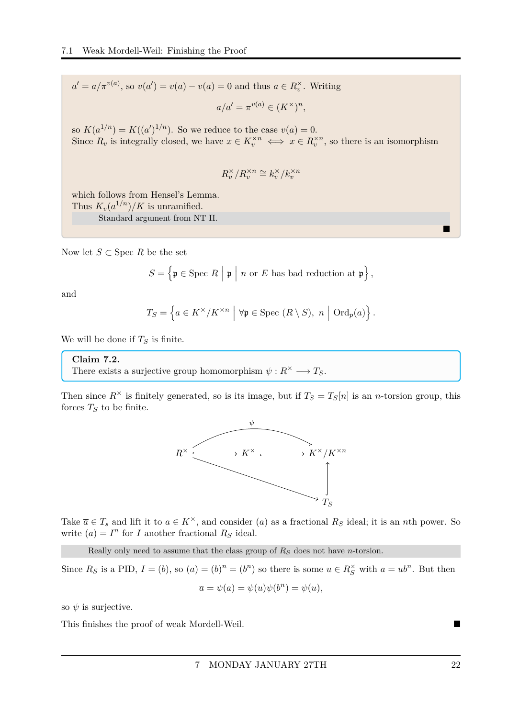$a' = a/\pi^{v(a)}$ , so  $v(a') = v(a) - v(a) = 0$  and thus  $a \in R_v^{\times}$ . Writing

$$
a/a' = \pi^{v(a)} \in (K^\times)^n,
$$

so  $K(a^{1/n}) = K((a')^{1/n})$ . So we reduce to the case  $v(a) = 0$ . Since  $R_v$  is integrally closed, we have  $x \in K_v^{\times n} \iff x \in R_v^{\times n}$ , so there is an isomorphism

$$
R_v^\times/R_v^{\times n}\cong k_v^\times/k_v^{\times n}
$$

which follows from Hensel's Lemma. Thus  $K_v(a^{1/n})/K$  is unramified. Standard argument from NT II.

Now let  $S \subset \text{Spec } R$  be the set

$$
S = \left\{ \mathfrak{p} \in \text{Spec } R \mid \mathfrak{p} \mid n \text{ or } E \text{ has bad reduction at } \mathfrak{p} \right\},\
$$

and

$$
T_S = \left\{ a \in K^{\times}/K^{\times n} \mid \forall \mathfrak{p} \in \text{Spec } (R \setminus S), n \mid \text{Ord}_p(a) \right\}.
$$

We will be done if  $T<sub>S</sub>$  is finite.

#### **Claim 7.2.**

There exists a surjective group homomorphism  $\psi : R^{\times} \longrightarrow T_S$ .

Then since  $R^{\times}$  is finitely generated, so is its image, but if  $T_S = T_S[n]$  is an *n*-torsion group, this forces  $T<sub>S</sub>$  to be finite.



Take  $\overline{a} \in T_s$  and lift it to  $a \in K^\times$ , and consider (*a*) as a fractional  $R_s$  ideal; it is an *n*th power. So write  $(a) = I^n$  for *I* another fractional  $R_S$  ideal.

Really only need to assume that the class group of *R<sup>S</sup>* does not have *n*-torsion.

Since  $R_S$  is a PID,  $I = (b)$ , so  $(a) = (b)^n = (b^n)$  so there is some  $u \in R_S^{\times}$  with  $a = ub^n$ . But then

$$
\overline{a} = \psi(a) = \psi(u)\psi(b^n) = \psi(u),
$$

so  $\psi$  is surjective.

This finishes the proof of weak Mordell-Weil.

П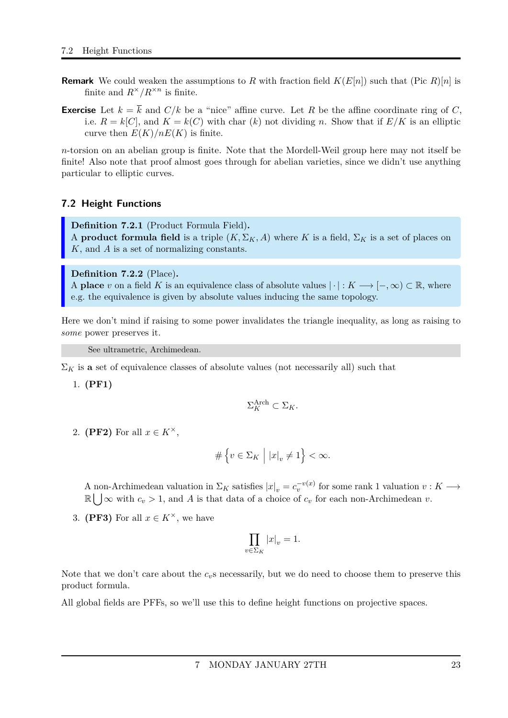- **Remark** We could weaken the assumptions to *R* with fraction field  $K(E[n])$  such that (Pic *R*)[*n*] is finite and  $R^{\times}/R^{\times n}$  is finite.
- **Exercise** Let  $k = \overline{k}$  and  $C/k$  be a "nice" affine curve. Let R be the affine coordinate ring of C, i.e.  $R = k[C]$ , and  $K = k(C)$  with char  $(k)$  not dividing *n*. Show that if  $E/K$  is an elliptic curve then  $E(K)/nE(K)$  is finite.

*n*-torsion on an abelian group is finite. Note that the Mordell-Weil group here may not itself be finite! Also note that proof almost goes through for abelian varieties, since we didn't use anything particular to elliptic curves.

### <span id="page-22-0"></span>**7.2 Height Functions**

<span id="page-22-1"></span>**Definition 7.2.1** (Product Formula Field)**.** A **product formula field** is a triple  $(K, \Sigma_K, A)$  where *K* is a field,  $\Sigma_K$  is a set of places on *K*, and *A* is a set of normalizing constants.

#### <span id="page-22-2"></span>**Definition 7.2.2** (Place)**.**

A **place** *v* on a field *K* is an equivalence class of absolute values  $|\cdot|: K \longrightarrow [-,\infty) \subset \mathbb{R}$ , where e.g. the equivalence is given by absolute values inducing the same topology.

Here we don't mind if raising to some power invalidates the triangle inequality, as long as raising to *some* power preserves it.

See ultrametric, Archimedean.

 $\Sigma_K$  is **a** set of equivalence classes of absolute values (not necessarily all) such that

1. **(PF1)**

$$
\Sigma_K^{\text{Arch}} \subset \Sigma_K.
$$

2. **(PF2)** For all  $x \in K^{\times}$ ,

$$
\# \left\{ v \in \Sigma_K \; \Big| \; |x|_v \neq 1 \right\} < \infty.
$$

A non-Archimedean valuation in  $\Sigma_K$  satisfies  $|x|_v = c_v^{-v(x)}$  for some rank 1 valuation  $v : K \longrightarrow$  $\mathbb{R} \bigcup \infty$  with  $c_v > 1$ , and A is that data of a choice of  $c_v$  for each non-Archimedean v.

3. **(PF3)** For all  $x \in K^{\times}$ , we have

$$
\prod_{v \in \Sigma_K} |x|_v = 1.
$$

Note that we don't care about the  $c_v$ s necessarily, but we do need to choose them to preserve this product formula.

All global fields are PFFs, so we'll use this to define height functions on projective spaces.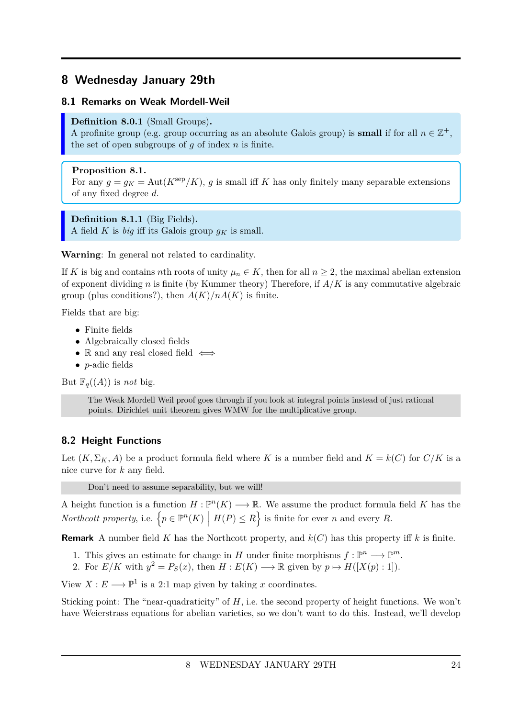### <span id="page-23-0"></span>**8 Wednesday January 29th**

### <span id="page-23-1"></span>**8.1 Remarks on Weak Mordell-Weil**

### <span id="page-23-3"></span>**Definition 8.0.1** (Small Groups)**.**

A profinite group (e.g. group occurring as an absolute Galois group) is **small** if for all  $n \in \mathbb{Z}^+$ , the set of open subgroups of *g* of index *n* is finite.

### <span id="page-23-5"></span>**Proposition 8.1.**

For any  $q = q_K = \text{Aut}(K^{\text{sep}}/K)$ , *g* is small iff *K* has only finitely many separable extensions of any fixed degree *d*.

#### <span id="page-23-4"></span>**Definition 8.1.1** (Big Fields)**.**

A field *K* is *big* iff its Galois group  $q_K$  is small.

**Warning**: In general not related to cardinality.

If *K* is big and contains *n*th roots of unity  $\mu_n \in K$ , then for all  $n \geq 2$ , the maximal abelian extension of exponent dividing *n* is finite (by Kummer theory) Therefore, if *A/K* is any commutative algebraic group (plus conditions?), then  $A(K)/nA(K)$  is finite.

Fields that are big:

- Finite fields
- Algebraically closed fields
- R and any real closed field  $\iff$
- *p*-adic fields

But  $\mathbb{F}_q((A))$  is *not* big.

The Weak Mordell Weil proof goes through if you look at integral points instead of just rational points. Dirichlet unit theorem gives WMW for the multiplicative group.

### <span id="page-23-2"></span>**8.2 Height Functions**

Let  $(K, \Sigma_K, A)$  be a product formula field where K is a number field and  $K = k(C)$  for  $C/K$  is a nice curve for *k* any field.

Don't need to assume separability, but we will!

A height function is a function  $H : \mathbb{P}^n(K) \longrightarrow \mathbb{R}$ . We assume the product formula field K has the *Northcott property*, i.e.  $\left\{p \in \mathbb{P}^n(K) \mid H(P) \leq R\right\}$  is finite for ever *n* and every *R*.

**Remark** A number field *K* has the Northcott property, and *k*(*C*) has this property iff *k* is finite.

- 1. This gives an estimate for change in *H* under finite morphisms  $f: \mathbb{P}^n \longrightarrow \mathbb{P}^m$ .
- 2. For  $E/K$  with  $y^2 = P_S(x)$ , then  $H: E(K) \longrightarrow \mathbb{R}$  given by  $p \mapsto H([X(p):1])$ .

View  $X: E \longrightarrow \mathbb{P}^1$  is a 2:1 map given by taking *x* coordinates.

Sticking point: The "near-quadraticity" of *H*, i.e. the second property of height functions. We won't have Weierstrass equations for abelian varieties, so we don't want to do this. Instead, we'll develop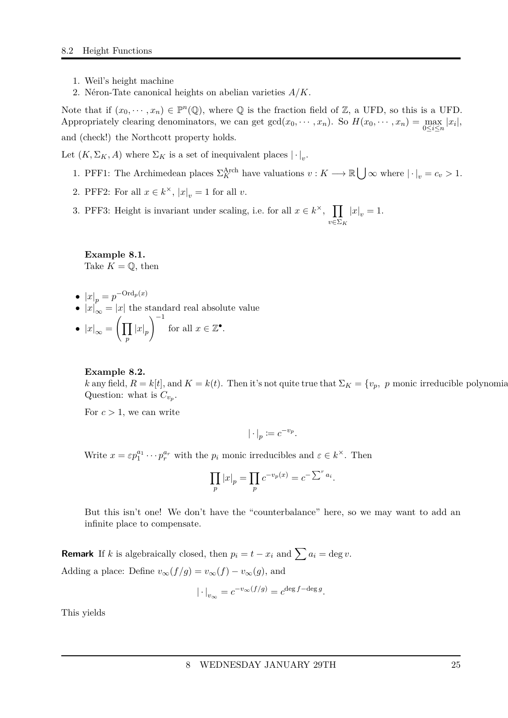- 1. Weil's height machine
- 2. Néron-Tate canonical heights on abelian varieties *A/K*.

Note that if  $(x_0, \dots, x_n) \in \mathbb{P}^n(\mathbb{Q})$ , where  $\mathbb Q$  is the fraction field of  $\mathbb Z$ , a UFD, so this is a UFD. Appropriately clearing denominators, we can get  $gcd(x_0, \dots, x_n)$ . So  $H(x_0, \dots, x_n) = \max_{0 \le i \le n} |x_i|$ , and (check!) the Northcott property holds.

Let  $(K, \Sigma_K, A)$  where  $\Sigma_K$  is a set of inequivalent places  $|\cdot|_v$ .

- 1. PFF1: The Archimedean places  $\Sigma_K^{\text{Arch}}$  have valuations  $v : K \longrightarrow \mathbb{R} \bigcup \infty$  where  $|\cdot|_v = c_v > 1$ .
- 2. PFF2: For all  $x \in k^{\times}$ ,  $|x|_v = 1$  for all *v*.
- 3. PFF3: Height is invariant under scaling, i.e. for all  $x \in k^{\times}$ ,  $\prod$ *v*∈Σ*<sup>K</sup>*  $|x|_v = 1.$

**Example 8.1.** Take  $K = \mathbb{Q}$ , then

- $\bullet$   $|x|_p = p^{-\text{Ord}_p(x)}$
- $|x|_{\infty} = |x|$  the standard real absolute value
- $|x|_{\infty} = \left(\prod$ *p*  $|x|_p$  $\setminus$ <sup>-1</sup> for all  $x \in \mathbb{Z}^{\bullet}$ .

#### **Example 8.2.**

*k* any field,  $R = k[t]$ , and  $K = k(t)$ . Then it's not quite true that  $\Sigma_K = \{v_p, p \text{ monic irreducible polynomials } \Sigma_K = k[t]$ . Question: what is  $C_{v_p}$ .

For  $c > 1$ , we can write

$$
|\cdot|_p \coloneqq c^{-v_p}.
$$

Write  $x = \varepsilon p_1^{a_1} \cdots p_r^{a_r}$  with the  $p_i$  monic irreducibles and  $\varepsilon \in k^{\times}$ . Then

$$
\prod_p |x|_p = \prod_p c^{-v_p(x)} = c^{-\sum^r a_i}.
$$

But this isn't one! We don't have the "counterbalance" here, so we may want to add an infinite place to compensate.

**Remark** If *k* is algebraically closed, then  $p_i = t - x_i$  and  $\sum a_i = \deg v$ . Adding a place: Define  $v_{\infty}(f/g) = v_{\infty}(f) - v_{\infty}(g)$ , and

$$
|\cdot|_{v_{\infty}} = c^{-v_{\infty}(f/g)} = c^{\deg f - \deg g}.
$$

This yields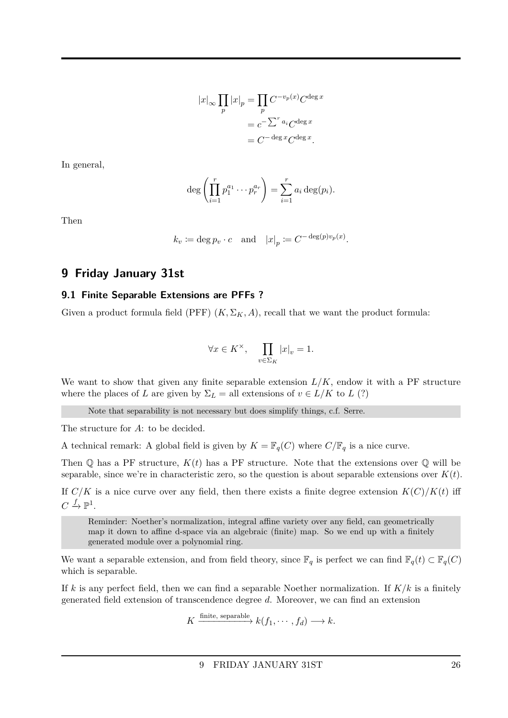$$
|x|_{\infty} \prod_{p} |x|_{p} = \prod_{p} C^{-v_{p}(x)} C^{\deg x}
$$

$$
= c^{-\sum_{p} a_{i}} C^{\deg x}
$$

$$
= C^{-\deg x} C^{\deg x}.
$$

In general,

$$
\deg\left(\prod_{i=1}^r p_1^{a_1}\cdots p_r^{a_r}\right)=\sum_{i=1}^r a_i\deg(p_i).
$$

Then

$$
k_v := \deg p_v \cdot c
$$
 and  $|x|_p := C^{-\deg(p)v_p(x)}$ .

### <span id="page-25-0"></span>**9 Friday January 31st**

#### <span id="page-25-1"></span>**9.1 Finite Separable Extensions are PFFs ?**

Given a product formula field (PFF)  $(K, \Sigma_K, A)$ , recall that we want the product formula:

$$
\forall x \in K^{\times}, \quad \prod_{v \in \Sigma_K} |x|_v = 1.
$$

We want to show that given any finite separable extension  $L/K$ , endow it with a PF structure where the places of *L* are given by  $\Sigma_L =$  all extensions of  $v \in L/K$  to *L* (?)

Note that separability is not necessary but does simplify things, c.f. Serre.

The structure for *A*: to be decided.

A technical remark: A global field is given by  $K = \mathbb{F}_q(C)$  where  $C/\mathbb{F}_q$  is a nice curve.

Then  $\mathbb Q$  has a PF structure,  $K(t)$  has a PF structure. Note that the extensions over  $\mathbb Q$  will be separable, since we're in characteristic zero, so the question is about separable extensions over  $K(t)$ .

If  $C/K$  is a nice curve over any field, then there exists a finite degree extension  $K(C)/K(t)$  iff  $C \stackrel{f}{\to} \mathbb{P}^1$ .

Reminder: Noether's normalization, integral affine variety over any field, can geometrically map it down to affine d-space via an algebraic (finite) map. So we end up with a finitely generated module over a polynomial ring.

We want a separable extension, and from field theory, since  $\mathbb{F}_q$  is perfect we can find  $\mathbb{F}_q(t) \subset \mathbb{F}_q(C)$ which is separable.

If  $k$  is any perfect field, then we can find a separable Noether normalization. If  $K/k$  is a finitely generated field extension of transcendence degree *d*. Moreover, we can find an extension

$$
K \xrightarrow{\text{finite, separable}} k(f_1, \cdots, f_d) \longrightarrow k.
$$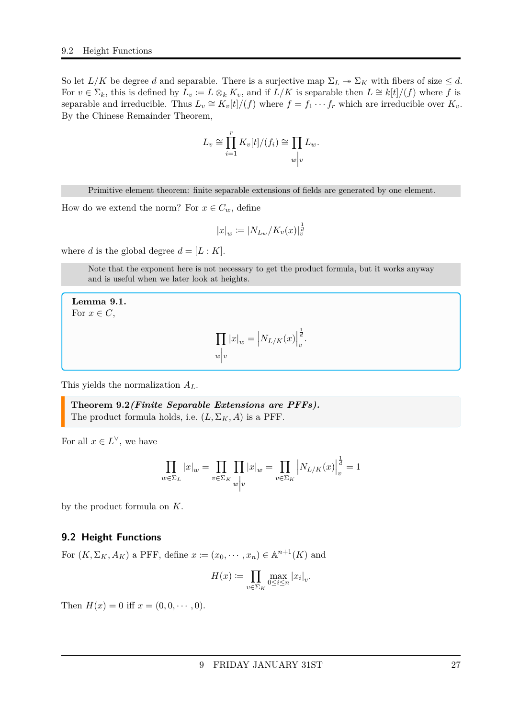So let  $L/K$  be degree *d* and separable. There is a surjective map  $\Sigma_L \rightarrow \Sigma_K$  with fibers of size  $\leq d$ . For  $v \in \Sigma_k$ , this is defined by  $L_v := L \otimes_k K_v$ , and if  $L/K$  is separable then  $L \cong k[t]/(f)$  where f is separable and irreducible. Thus  $L_v \cong K_v[t]/(f)$  where  $f = f_1 \cdots f_r$  which are irreducible over  $K_v$ . By the Chinese Remainder Theorem,

$$
L_v \cong \prod_{i=1}^r K_v[t]/(f_i) \cong \prod_{w \mid v} L_w.
$$

Primitive element theorem: finite separable extensions of fields are generated by one element.

How do we extend the norm? For  $x \in C_w$ , define

$$
|x|_w := |N_{L_w}/K_v(x)|_v^{\frac{1}{d}}
$$

where *d* is the global degree  $d = [L : K]$ .

Note that the exponent here is not necessary to get the product formula, but it works anyway and is useful when we later look at heights.

**Lemma 9.1.** For  $x \in C$ ,

$$
\prod_{w \mid v} |x|_{w} = \left| N_{L/K}(x) \right|_{v}^{\frac{1}{d}}.
$$

This yields the normalization *AL*.

<span id="page-26-1"></span>**Theorem 9.2***(Finite Separable Extensions are PFFs).* The product formula holds, i.e.  $(L, \Sigma_K, A)$  is a PFF.

For all  $x \in L^{\vee}$ , we have

$$
\prod_{w \in \Sigma_L} |x|_w = \prod_{v \in \Sigma_K} \prod_{w \mid v} |x|_w = \prod_{v \in \Sigma_K} |N_{L/K}(x)|_v^{\frac{1}{d}} = 1
$$

by the product formula on *K*.

#### <span id="page-26-0"></span>**9.2 Height Functions**

For  $(K, \Sigma_K, A_K)$  a PFF, define  $x := (x_0, \dots, x_n) \in \mathbb{A}^{n+1}(K)$  and

$$
H(x) := \prod_{v \in \Sigma_K} \max_{0 \le i \le n} |x_i|_v.
$$

Then  $H(x) = 0$  iff  $x = (0, 0, \dots, 0)$ .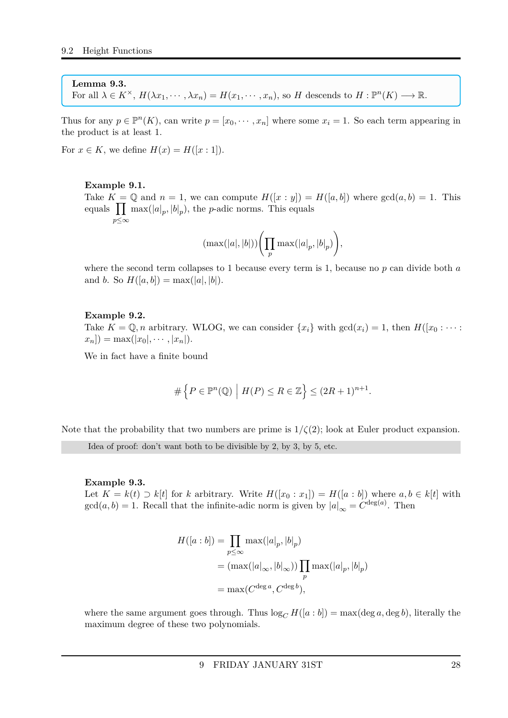#### **Lemma 9.3.**

For all  $\lambda \in K^{\times}$ ,  $H(\lambda x_1, \dots, \lambda x_n) = H(x_1, \dots, x_n)$ , so *H* descends to  $H : \mathbb{P}^n(K) \longrightarrow \mathbb{R}$ .

Thus for any  $p \in \mathbb{P}^n(K)$ , can write  $p = [x_0, \dots, x_n]$  where some  $x_i = 1$ . So each term appearing in the product is at least 1.

For  $x \in K$ , we define  $H(x) = H([x:1])$ .

#### **Example 9.1.**

Take  $K = \mathbb{Q}$  and  $n = 1$ , we can compute  $H([x : y]) = H([a, b])$  where  $gcd(a, b) = 1$ . This equals  $\prod_{p} \max(|a|_p, |b|_p)$ , the *p*-adic norms. This equals *p*≤∞

$$
(\max(|a|,|b|))\biggl(\prod_{p}\max(|a|_{p},|b|_{p})\biggr),
$$

where the second term collapses to 1 because every term is 1, because no *p* can divide both *a* and *b*. So  $H([a, b]) = \max(|a|, |b|)$ .

#### **Example 9.2.**

Take  $K = \mathbb{Q}, n$  arbitrary. WLOG, we can consider  $\{x_i\}$  with  $gcd(x_i) = 1$ , then  $H([x_0 : \cdots :$  $x_n$ ]) = max(| $x_0$ |, · · · *,* | $x_n$ |).

We in fact have a finite bound

$$
\#\left\{P\in\mathbb{P}^n(\mathbb{Q})\,\Big|\,H(P)\leq R\in\mathbb{Z}\right\}\leq (2R+1)^{n+1}.
$$

Note that the probability that two numbers are prime is  $1/\zeta(2)$ ; look at Euler product expansion.

Idea of proof: don't want both to be divisible by 2, by 3, by 5, etc.

#### **Example 9.3.**

Let  $K = k(t) \supset k[t]$  for *k* arbitrary. Write  $H([x_0 : x_1]) = H([a : b])$  where  $a, b \in k[t]$  with  $gcd(a, b) = 1$ . Recall that the infinite-adic norm is given by  $|a|_{\infty} = C^{\deg(a)}$ . Then

$$
H([a:b]) = \prod_{p \leq \infty} \max(|a|_p, |b|_p)
$$
  
=  $(\max(|a|_{\infty}, |b|_{\infty})) \prod_p \max(|a|_p, |b|_p)$   
=  $\max(C^{\deg a}, C^{\deg b}),$ 

where the same argument goes through. Thus  $\log_{C} H([a:b]) = \max(\deg a, \deg b)$ , literally the maximum degree of these two polynomials.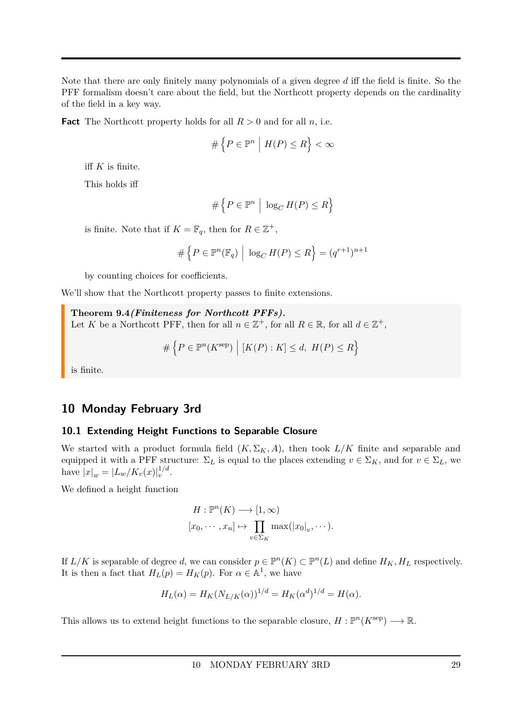Note that there are only finitely many polynomials of a given degree *d* iff the field is finite. So the PFF formalism doesn't care about the field, but the Northcott property depends on the cardinality of the field in a key way.

**Fact** The Northcott property holds for all  $R > 0$  and for all *n*, i.e.

$$
\#\left\{P\in\mathbb{P}^n\;\Big|\;H(P)\leq R\right\}<\infty
$$

iff *K* is finite.

This holds iff

$$
\# \left\{ P \in \mathbb{P}^n \; \Big| \; \log_C H(P) \leq R \right\}
$$

is finite. Note that if  $K = \mathbb{F}_q$ , then for  $R \in \mathbb{Z}^+$ ,

$$
\# \left\{ P \in \mathbb{P}^n(\mathbb{F}_q) \; \Big| \; \log_C H(P) \le R \right\} = (q^{r+1})^{n+1}
$$

by counting choices for coefficients.

We'll show that the Northcott property passes to finite extensions.

<span id="page-28-2"></span>**Theorem 9.4***(Finiteness for Northcott PFFs).* Let *K* be a Northcott PFF, then for all  $n \in \mathbb{Z}^+$ , for all  $R \in \mathbb{R}$ , for all  $d \in \mathbb{Z}^+$ ,

$$
\# \left\{ P \in \mathbb{P}^n(K^{\text{sep}}) \mid [K(P):K] \le d, \ H(P) \le R \right\}
$$

is finite.

### <span id="page-28-0"></span>**10 Monday February 3rd**

#### <span id="page-28-1"></span>**10.1 Extending Height Functions to Separable Closure**

We started with a product formula field  $(K, \Sigma_K, A)$ , then took  $L/K$  finite and separable and equipped it with a PFF structure:  $\Sigma_L$  is equal to the places extending  $v \in \Sigma_K$ , and for  $v \in \Sigma_L$ , we have  $|x|_w = |L_w/K_v(x)|_v^{1/d}$  $\frac{1}{v}$ .

We defined a height function

$$
H: \mathbb{P}^n(K) \longrightarrow [1, \infty)
$$
  

$$
[x_0, \cdots, x_n] \mapsto \prod_{v \in \Sigma_K} \max(|x_0|_v, \cdots).
$$

If  $L/K$  is separable of degree *d*, we can consider  $p \in \mathbb{P}^n(K) \subset \mathbb{P}^n(L)$  and define  $H_K, H_L$  respectively. It is then a fact that  $H_L(p) = H_K(p)$ . For  $\alpha \in \mathbb{A}^1$ , we have

$$
H_L(\alpha) = H_K(N_{L/K}(\alpha))^{1/d} = H_K(\alpha^d)^{1/d} = H(\alpha).
$$

This allows us to extend height functions to the separable closure,  $H: \mathbb{P}^n(K^{\text{sep}}) \longrightarrow \mathbb{R}$ .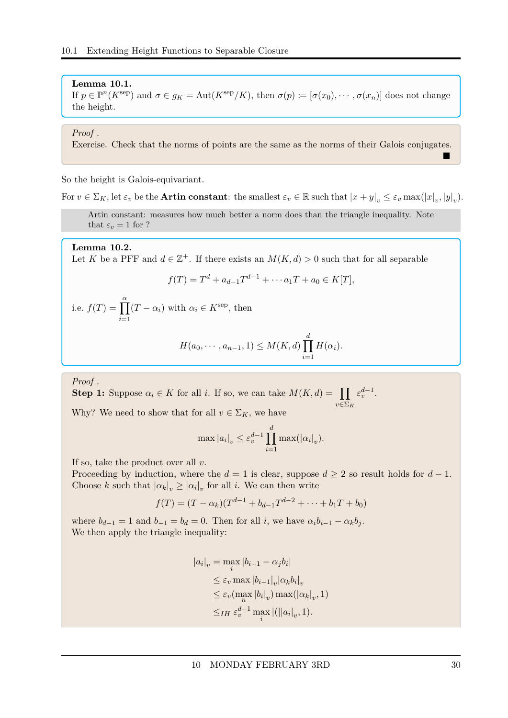**Lemma 10.1.** If  $p \in \mathbb{P}^n(K^{\text{sep}})$  and  $\sigma \in g_K = \text{Aut}(K^{\text{sep}}/K)$ , then  $\sigma(p) := [\sigma(x_0), \cdots, \sigma(x_n)]$  does not change the height.

#### *Proof .*

Exercise. Check that the norms of points are the same as the norms of their Galois conjugates.

So the height is Galois-equivariant.

For  $v \in \Sigma_K$ , let  $\varepsilon_v$  be the **Artin constant**: the smallest  $\varepsilon_v \in \mathbb{R}$  such that  $|x + y|_v \leq \varepsilon_v \max(|x|_v, |y|_v)$ .

Artin constant: measures how much better a norm does than the triangle inequality. Note that  $\varepsilon_v = 1$  for ?

#### **Lemma 10.2.**

Let *K* be a PFF and  $d \in \mathbb{Z}^+$ . If there exists an  $M(K, d) > 0$  such that for all separable

$$
f(T) = Td + ad-1Td-1 + \cdots a_1T + a_0 \in K[T],
$$

i.e.  $f(T) = \prod^{\alpha}$ *i*=1  $(T - \alpha_i)$  with  $\alpha_i \in K^{\text{sep}}$ , then

$$
H(a_0, \cdots, a_{n-1}, 1) \leq M(K, d) \prod_{i=1}^d H(\alpha_i).
$$

*Proof .*

**Step 1:** Suppose  $\alpha_i \in K$  for all *i*. If so, we can take  $M(K, d) = \prod$ *v*∈Σ*<sup>K</sup>*  $\varepsilon_v^{d-1}$ .

Why? We need to show that for all  $v \in \Sigma_K$ , we have

$$
\max |a_i|_v \leq \varepsilon_v^{d-1} \prod_{i=1}^d \max(|\alpha_i|_v).
$$

If so, take the product over all *v*.

Proceeding by induction, where the  $d = 1$  is clear, suppose  $d \geq 2$  so result holds for  $d - 1$ . Choose *k* such that  $|a_k|_v \geq |a_i|_v$  for all *i*. We can then write

$$
f(T) = (T - \alpha_k)(T^{d-1} + b_{d-1}T^{d-2} + \dots + b_1T + b_0)
$$

where  $b_{d-1} = 1$  and  $b_{-1} = b_d = 0$ . Then for all *i*, we have  $\alpha_i b_{i-1} - \alpha_k b_j$ . We then apply the triangle inequality:

$$
|a_i|_v = \max_i |b_{i-1} - \alpha_j b_i|
$$
  
\n
$$
\leq \varepsilon_v \max_i |b_{i-1}|_v |\alpha_k b_i|_v
$$
  
\n
$$
\leq \varepsilon_v (\max_n |b_i|_v) \max(|\alpha_k|_v, 1)
$$
  
\n
$$
\leq_{IH} \varepsilon_v^{d-1} \max_i |(||a_i|_v, 1).
$$

 $\blacksquare$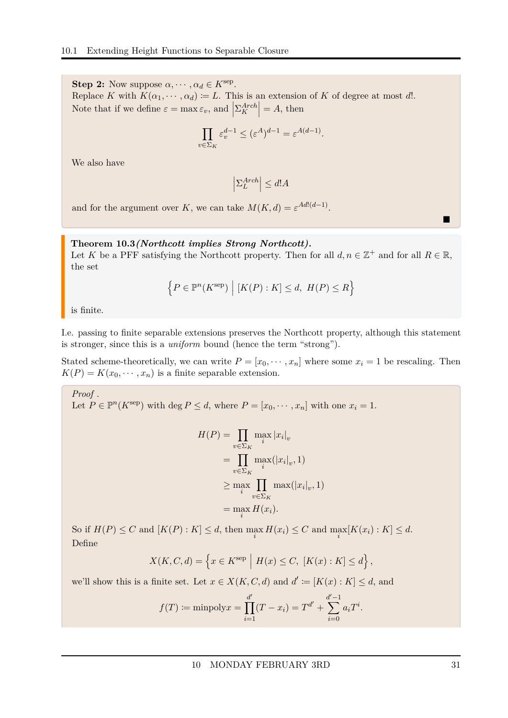**Step 2:** Now suppose  $\alpha, \dots, \alpha_d \in K^{\text{sep}}$ . Replace *K* with  $K(\alpha_1, \dots, \alpha_d) := L$ . This is an extension of *K* of degree at most *d*!. Note that if we define  $\varepsilon = \max \varepsilon_v$ , and  $\left| \sum_{K}^{Arch} \right| = A$ , then

$$
\prod_{v \in \Sigma_K} \varepsilon_v^{d-1} \le (\varepsilon^A)^{d-1} = \varepsilon^{A(d-1)}.
$$

We also have

 $\left|\sum_{L}^{Arch}\right| \leq d!A$ 

and for the argument over *K*, we can take  $M(K, d) = \varepsilon^{Ad!(d-1)}$ .

#### <span id="page-30-0"></span>**Theorem 10.3***(Northcott implies Strong Northcott).*

Let *K* be a PFF satisfying the Northcott property. Then for all  $d, n \in \mathbb{Z}^+$  and for all  $R \in \mathbb{R}$ , the set

$$
\left\{ P \in \mathbb{P}^n(K^{\text{sep}}) \mid [K(P):K] \le d, H(P) \le R \right\}
$$

is finite.

I.e. passing to finite separable extensions preserves the Northcott property, although this statement is stronger, since this is a *uniform* bound (hence the term "strong").

Stated scheme-theoretically, we can write  $P = [x_0, \dots, x_n]$  where some  $x_i = 1$  be rescaling. Then  $K(P) = K(x_0, \dots, x_n)$  is a finite separable extension.

*Proof .* Let  $P \in \mathbb{P}^n(K^{\text{sep}})$  with deg  $P \leq d$ , where  $P = [x_0, \dots, x_n]$  with one  $x_i = 1$ .

$$
H(P) = \prod_{v \in \Sigma_K} \max_i |x_i|_v
$$
  
= 
$$
\prod_{v \in \Sigma_K} \max_i (|x_i|_v, 1)
$$
  

$$
\geq \max_i \prod_{v \in \Sigma_K} \max_i (|x_i|_v, 1)
$$
  
= 
$$
\max_i H(x_i).
$$

So if  $H(P) \leq C$  and  $[K(P): K] \leq d$ , then  $\max_i H(x_i) \leq C$  and  $\max_i [K(x_i): K] \leq d$ . Define

$$
X(K, C, d) = \left\{ x \in K^{\text{sep}} \mid H(x) \le C, \ [K(x) : K] \le d \right\},\
$$

we'll show this is a finite set. Let  $x \in X(K, C, d)$  and  $d' := [K(x) : K] \le d$ , and

$$
f(T) := \text{minpoly} x = \prod_{i=1}^{d'} (T - x_i) = T^{d'} + \sum_{i=0}^{d'-1} a_i T^i.
$$

П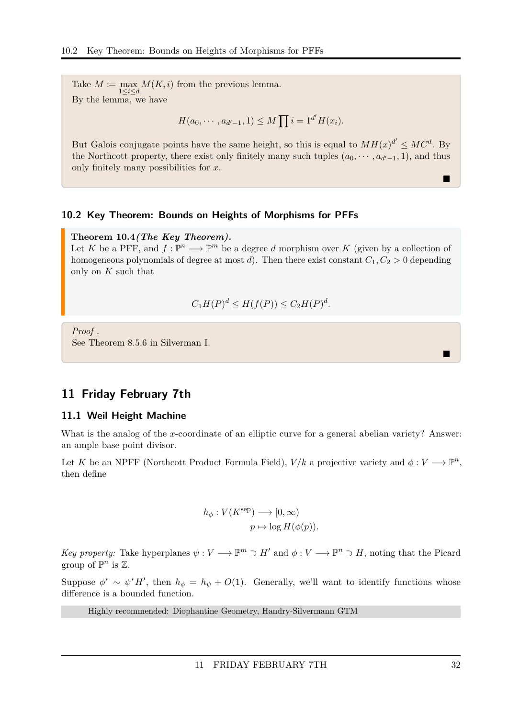Take  $M \coloneqq \max_{1 \leq i \leq d} M(K, i)$  from the previous lemma. By the lemma, we have

$$
H(a_0, \cdots, a_{d'-1}, 1) \leq M \prod i = 1^{d'} H(x_i).
$$

But Galois conjugate points have the same height, so this is equal to  $MH(x)^{d'} \leq MC^d$ . By the Northcott property, there exist only finitely many such tuples  $(a_0, \dots, a_{d'-1}, 1)$ , and thus only finitely many possibilities for *x*.

#### <span id="page-31-0"></span>**10.2 Key Theorem: Bounds on Heights of Morphisms for PFFs**

#### <span id="page-31-3"></span>**Theorem 10.4***(The Key Theorem).*

Let *K* be a PFF, and  $f: \mathbb{P}^n \longrightarrow \mathbb{P}^m$  be a degree *d* morphism over *K* (given by a collection of homogeneous polynomials of degree at most *d*). Then there exist constant  $C_1, C_2 > 0$  depending only on *K* such that

$$
C_1H(P)^d \le H(f(P)) \le C_2H(P)^d.
$$

*Proof .* See Theorem 8.5.6 in Silverman I.

### <span id="page-31-1"></span>**11 Friday February 7th**

#### <span id="page-31-2"></span>**11.1 Weil Height Machine**

What is the analog of the *x*-coordinate of an elliptic curve for a general abelian variety? Answer: an ample base point divisor.

Let *K* be an NPFF (Northcott Product Formula Field),  $V/k$  a projective variety and  $\phi: V \longrightarrow \mathbb{P}^n$ , then define

$$
h_{\phi}: V(K^{\text{sep}}) \longrightarrow [0, \infty)
$$

$$
p \mapsto \log H(\phi(p)).
$$

*Key property:* Take hyperplanes  $\psi : V \longrightarrow \mathbb{P}^m \supset H'$  and  $\phi : V \longrightarrow \mathbb{P}^n \supset H$ , noting that the Picard group of  $\mathbb{P}^n$  is  $\mathbb{Z}$ .

Suppose  $\phi^* \sim \psi^* H'$ , then  $h_{\phi} = h_{\psi} + O(1)$ . Generally, we'll want to identify functions whose difference is a bounded function.

Highly recommended: Diophantine Geometry, Handry-Silvermann GTM

П

Е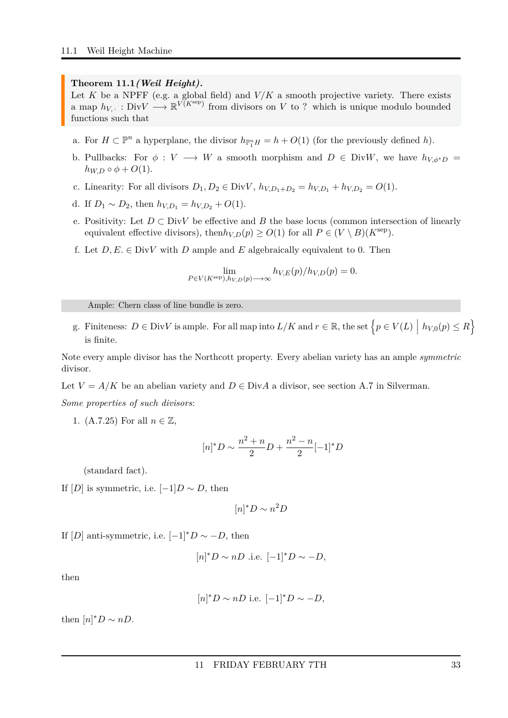#### <span id="page-32-0"></span>**Theorem 11.1***(Weil Height).*

Let  $K$  be a NPFF (e.g. a global field) and  $V/K$  a smooth projective variety. There exists a map  $h_{V, \cdot} : Div V \longrightarrow \mathbb{R}^{V(K^{\text{sep}})}$  from divisors on *V* to ? which is unique modulo bounded functions such that

- a. For  $H \subset \mathbb{P}^n$  a hyperplane, the divisor  $h_{\mathbb{P}_1^n}H = h + O(1)$  (for the previously defined *h*).
- b. Pullbacks: For  $\phi: V \longrightarrow W$  a smooth morphism and  $D \in DivW$ , we have  $h_{V,\phi^*D} =$  $h_{W,D} \circ \phi + O(1)$ .
- c. Linearity: For all divisors  $D_1, D_2 \in Div V, h_{V,D_1+D_2} = h_{V,D_1} + h_{V,D_2} = O(1)$ .
- d. If  $D_1$  ∼  $D_2$ , then  $h_{V,D_1} = h_{V,D_2} + O(1)$ .
- e. Positivity: Let  $D \subset DivV$  be effective and  $B$  the base locus (common intersection of linearly equivalent effective divisors), then  $h_{V,D}(p) \geq O(1)$  for all  $P \in (V \setminus B)(K^{\text{sep}})$ .
- f. Let  $D, E \in Div V$  with  $D$  ample and  $E$  algebraically equivalent to 0. Then

$$
\lim_{P \in V(K^{\text{sep}}), h_{V,D}(p) \longrightarrow \infty} h_{V,E}(p)/h_{V,D}(p) = 0.
$$

Ample: Chern class of line bundle is zero.

g. Finiteness:  $D \in \text{Div}V$  is ample. For all map into  $L/K$  and  $r \in \mathbb{R}$ , the set  $\left\{p \in V(L) \mid h_{V,0}(p) \leq R\right\}$ is finite.

Note every ample divisor has the Northcott property. Every abelian variety has an ample *symmetric* divisor.

Let  $V = A/K$  be an abelian variety and  $D \in Div A$  a divisor, see section A.7 in Silverman.

*Some properties of such divisors*:

1. (A.7.25) For all  $n \in \mathbb{Z}$ ,

$$
[n]^*D \sim \frac{n^2 + n}{2}D + \frac{n^2 - n}{2}[-1]^*D
$$

(standard fact).

If  $[D]$  is symmetric, i.e.  $[-1]D \sim D$ , then

$$
[n]^*D \sim n^2D
$$

If  $[D]$  anti-symmetric, i.e.  $[-1]^*D \sim -D$ , then

$$
[n]^*D \sim nD
$$
 i.e.  $[-1]^*D \sim -D$ ,

then

$$
[n]^*D \sim nD \text{ i.e. } [-1]^*D \sim -D,
$$

then  $[n]^*D \sim nD$ .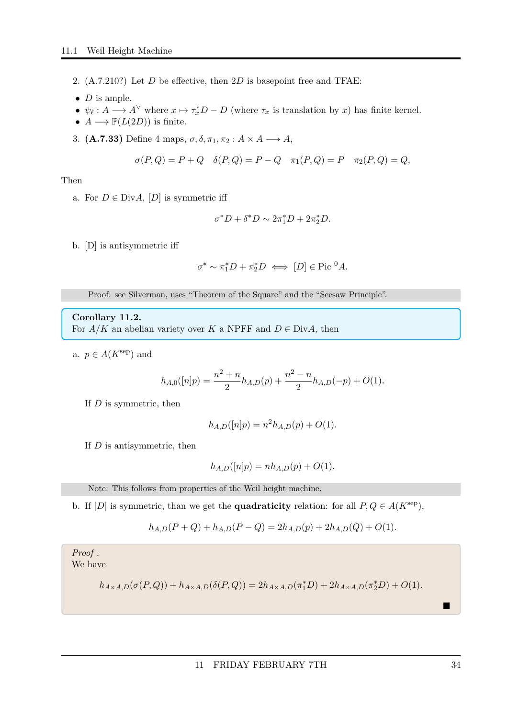- 2. (A.7.210?) Let *D* be effective, then 2*D* is basepoint free and TFAE:
- $\bullet$  *D* is ample.
- $\psi_{\ell}: A \longrightarrow A^{\vee}$  where  $x \mapsto \tau_x^* D D$  (where  $\tau_x$  is translation by *x*) has finite kernel.
- $A \longrightarrow \mathbb{P}(L(2D))$  is finite.
- 3. **(A.7.33)** Define 4 maps,  $\sigma$ ,  $\delta$ ,  $\pi_1$ ,  $\pi_2$  :  $A \times A \longrightarrow A$ ,

$$
\sigma(P,Q) = P + Q \quad \delta(P,Q) = P - Q \quad \pi_1(P,Q) = P \quad \pi_2(P,Q) = Q,
$$

Then

a. For  $D \in Div A$ ,  $[D]$  is symmetric iff

$$
\sigma^* D + \delta^* D \sim 2\pi_1^* D + 2\pi_2^* D.
$$

b. [D] is antisymmetric iff

$$
\sigma^* \sim \pi_1^* D + \pi_2^* D \iff [D] \in \text{Pic}^0 A.
$$

Proof: see Silverman, uses "Theorem of the Square" and the "Seesaw Principle".

**Corollary 11.2.**

For  $A/K$  an abelian variety over *K* a NPFF and  $D \in Div A$ , then

a.  $p \in A(K^{\text{sep}})$  and

$$
h_{A,0}([n]p) = \frac{n^2 + n}{2}h_{A,D}(p) + \frac{n^2 - n}{2}h_{A,D}(-p) + O(1).
$$

If *D* is symmetric, then

$$
h_{A,D}([n]p) = n^2 h_{A,D}(p) + O(1).
$$

If *D* is antisymmetric, then

$$
h_{A,D}([n]p) = nh_{A,D}(p) + O(1).
$$

Note: This follows from properties of the Weil height machine.

b. If  $[D]$  is symmetric, than we get the **quadraticity** relation: for all  $P, Q \in A(K^{\text{sep}})$ ,

$$
h_{A,D}(P+Q) + h_{A,D}(P-Q) = 2h_{A,D}(p) + 2h_{A,D}(Q) + O(1).
$$

*Proof .* We have

$$
h_{A \times A,D}(\sigma(P,Q)) + h_{A \times A,D}(\delta(P,Q)) = 2h_{A \times A,D}(\pi_1^*D) + 2h_{A \times A,D}(\pi_2^*D) + O(1).
$$

 $\blacksquare$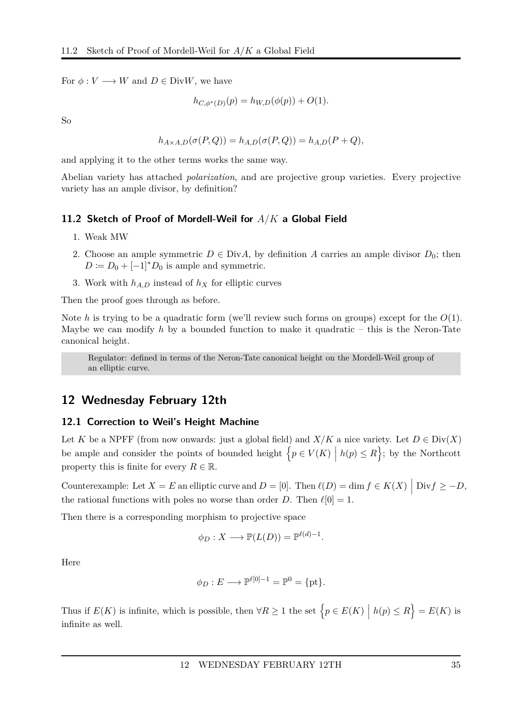For  $\phi: V \longrightarrow W$  and  $D \in Div W$ , we have

$$
h_{C, \phi^*(D)}(p) = h_{W,D}(\phi(p)) + O(1).
$$

So

$$
h_{A \times A,D}(\sigma(P,Q)) = h_{A,D}(\sigma(P,Q)) = h_{A,D}(P+Q),
$$

and applying it to the other terms works the same way.

Abelian variety has attached *polarization*, and are projective group varieties. Every projective variety has an ample divisor, by definition?

#### <span id="page-34-0"></span>**11.2 Sketch of Proof of Mordell-Weil for** *A/K* **a Global Field**

- 1. Weak MW
- 2. Choose an ample symmetric  $D \in Div A$ , by definition *A* carries an ample divisor  $D_0$ ; then  $D := D_0 + [-1]^* D_0$  is ample and symmetric.
- 3. Work with  $h_{A,D}$  instead of  $h_X$  for elliptic curves

Then the proof goes through as before.

Note *h* is trying to be a quadratic form (we'll review such forms on groups) except for the *O*(1). Maybe we can modify *h* by a bounded function to make it quadratic – this is the Neron-Tate canonical height.

Regulator: defined in terms of the Neron-Tate canonical height on the Mordell-Weil group of an elliptic curve.

### <span id="page-34-1"></span>**12 Wednesday February 12th**

#### <span id="page-34-2"></span>**12.1 Correction to Weil's Height Machine**

Let *K* be a NPFF (from now onwards: just a global field) and  $X/K$  a nice variety. Let  $D \in Div(X)$ be ample and consider the points of bounded height  $\{p \in V(K) \mid h(p) \leq R\}$ ; by the Northcott property this is finite for every  $R \in \mathbb{R}$ .

Counterexample: Let  $X = E$  an elliptic curve and  $D = [0]$ . Then  $\ell(D) = \dim f \in K(X) \mid \text{Div} f \ge -D$ , the rational functions with poles no worse than order *D*. Then  $\ell[0] = 1$ .

Then there is a corresponding morphism to projective space

$$
\phi_D: X \longrightarrow \mathbb{P}(L(D)) = \mathbb{P}^{\ell(d)-1}.
$$

Here

$$
\phi_D: E \longrightarrow \mathbb{P}^{\ell[0]-1} = \mathbb{P}^0 = \{\text{pt}\}.
$$

Thus if  $E(K)$  is infinite, which is possible, then  $\forall R \ge 1$  the set  $\left\{ p \in E(K) \mid h(p) \le R \right\} = E(K)$  is infinite as well.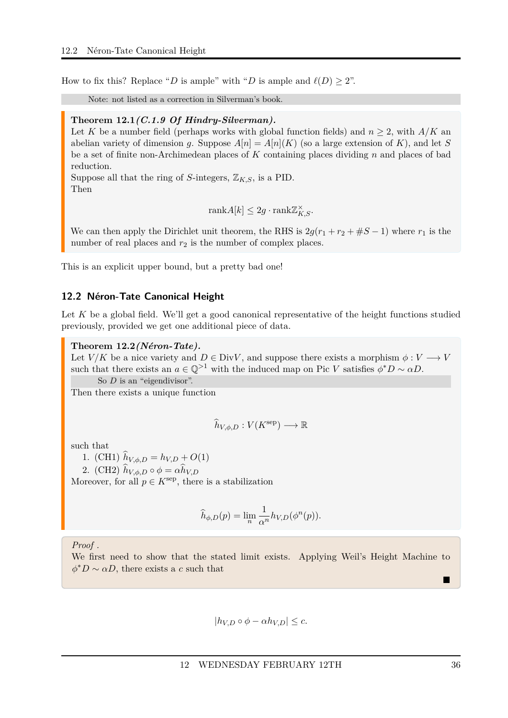How to fix this? Replace "*D* is ample" with "*D* is ample and  $\ell(D) \geq 2$ ".

Note: not listed as a correction in Silverman's book.

#### <span id="page-35-1"></span>**Theorem 12.1***(C.1.9 Of Hindry-Silverman).*

Let K be a number field (perhaps works with global function fields) and  $n \geq 2$ , with  $A/K$  and abelian variety of dimension *g*. Suppose  $A[n] = A[n](K)$  (so a large extension of K), and let *S* be a set of finite non-Archimedean places of *K* containing places dividing *n* and places of bad reduction.

Suppose all that the ring of *S*-integers,  $\mathbb{Z}_{K,S}$ , is a PID. Then

$$
rank A[k] \le 2g \cdot rank \mathbb{Z}_{K,S}^{\times}.
$$

We can then apply the Dirichlet unit theorem, the RHS is  $2q(r_1 + r_2 + \#S - 1)$  where  $r_1$  is the number of real places and  $r_2$  is the number of complex places.

This is an explicit upper bound, but a pretty bad one!

#### <span id="page-35-0"></span>**12.2 Néron-Tate Canonical Height**

Let K be a global field. We'll get a good canonical representative of the height functions studied previously, provided we get one additional piece of data.

<span id="page-35-2"></span>**Theorem 12.2***(Néron-Tate).*

Let  $V/K$  be a nice variety and  $D \in Div V$ , and suppose there exists a morphism  $\phi: V \longrightarrow V$ such that there exists an  $a \in \mathbb{Q}^{>1}$  with the induced map on Pic *V* satisfies  $\phi^*D \sim \alpha D$ .

So *D* is an "eigendivisor".

Then there exists a unique function

$$
\widehat{h}_{V,\phi,D}: V(K^{\text{sep}}) \longrightarrow \mathbb{R}
$$

such that

1. (CH1)  $h_{V,\phi,D} = h_{V,D} + O(1)$ 

2. (CH2)  $\hat{h}_{V,\phi,D} \circ \phi = \alpha \hat{h}_{V,D}$ 

Moreover, for all  $p \in K^{\text{sep}}$ , there is a stabilization

$$
\widehat{h}_{\phi,D}(p) = \lim_{n} \frac{1}{\alpha^n} h_{V,D}(\phi^n(p)).
$$

*Proof .*

We first need to show that the stated limit exists. Applying Weil's Height Machine to  $\phi^*D \sim \alpha D$ , there exists a *c* such that

 $|h_{VD} \circ \phi - \alpha h_{VD}| \leq c.$ 

П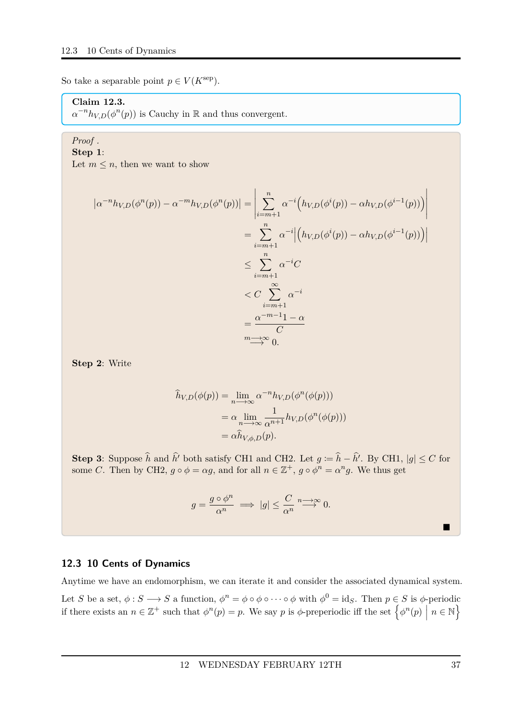So take a separable point  $p \in V(K^{\text{sep}})$ .

### **Claim 12.3.**

 $\alpha^{-n} h_{V,D}(\phi^n(p))$  is Cauchy in R and thus convergent.

### *Proof .*

**Step 1**: Let  $m \leq n$ , then we want to show

> $|a^{-n}h_{V,D}(\phi^n(p)) - a^{-m}h_{V,D}(\phi^n(p))|$  =  $\begin{array}{c} \begin{array}{c} \begin{array}{c} \begin{array}{c} \end{array} \\ \end{array} \\ \begin{array}{c} \end{array} \end{array} \end{array}$  $\sum_{n=1}^{n}$ *i*=*m*+1  $\alpha^{-i} (h_{V,D}(\phi^{i}(p)) - \alpha h_{V,D}(\phi^{i-1}(p)))$   $=\sum_{n=1}^{\infty}$ *i*=*m*+1  $\alpha^{-i}$  $\left(h_{V,D}(\phi^{i}(p)) - \alpha h_{V,D}(\phi^{i-1}(p))\right)$  $\leq$   $\sum_{n=1}^{n}$ *i*=*m*+1  $\alpha^{-i}C$  $\langle C \rangle \sum_{i=1}^{\infty}$ *i*=*m*+1  $\alpha^{-i}$  $=\frac{\alpha^{-m-1}1-\alpha}{\alpha}$ *C m* →∞ 0.

**Step 2**: Write

$$
\hat{h}_{V,D}(\phi(p)) = \lim_{n \to \infty} \alpha^{-n} h_{V,D}(\phi^n(\phi(p)))
$$
\n
$$
= \alpha \lim_{n \to \infty} \frac{1}{\alpha^{n+1}} h_{V,D}(\phi^n(\phi(p)))
$$
\n
$$
= \alpha \hat{h}_{V,\phi,D}(p).
$$

**Step 3**: Suppose  $\hat{h}$  and  $\hat{h}'$  both satisfy CH1 and CH2. Let  $g := \hat{h} - \hat{h}'$ . By CH1,  $|g| \le C$  for some *C*. Then by CH2,  $g \circ \phi = \alpha g$ , and for all  $n \in \mathbb{Z}^+$ ,  $g \circ \phi^n = \alpha^n g$ . We thus get

$$
g = \frac{g \circ \phi^n}{\alpha^n} \implies |g| \leq \frac{C}{\alpha^n} \stackrel{n \to \infty}{\longrightarrow} 0.
$$

### <span id="page-36-0"></span>**12.3 10 Cents of Dynamics**

Anytime we have an endomorphism, we can iterate it and consider the associated dynamical system. Let *S* be a set,  $\phi : S \longrightarrow S$  a function,  $\phi^n = \phi \circ \phi \circ \cdots \circ \phi$  with  $\phi^0 = id_S$ . Then  $p \in S$  is  $\phi$ -periodic if there exists an  $n \in \mathbb{Z}^+$  such that  $\phi^n(p) = p$ . We say *p* is  $\phi$ -preperiodic iff the set  $\left\{\phi^n(p) \mid n \in \mathbb{N}\right\}$ 

■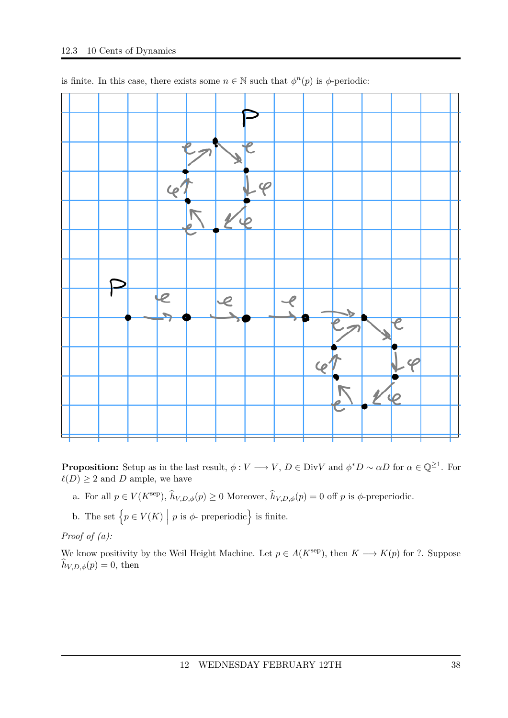

is finite. In this case, there exists some  $n \in \mathbb{N}$  such that  $\phi^n(p)$  is  $\phi$ -periodic:

**Proposition:** Setup as in the last result,  $\phi: V \longrightarrow V$ ,  $D \in Div V$  and  $\phi^*D \sim \alpha D$  for  $\alpha \in \mathbb{Q}^{\geq 1}$ . For  $\ell(D) \geq 2$  and *D* ample, we have

a. For all  $p \in V(K^{\text{sep}})$ ,  $\hat{h}_{V,D,\phi}(p) \ge 0$  Moreover,  $\hat{h}_{V,D,\phi}(p) = 0$  off  $p$  is  $\phi$ -preperiodic.

b. The set  $\left\{ p \in V(K) \mid p \text{ is } \phi \text{-} \text{preperiodic} \right\}$  is finite.

*Proof of (a):*

We know positivity by the Weil Height Machine. Let  $p \in A(K^{\text{sep}})$ , then  $K \longrightarrow K(p)$  for ?. Suppose  $\widehat{h}_{V,D,\phi}(p) = 0$ , then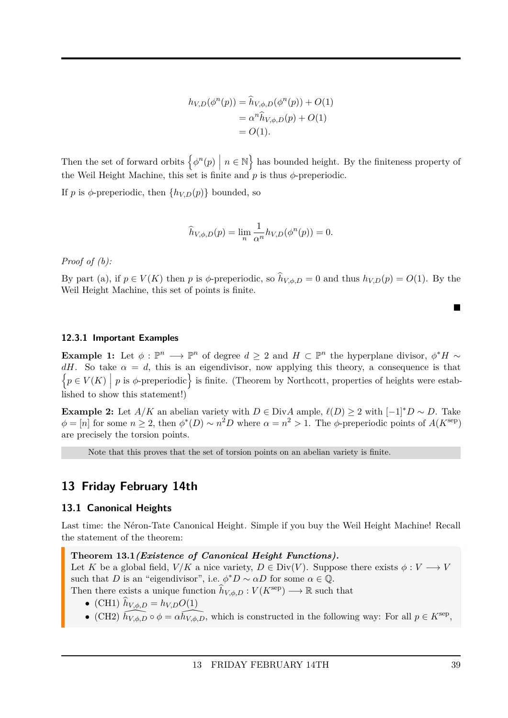$$
h_{V,D}(\phi^n(p)) = \hat{h}_{V,\phi,D}(\phi^n(p)) + O(1) = \alpha^n \hat{h}_{V,\phi,D}(p) + O(1) = O(1).
$$

Then the set of forward orbits  $\left\{\phi^n(p) \mid n \in \mathbb{N}\right\}$  has bounded height. By the finiteness property of the Weil Height Machine, this set is finite and *p* is thus *φ*-preperiodic.

If *p* is  $\phi$ -preperiodic, then  $\{h_{V,D}(p)\}\$  bounded, so

$$
\widehat{h}_{V,\phi,D}(p) = \lim_{n} \frac{1}{\alpha^n} h_{V,D}(\phi^n(p)) = 0.
$$

*Proof of (b):*

By part (a), if  $p \in V(K)$  then *p* is  $\phi$ -preperiodic, so  $\hat{h}_{V,\phi,D} = 0$  and thus  $h_{V,D}(p) = O(1)$ . By the Weil Height Machine, this set of points is finite.

#### <span id="page-38-0"></span>**12.3.1 Important Examples**

**Example 1:** Let  $\phi : \mathbb{P}^n \longrightarrow \mathbb{P}^n$  of degree  $d \geq 2$  and  $H \subset \mathbb{P}^n$  the hyperplane divisor,  $\phi^* H \sim$ *dH*. So take  $\alpha = d$ , this is an eigendivisor, now applying this theory, a consequence is that  $\{p \in V(K) \mid p \text{ is } \phi\text{-preperiodic}\}\$ is finite. (Theorem by Northcott, properties of heights were established to show this statement!)

**Example 2:** Let *A/K* an abelian variety with  $D \in Div A$  ample,  $\ell(D) \geq 2$  with  $[-1]^*D \sim D$ . Take  $\phi = [n]$  for some  $n \geq 2$ , then  $\phi^*(D) \sim n^2 D$  where  $\alpha = n^2 > 1$ . The  $\phi$ -preperiodic points of  $A(K^{\text{sep}})$ are precisely the torsion points.

Note that this proves that the set of torsion points on an abelian variety is finite.

### <span id="page-38-1"></span>**13 Friday February 14th**

#### <span id="page-38-2"></span>**13.1 Canonical Heights**

Last time: the Néron-Tate Canonical Height. Simple if you buy the Weil Height Machine! Recall the statement of the theorem:

<span id="page-38-3"></span>**Theorem 13.1***(Existence of Canonical Height Functions).*

Let *K* be a global field, *V/K* a nice variety,  $D \in Div(V)$ . Suppose there exists  $\phi: V \longrightarrow V$ such that *D* is an "eigendivisor", i.e.  $\phi^*D \sim \alpha D$  for some  $\alpha \in \mathbb{Q}$ . Then there exists a unique function  $\hat{h}_{V,\phi,D}: V(K^{\text{sep}}) \longrightarrow \mathbb{R}$  such that

- (CH1)  $\hat{h}_{V,\phi,D} = h_{V,D}O(1)$
- (CH2)  $\widehat{h_{V,\phi,D}} \circ \phi = \widehat{ah_{V,\phi,D}}$ , which is constructed in the following way: For all  $p \in K^{\text{sep}}$ ,

Ē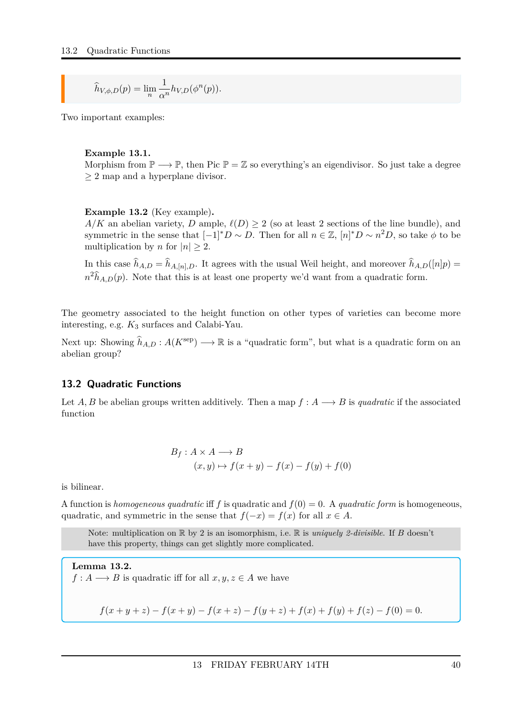$$
\widehat{h}_{V,\phi,D}(p) = \lim_{n} \frac{1}{\alpha^n} h_{V,D}(\phi^n(p)).
$$

Two important examples:

#### **Example 13.1.**

Morphism from  $\mathbb{P} \longrightarrow \mathbb{P}$ , then Pic  $\mathbb{P} = \mathbb{Z}$  so everything's an eigendivisor. So just take a degree ≥ 2 map and a hyperplane divisor.

#### **Example 13.2** (Key example)**.**

*A/K* an abelian variety, *D* ample,  $\ell(D) > 2$  (so at least 2 sections of the line bundle), and symmetric in the sense that  $[-1]^*D \sim D$ . Then for all  $n \in \mathbb{Z}$ ,  $[n]^*D \sim n^2D$ , so take  $\phi$  to be multiplication by *n* for  $|n| \geq 2$ .

In this case  $\hat{h}_{A,D} = \hat{h}_{A,[n],D}$ . It agrees with the usual Weil height, and moreover  $\hat{h}_{A,D}([n]p)$  $n^2\hat{h}_{A,D}(p)$ . Note that this is at least one property we'd want from a quadratic form.

The geometry associated to the height function on other types of varieties can become more interesting, e.g. *K*<sup>3</sup> surfaces and Calabi-Yau.

Next up: Showing  $\hat{h}_{A,D}: A(K^{\text{sep}}) \longrightarrow \mathbb{R}$  is a "quadratic form", but what is a quadratic form on an abelian group?

#### <span id="page-39-0"></span>**13.2 Quadratic Functions**

Let *A, B* be abelian groups written additively. Then a map  $f : A \longrightarrow B$  is *quadratic* if the associated function

$$
B_f: A \times A \longrightarrow B
$$
  
(x, y)  $\mapsto f(x + y) - f(x) - f(y) + f(0)$ 

is bilinear.

A function is *homogeneous quadratic* iff f is quadratic and  $f(0) = 0$ . A *quadratic form* is homogeneous, quadratic, and symmetric in the sense that  $f(-x) = f(x)$  for all  $x \in A$ .

Note: multiplication on R by 2 is an isomorphism, i.e. R is *uniquely 2-divisible*. If *B* doesn't have this property, things can get slightly more complicated.

**Lemma 13.2.**  $f: A \longrightarrow B$  is quadratic iff for all  $x, y, z \in A$  we have

$$
f(x + y + z) - f(x + y) - f(x + z) - f(y + z) + f(x) + f(y) + f(z) - f(0) = 0.
$$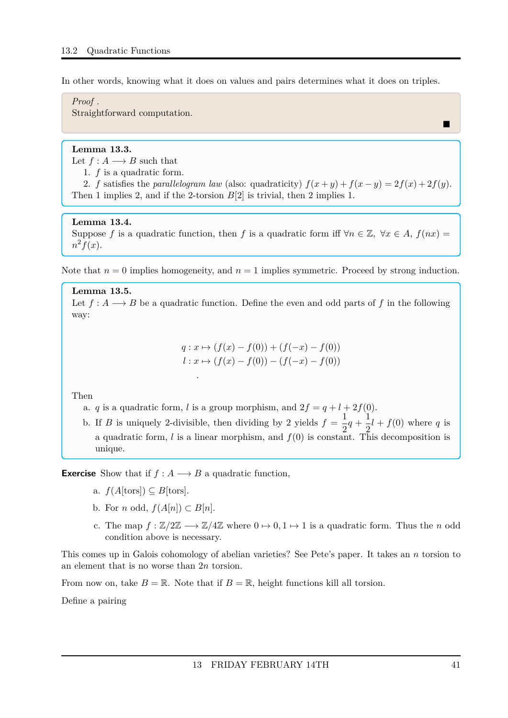In other words, knowing what it does on values and pairs determines what it does on triples.

#### *Proof .*

Straightforward computation.

#### **Lemma 13.3.**

- Let  $f : A \longrightarrow B$  such that
	- 1. *f* is a quadratic form.

2. *f* satisfies the *parallelogram law* (also: quadraticity)  $f(x + y) + f(x - y) = 2f(x) + 2f(y)$ . Then 1 implies 2, and if the 2-torsion *B*[2] is trivial, then 2 implies 1.

#### **Lemma 13.4.**

Suppose *f* is a quadratic function, then *f* is a quadratic form iff  $\forall n \in \mathbb{Z}$ ,  $\forall x \in A$ ,  $f(nx) =$  $n^2 f(x)$ .

Note that  $n = 0$  implies homogeneity, and  $n = 1$  implies symmetric. Proceed by strong induction.

**Lemma 13.5.** Let  $f: A \longrightarrow B$  be a quadratic function. Define the even and odd parts of f in the following way:

$$
q: x \mapsto (f(x) - f(0)) + (f(-x) - f(0))
$$
  

$$
l: x \mapsto (f(x) - f(0)) - (f(-x) - f(0))
$$

Then

a. *q* is a quadratic form, *l* is a group morphism, and  $2f = q + l + 2f(0)$ .

*.*

b. If *B* is uniquely 2-divisible, then dividing by 2 yields  $f = \frac{1}{2}$  $rac{1}{2}q + \frac{1}{2}$  $\frac{1}{2}l + f(0)$  where *q* is a quadratic form,  $l$  is a linear morphism, and  $f(0)$  is constant. This decomposition is unique.

**Exercise** Show that if  $f : A \longrightarrow B$  a quadratic function,

- a.  $f(A[tors])$  ⊂ *B*[tors].
- b. For *n* odd,  $f(A[n]) \subset B[n]$ .
- c. The map  $f : \mathbb{Z}/2\mathbb{Z} \longrightarrow \mathbb{Z}/4\mathbb{Z}$  where  $0 \mapsto 0, 1 \mapsto 1$  is a quadratic form. Thus the *n* odd condition above is necessary.

This comes up in Galois cohomology of abelian varieties? See Pete's paper. It takes an *n* torsion to an element that is no worse than 2*n* torsion.

From now on, take  $B = \mathbb{R}$ . Note that if  $B = \mathbb{R}$ , height functions kill all torsion.

Define a pairing

П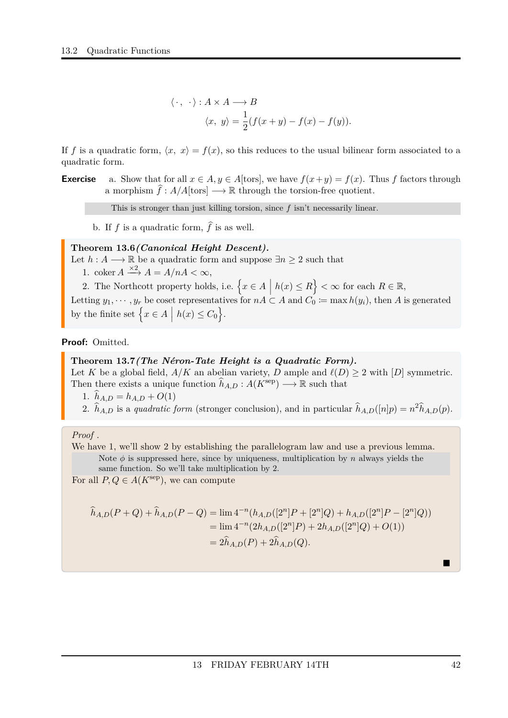$$
\langle \cdot, \cdot \rangle : A \times A \longrightarrow B
$$
  
 $\langle x, y \rangle = \frac{1}{2} (f(x+y) - f(x) - f(y)).$ 

If f is a quadratic form,  $\langle x, x \rangle = f(x)$ , so this reduces to the usual bilinear form associated to a quadratic form.

**Exercise** a. Show that for all  $x \in A, y \in A$  [tors], we have  $f(x+y) = f(x)$ . Thus *f* factors through a morphism  $\hat{f} : A/A$ [tors]  $\longrightarrow \mathbb{R}$  through the torsion-free quotient.

This is stronger than just killing torsion, since *f* isn't necessarily linear.

b. If  $f$  is a quadratic form,  $\hat{f}$  is as well.

### <span id="page-41-0"></span>**Theorem 13.6***(Canonical Height Descent).*

Let  $h: A \longrightarrow \mathbb{R}$  be a quadratic form and suppose  $\exists n \geq 2$  such that

- 1. coker  $A \xrightarrow{\times 2} A = A/nA < \infty$ ,
- 2. The Northcott property holds, i.e.  $\{x \in A \mid h(x) \le R\} < \infty$  for each  $R \in \mathbb{R}$ ,

Letting  $y_1, \dots, y_r$  be coset representatives for  $nA \subset A$  and  $C_0 \coloneqq \max h(y_i)$ , then *A* is generated by the finite set  $\left\{ x \in A \mid h(x) \leq C_0 \right\}$ .

**Proof:** Omitted.

#### <span id="page-41-1"></span>**Theorem 13.7***(The Néron-Tate Height is a Quadratic Form).*

Let *K* be a global field,  $A/K$  an abelian variety, *D* ample and  $\ell(D) \geq 2$  with [*D*] symmetric. Then there exists a unique function  $\hat{h}_{A,D}: A(K^{\text{sep}}) \longrightarrow \mathbb{R}$  such that

1.  $\hat{h}_{A,D} = h_{A,D} + O(1)$ 

2.  $\hat{h}_{A,D}$  is a *quadratic form* (stronger conclusion), and in particular  $\hat{h}_{A,D}([n]p) = n^2 \hat{h}_{A,D}(p)$ .

#### *Proof .*

We have 1, we'll show 2 by establishing the parallelogram law and use a previous lemma. Note  $\phi$  is suppressed here, since by uniqueness, multiplication by *n* always yields the same function. So we'll take multiplication by 2.

For all  $P, Q \in A(K^{\text{sep}})$ , we can compute

$$
\hat{h}_{A,D}(P+Q) + \hat{h}_{A,D}(P-Q) = \lim_{n \to \infty} 4^{-n} (h_{A,D}([2^n]P + [2^n]Q) + h_{A,D}([2^n]P - [2^n]Q))
$$
  
= 
$$
\lim_{n \to \infty} 4^{-n} (2h_{A,D}([2^n]P) + 2h_{A,D}([2^n]Q) + O(1))
$$
  
= 
$$
2\hat{h}_{A,D}(P) + 2\hat{h}_{A,D}(Q).
$$

Ē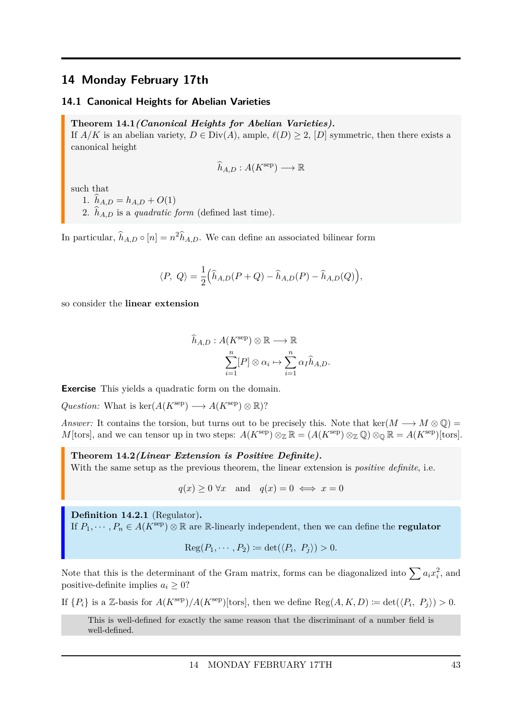### <span id="page-42-0"></span>**14 Monday February 17th**

#### <span id="page-42-1"></span>**14.1 Canonical Heights for Abelian Varieties**

#### <span id="page-42-3"></span>**Theorem 14.1***(Canonical Heights for Abelian Varieties).*

If  $A/K$  is an abelian variety,  $D \in Div(A)$ , ample,  $\ell(D) \geq 2$ ,  $[D]$  symmetric, then there exists a canonical height

$$
\widehat{h}_{A,D}:A(K^{\text{sep}})\longrightarrow \mathbb{R}
$$

such that

1.  $\hat{h}_{A,D} = h_{A,D} + O(1)$ 

2.  $\hat{h}_{AD}$  is a *quadratic form* (defined last time).

In particular,  $\hat{h}_{A,D} \circ [n] = n^2 \hat{h}_{A,D}$ . We can define an associated bilinear form

$$
\langle P, Q \rangle = \frac{1}{2} \Big( \widehat{h}_{A,D}(P+Q) - \widehat{h}_{A,D}(P) - \widehat{h}_{A,D}(Q) \Big),
$$

so consider the **linear extension**

$$
\widehat{h}_{A,D}: A(K^{\text{sep}}) \otimes \mathbb{R} \longrightarrow \mathbb{R}
$$

$$
\sum_{i=1}^{n} [P] \otimes \alpha_i \mapsto \sum_{i=1}^{n} \alpha_I \widehat{h}_{A,D}.
$$

**Exercise** This yields a quadratic form on the domain.

 $Question: What is ker(A(K<sup>sep</sup>) \longrightarrow A(K<sup>sep</sup>) \otimes \mathbb{R})$ ?

*Answer:* It contains the torsion, but turns out to be precisely this. Note that ker( $M \rightarrow M \otimes \mathbb{Q}$ ) = *M*[tors], and we can tensor up in two steps:  $A(K^{\text{sep}}) \otimes_{\mathbb{Z}} \mathbb{R} = (A(K^{\text{sep}}) \otimes_{\mathbb{Z}} \mathbb{Q}) \otimes_{\mathbb{Q}} \mathbb{R} = A(K^{\text{sep}})$ [tors].

<span id="page-42-4"></span>**Theorem 14.2***(Linear Extension is Positive Definite).* With the same setup as the previous theorem, the linear extension is *positive definite*, i.e.

 $q(x) \ge 0 \forall x$  and  $q(x) = 0 \iff x = 0$ 

<span id="page-42-2"></span>**Definition 14.2.1** (Regulator)**.** If  $P_1, \dots, P_n \in A(K^{\text{sep}}) \otimes \mathbb{R}$  are  $\mathbb{R}$ -linearly independent, then we can define the **regulator** 

$$
Reg(P_1, \cdots, P_2) \coloneqq det(\langle P_i, P_j \rangle) > 0.
$$

Note that this is the determinant of the Gram matrix, forms can be diagonalized into  $\sum a_i x_i^2$ , and positive-definite implies  $a_i > 0$ ?

If  $\{P_i\}$  is a Z-basis for  $A(K^{\text{sep}})/A(K^{\text{sep}})$ [tors], then we define  $\text{Reg}(A, K, D) := \det(\langle P_i, P_j \rangle) > 0$ .

This is well-defined for exactly the same reason that the discriminant of a number field is well-defined.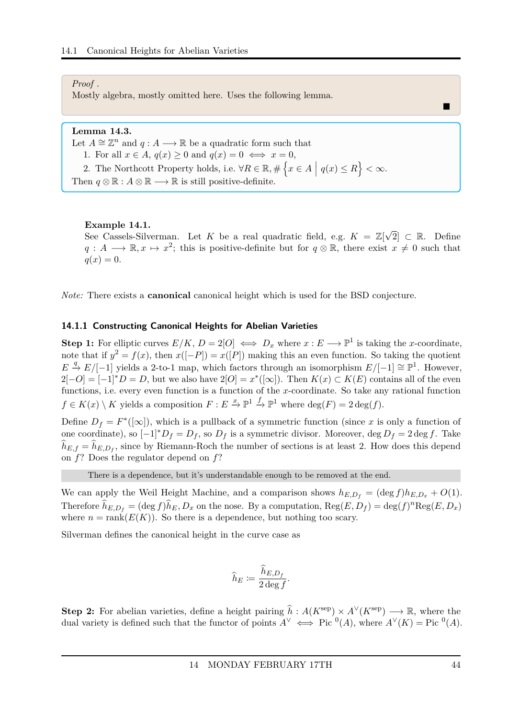#### *Proof .*

Mostly algebra, mostly omitted here. Uses the following lemma.

### **Lemma 14.3.**

Let  $A \cong \mathbb{Z}^n$  and  $q : A \longrightarrow \mathbb{R}$  be a quadratic form such that

- 1. For all  $x \in A$ ,  $q(x) \geq 0$  and  $q(x) = 0 \iff x = 0$ ,
- 2. The Northcott Property holds, i.e.  $\forall R \in \mathbb{R}, \#\{x \in A \mid q(x) \leq R\} < \infty$ .
- Then  $q \otimes \mathbb{R} : A \otimes \mathbb{R} \longrightarrow \mathbb{R}$  is still positive-definite.

#### **Example 14.1.**

See Cassels-Silverman. Let *K* be a real quadratic field, e.g. *K* = Z[ √ 2] ⊂ R. Define  $q: A \longrightarrow \mathbb{R}, x \mapsto x^2$ ; this is positive-definite but for  $q \otimes \mathbb{R}$ , there exist  $x \neq 0$  such that  $q(x) = 0.$ 

*Note:* There exists a **canonical** canonical height which is used for the BSD conjecture.

#### <span id="page-43-0"></span>**14.1.1 Constructing Canonical Heights for Abelian Varieties**

**Step 1:** For elliptic curves  $E/K$ ,  $D = 2[O] \iff D_x$  where  $x : E \longrightarrow \mathbb{P}^1$  is taking the *x*-coordinate, note that if  $y^2 = f(x)$ , then  $x([-P]) = x([P])$  making this an even function. So taking the quotient  $E \stackrel{q}{\rightarrow} E/[-1]$  yields a 2-to-1 map, which factors through an isomorphism  $E/[-1] \cong \mathbb{P}^1$ . However,  $2[-O] = [-1]^*D = D$ , but we also have  $2[O] = x^*([\infty])$ . Then  $K(x) \subset K(E)$  contains all of the even functions, i.e. every even function is a function of the *x*-coordinate. So take any rational function  $f \in K(x) \setminus K$  yields a composition  $F: E \stackrel{x}{\to} \mathbb{P}^1 \stackrel{f}{\to} \mathbb{P}^1$  where  $\deg(F) = 2 \deg(f)$ .

Define  $D_f = F^*([\infty])$ , which is a pullback of a symmetric function (since *x* is only a function of one coordinate), so  $[-1]^*D_f = D_f$ , so  $D_f$  is a symmetric divisor. Moreover, deg  $D_f = 2 \deg f$ . Take  $h_{E,f} = h_{E,D_f}$ , since by Riemann-Roch the number of sections is at least 2. How does this depend on *f*? Does the regulator depend on *f*?

There is a dependence, but it's understandable enough to be removed at the end.

We can apply the Weil Height Machine, and a comparison shows  $h_{E,D_f} = (\deg f)h_{E,D_x} + O(1)$ . Therefore  $\hat{h}_{E,D_f} = (\deg f)\hat{h}_E, D_x$  on the nose. By a computation,  $\text{Reg}(E, D_f) = \text{deg}(f)^n \text{Reg}(E, D_x)$ where  $n = \text{rank}(E(K))$ . So there is a dependence, but nothing too scary.

Silverman defines the canonical height in the curve case as

$$
\widehat{h}_E \coloneqq \frac{\widehat{h}_{E,D_f}}{2\deg f}.
$$

**Step 2:** For abelian varieties, define a height pairing  $\hat{h}$  :  $A(K^{\text{sep}}) \times A^{\vee}(K^{\text{sep}}) \longrightarrow \mathbb{R}$ , where the dual variety is defined such that the functor of points  $A^{\vee} \iff \text{Pic}^{0}(A)$ , where  $A^{\vee}(K) = \text{Pic}^{0}(A)$ .

П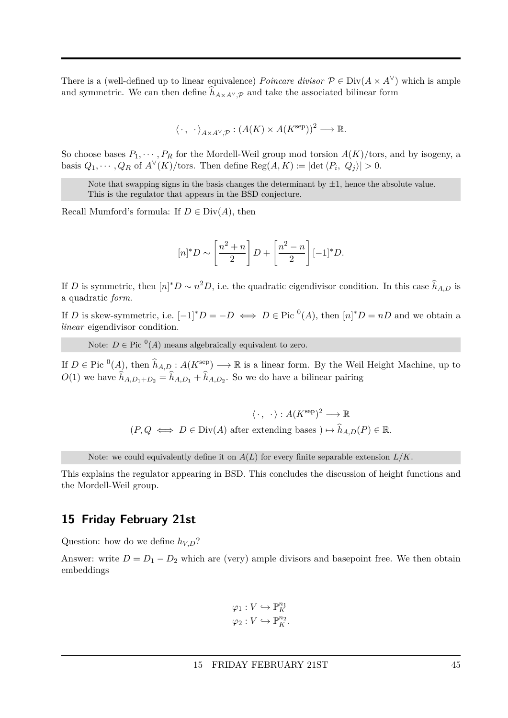There is a (well-defined up to linear equivalence) *Poincare divisor*  $P \in Div(A \times A^{\vee})$  which is ample and symmetric. We can then define  $h_{A\times A^{\vee},\mathcal{P}}$  and take the associated bilinear form

$$
\langle \cdot, \cdot \rangle_{A \times A^{\vee}, \mathcal{P}} : (A(K) \times A(K^{\text{sep}}))^2 \longrightarrow \mathbb{R}.
$$

So choose bases  $P_1, \dots, P_R$  for the Mordell-Weil group mod torsion  $A(K)/$ tors, and by isogeny, a basis  $Q_1, \dots, Q_R$  of  $A^{\vee}(K)/\text{tors.}$  Then define  $\text{Reg}(A, K) := |\text{det}\langle P_i, Q_j \rangle| > 0.$ 

Note that swapping signs in the basis changes the determinant by  $\pm 1$ , hence the absolute value. This is the regulator that appears in the BSD conjecture.

Recall Mumford's formula: If  $D \in Div(A)$ , then

$$
[n]^*D \sim \left[\frac{n^2+n}{2}\right]D + \left[\frac{n^2-n}{2}\right][-1]^*D.
$$

If *D* is symmetric, then  $[n]^*D \sim n^2D$ , i.e. the quadratic eigendivisor condition. In this case  $\hat{h}_{A,D}$  is a quadratic *form*.

If *D* is skew-symmetric, i.e.  $[-1]^*D = -D \iff D \in \text{Pic}^0(A)$ , then  $[n]^*D = nD$  and we obtain a *linear* eigendivisor condition.

Note:  $D \in \text{Pic} (A)$  means algebraically equivalent to zero.

If  $D \in \text{Pic} (A)$ , then  $\widehat{h}_{A,D}: A(K^{\text{sep}}) \longrightarrow \mathbb{R}$  is a linear form. By the Weil Height Machine, up to  $O(1)$  we have  $h_{A,D_1+D_2} = h_{A,D_1} + h_{A,D_2}$ . So we do have a bilinear pairing

$$
\langle \cdot, \cdot \rangle : A(K^{\text{sep}})^2 \longrightarrow \mathbb{R}
$$
  

$$
(P, Q \iff D \in \text{Div}(A) \text{ after extending bases } ) \mapsto \widehat{h}_{A,D}(P) \in \mathbb{R}.
$$

Note: we could equivalently define it on  $A(L)$  for every finite separable extension  $L/K$ .

This explains the regulator appearing in BSD. This concludes the discussion of height functions and the Mordell-Weil group.

### <span id="page-44-0"></span>**15 Friday February 21st**

Question: how do we define *hV,D*?

Answer: write  $D = D_1 - D_2$  which are (very) ample divisors and basepoint free. We then obtain embeddings

$$
\varphi_1: V \hookrightarrow \mathbb{P}_{K}^{n_1}
$$

$$
\varphi_2: V \hookrightarrow \mathbb{P}_{K}^{n_2}.
$$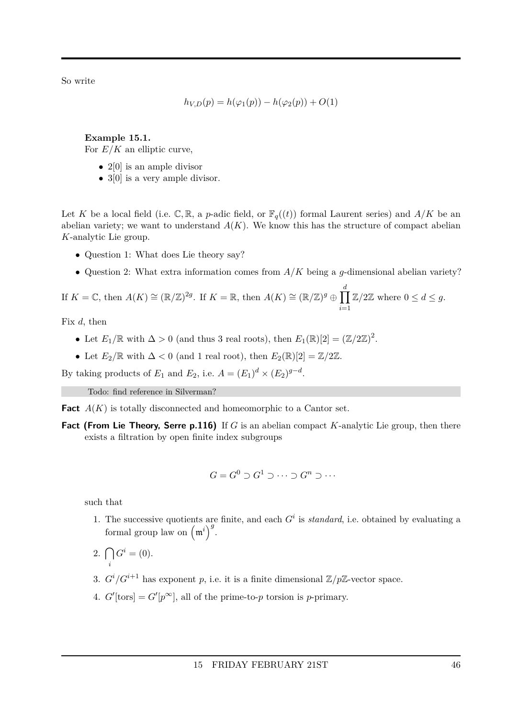So write

$$
h_{V,D}(p) = h(\varphi_1(p)) - h(\varphi_2(p)) + O(1)
$$

**Example 15.1.** For  $E/K$  an elliptic curve,

- $2[0]$  is an ample divisor
- 3[0] is a very ample divisor.

Let *K* be a local field (i.e.  $\mathbb{C}, \mathbb{R}$ , a *p*-adic field, or  $\mathbb{F}_q((t))$  formal Laurent series) and  $A/K$  be an abelian variety; we want to understand  $A(K)$ . We know this has the structure of compact abelian *K*-analytic Lie group.

- Question 1: What does Lie theory say?
- Question 2: What extra information comes from *A/K* being a *g*-dimensional abelian variety?

If  $K = \mathbb{C}$ , then  $A(K) \cong (\mathbb{R}/\mathbb{Z})^{2g}$ . If  $K = \mathbb{R}$ , then  $A(K) \cong (\mathbb{R}/\mathbb{Z})^g \oplus \prod_{k=1}^g$ *d i*=1  $\mathbb{Z}/2\mathbb{Z}$  where  $0 \leq d \leq g$ .

Fix *d*, then

- Let  $E_1/\mathbb{R}$  with  $\Delta > 0$  (and thus 3 real roots), then  $E_1(\mathbb{R})[2] = (\mathbb{Z}/2\mathbb{Z})^2$ .
- Let  $E_2/\mathbb{R}$  with  $\Delta < 0$  (and 1 real root), then  $E_2(\mathbb{R})[2] = \mathbb{Z}/2\mathbb{Z}$ .

By taking products of  $E_1$  and  $E_2$ , i.e.  $A = (E_1)^d \times (E_2)^{g-d}$ .

Todo: find reference in Silverman?

**Fact**  $A(K)$  is totally disconnected and homeomorphic to a Cantor set.

**Fact (From Lie Theory, Serre p.116)** If *G* is an abelian compact *K*-analytic Lie group, then there exists a filtration by open finite index subgroups

$$
G = G^0 \supset G^1 \supset \cdots \supset G^n \supset \cdots
$$

such that

- 1. The successive quotients are finite, and each  $G^i$  is *standard*, i.e. obtained by evaluating a formal group law on  $(\mathfrak{m}^i)^g$ .
- 2.  $\bigcap$ *i*  $G^i = (0).$
- 3.  $G^{i}/G^{i+1}$  has exponent p, i.e. it is a finite dimensional  $\mathbb{Z}/p\mathbb{Z}$ -vector space.
- 4.  $G'$ [tors] =  $G'[p^{\infty}]$ , all of the prime-to-*p* torsion is *p*-primary.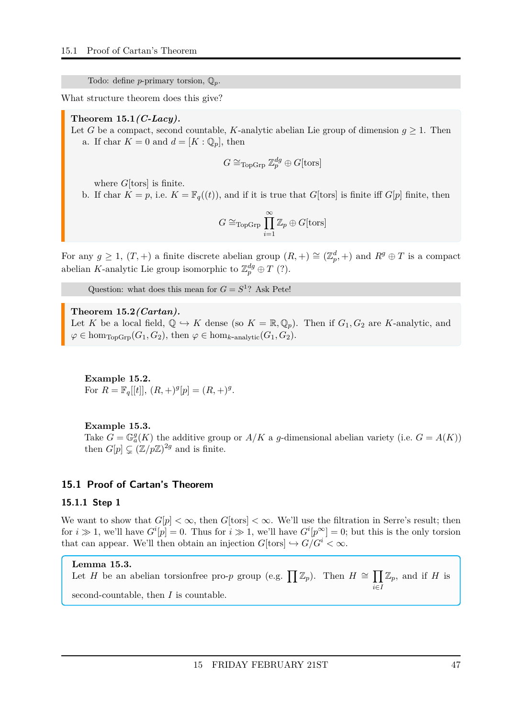Todo: define *p*-primary torsion, Q*p*.

What structure theorem does this give?

#### <span id="page-46-2"></span>**Theorem 15.1***(C-Lacy).*

Let *G* be a compact, second countable, *K*-analytic abelian Lie group of dimension  $g \geq 1$ . Then a. If char  $K = 0$  and  $d = [K : \mathbb{Q}_p]$ , then

$$
G \cong_{\text{TopGrp}} \mathbb{Z}_p^{dg} \oplus G[\text{tors}]
$$

where *G*[tors] is finite.

b. If char  $K = p$ , i.e.  $K = \mathbb{F}_q((t))$ , and if it is true that *G*[tors] is finite iff *G*[*p*] finite, then

$$
G \cong_{\mathrm{TopGrp}} \prod_{i=1}^{\infty} \mathbb{Z}_p \oplus G[\mathrm{tors}]
$$

For any  $g \ge 1$ ,  $(T, +)$  a finite discrete abelian group  $(R, +) \cong (\mathbb{Z}_p^d, +)$  and  $R^g \oplus T$  is a compact abelian *K*-analytic Lie group isomorphic to  $\mathbb{Z}_p^{dg} \oplus T$  (?).

Question: what does this mean for  $G = S^1$ ? Ask Pete!

#### <span id="page-46-3"></span>**Theorem 15.2***(Cartan).*

Let *K* be a local field,  $\mathbb{Q} \hookrightarrow K$  dense (so  $K = \mathbb{R}, \mathbb{Q}_p$ ). Then if  $G_1, G_2$  are *K*-analytic, and  $\varphi \in \text{hom}_{\text{TopGrp}}(G_1, G_2)$ , then  $\varphi \in \text{hom}_{k\text{-analytic}}(G_1, G_2)$ .

**Example 15.2.** For  $R = \mathbb{F}_q[[t]], (R, +)^g[p] = (R, +)^g$ .

#### **Example 15.3.**

Take  $G = \mathbb{G}_a^g(K)$  the additive group or  $A/K$  a *g*-dimensional abelian variety (i.e.  $G = A(K)$ ) then  $G[p] \subsetneq (\mathbb{Z}/p\mathbb{Z})^{2g}$  and is finite.

#### <span id="page-46-1"></span><span id="page-46-0"></span>**15.1 Proof of Cartan's Theorem**

#### **15.1.1 Step 1**

We want to show that  $G[p] < \infty$ , then  $G[\text{tors}] < \infty$ . We'll use the filtration in Serre's result; then for  $i \gg 1$ , we'll have  $G^{i}[p] = 0$ . Thus for  $i \gg 1$ , we'll have  $G^{i}[p^{\infty}] = 0$ ; but this is the only torsion that can appear. We'll then obtain an injection  $G[\text{tors}] \hookrightarrow G/G^i < \infty$ .

#### **Lemma 15.3.**

Let *H* be an abelian torsionfree pro-*p* group (e.g. 
$$
\prod \mathbb{Z}_p
$$
). Then  $H \cong \prod_{i \in I} \mathbb{Z}_p$ , and if *H* is second-countable, then *I* is countable.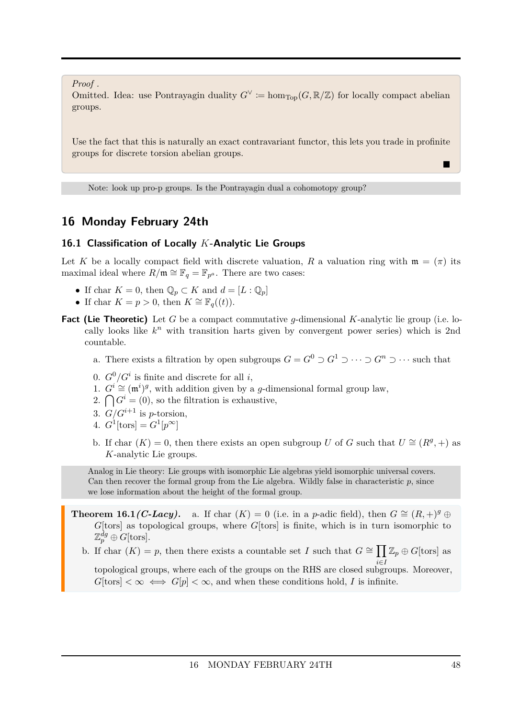*Proof .*

Omitted. Idea: use Pontrayagin duality  $G^{\vee} \coloneqq \hom_{\text{Top}}(G, \mathbb{R}/\mathbb{Z})$  for locally compact abelian groups.

Use the fact that this is naturally an exact contravariant functor, this lets you trade in profinite groups for discrete torsion abelian groups.

Note: look up pro-p groups. Is the Pontrayagin dual a cohomotopy group?

### <span id="page-47-0"></span>**16 Monday February 24th**

#### <span id="page-47-1"></span>**16.1 Classification of Locally** *K***-Analytic Lie Groups**

Let K be a locally compact field with discrete valuation, R a valuation ring with  $\mathfrak{m} = (\pi)$  its maximal ideal where  $R/\mathfrak{m} \cong \mathbb{F}_q = \mathbb{F}_{p^a}$ . There are two cases:

- If char  $K = 0$ , then  $\mathbb{Q}_p \subset K$  and  $d = [L : \mathbb{Q}_p]$
- If char  $K = p > 0$ , then  $K \cong \mathbb{F}_q((t))$ .
- **Fact (Lie Theoretic)** Let *G* be a compact commutative *g*-dimensional *K*-analytic lie group (i.e. locally looks like  $k^n$  with transition harts given by convergent power series) which is 2nd countable.
	- a. There exists a filtration by open subgroups  $G = G^0 \supset G^1 \supset \cdots \supset G^n \supset \cdots$  such that
	- 0.  $G^0/G^i$  is finite and discrete for all *i*,
	- 1.  $G^i$  ≃ (m<sup>*i*</sup>)<sup>*g*</sup>, with addition given by a *g*-dimensional formal group law,
	- 2.  $\bigcap G^i = (0)$ , so the filtration is exhaustive,
	- 3.  $G/G^{i+1}$  is *p*-torsion,
	- 4.  $G^1[\text{tors}] = G^1[p^{\infty}]$
	- b. If char  $(K) = 0$ , then there exists an open subgroup *U* of *G* such that  $U \cong (R^g, +)$  as *K*-analytic Lie groups.

Analog in Lie theory: Lie groups with isomorphic Lie algebras yield isomorphic universal covers. Can then recover the formal group from the Lie algebra. Wildly false in characteristic *p*, since we lose information about the height of the formal group.

<span id="page-47-2"></span>**Theorem 16.1***(C-Lacy).* a. If char  $(K) = 0$  (i.e. in a *p*-adic field), then  $G \cong (R, +)^{g} \oplus$ *G*[tors] as topological groups, where *G*[tors] is finite, which is in turn isomorphic to  $\mathbb{Z}_p^{dg} \oplus G[\operatorname{tors}].$ 

b. If char  $(K) = p$ , then there exists a countable set *I* such that  $G \cong \prod \mathbb{Z}_p \oplus G[\text{tors}]$  as

topological groups, where each of the groups on the RHS are closed subgroups. Moreover,  $G[\text{tors}] < \infty \iff G[p] < \infty$ , and when these conditions hold, *I* is infinite.

П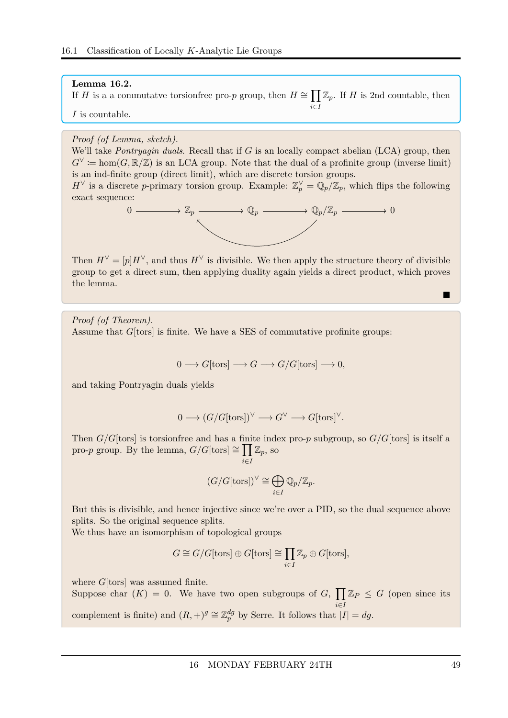#### **Lemma 16.2.**

If *H* is a a commutatve torsionfree pro-*p* group, then  $H \cong \prod \mathbb{Z}_p$ . If *H* is 2nd countable, then *i*∈*I*

*I* is countable.

#### *Proof (of Lemma, sketch).*

We'll take *Pontryagin duals*. Recall that if *G* is an locally compact abelian (LCA) group, then  $G^{\vee} := \hom(G, \mathbb{R}/\mathbb{Z})$  is an LCA group. Note that the dual of a profinite group (inverse limit) is an ind-finite group (direct limit), which are discrete torsion groups.

*H*<sup> $\vee$ </sup> is a discrete *p*-primary torsion group. Example:  $\mathbb{Z}_p^{\vee} = \mathbb{Q}_p/\mathbb{Z}_p$ , which flips the following exact sequence:



Then  $H^{\vee} = [p]H^{\vee}$ , and thus  $H^{\vee}$  is divisible. We then apply the structure theory of divisible group to get a direct sum, then applying duality again yields a direct product, which proves the lemma.

*Proof (of Theorem).* Assume that *G*[tors] is finite. We have a SES of commutative profinite groups:

$$
0 \longrightarrow G[\text{tors}] \longrightarrow G \longrightarrow G/G[\text{tors}] \longrightarrow 0,
$$

and taking Pontryagin duals yields

$$
0 \longrightarrow (G/G[{\operatorname{tors}}])^\vee \longrightarrow G^\vee \longrightarrow G[{\operatorname{tors}}]^\vee.
$$

Then *G/G*[tors] is torsionfree and has a finite index pro-*p* subgroup, so *G/G*[tors] is itself a pro-*p* group. By the lemma,  $G/G[\text{tors}] \cong \prod \mathbb{Z}_p$ , so *i*∈*I*

$$
(G/G[{\rm tors}])^{\vee} \cong \bigoplus_{i\in I} \mathbb{Q}_p/\mathbb{Z}_p.
$$

But this is divisible, and hence injective since we're over a PID, so the dual sequence above splits. So the original sequence splits.

We thus have an isomorphism of topological groups

$$
G \cong G/G[\text{tors}] \oplus G[\text{tors}] \cong \prod_{i \in I} \mathbb{Z}_p \oplus G[\text{tors}],
$$

where *G*[tors] was assumed finite.

Suppose char  $(K) = 0$ . We have two open subgroups of G,  $\prod \mathbb{Z}_P \leq G$  (open since its *i*∈*I*complement is finite) and  $(R, +)^g \cong \mathbb{Z}_p^{dg}$  by Serre. It follows that  $|I| = dg$ .

 $\blacksquare$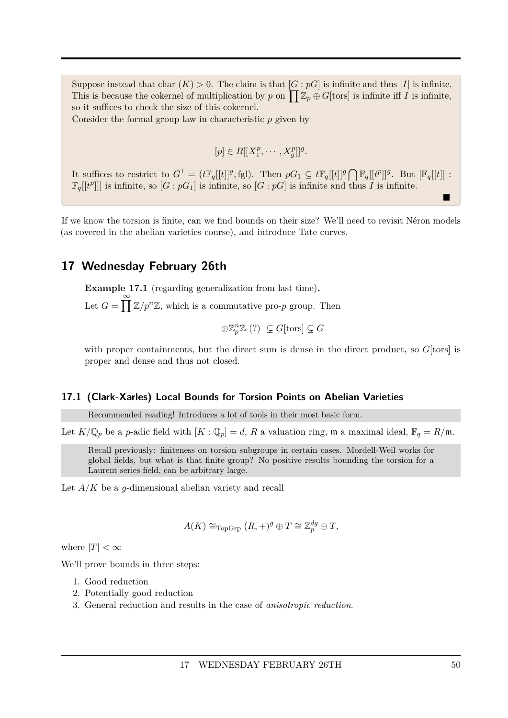Suppose instead that char  $(K) > 0$ . The claim is that  $[G : pG]$  is infinite and thus  $|I|$  is infinite. This is because the cokernel of multiplication by *p* on  $\prod \mathbb{Z}_p \oplus G[\text{tors}]$  is infinite iff *I* is infinite, so it suffices to check the size of this cokernel.

Consider the formal group law in characteristic *p* given by

$$
[p] \in R[[X_1^p, \cdots, X_g^p]]^g.
$$

It suffices to restrict to  $G^1 = (t\mathbb{F}_q[[t]]^g, \text{fgl})$ . Then  $pG_1 \subseteq t\mathbb{F}_q[[t]]^g \bigcap \mathbb{F}_q[[t^p]]^g$ . But  $[\mathbb{F}_q[[t]]$ :  $\mathbb{F}_q[[t^p]]$  is infinite, so  $[G:pG_1]$  is infinite, so  $[G:pG]$  is infinite and thus *I* is infinite.

If we know the torsion is finite, can we find bounds on their size? We'll need to revisit Néron models (as covered in the abelian varieties course), and introduce Tate curves.

### <span id="page-49-0"></span>**17 Wednesday February 26th**

**Example 17.1** (regarding generalization from last time)**.** Let  $G = \prod_{k=1}^{\infty} \mathbb{Z}/p^{n}\mathbb{Z}$ , which is a commutative pro-*p* group. Then

$$
\oplus \mathbb{Z}_p^n \mathbb{Z} \ (?) \ \subsetneq G[\text{tors}] \subsetneq G
$$

with proper containments, but the direct sum is dense in the direct product, so  $G$ [tors] is proper and dense and thus not closed.

#### <span id="page-49-1"></span>**17.1 (Clark-Xarles) Local Bounds for Torsion Points on Abelian Varieties**

Recommended reading! Introduces a lot of tools in their most basic form.

Let  $K/\mathbb{Q}_p$  be a *p*-adic field with  $[K:\mathbb{Q}_p]=d$ , *R* a valuation ring, **m** a maximal ideal,  $\mathbb{F}_q=R/\mathfrak{m}$ .

Recall previously: finiteness on torsion subgroups in certain cases. Mordell-Weil works for global fields, but what is that finite group? No positive results bounding the torsion for a Laurent series field, can be arbitrary large.

Let *A/K* be a *g*-dimensional abelian variety and recall

$$
A(K) \cong_{\text{TopGrp}} (R,+)^g \oplus T \cong \mathbb{Z}_p^{dg} \oplus T,
$$

where  $|T| < \infty$ 

We'll prove bounds in three steps:

- 1. Good reduction
- 2. Potentially good reduction
- 3. General reduction and results in the case of *anisotropic reduction*.

n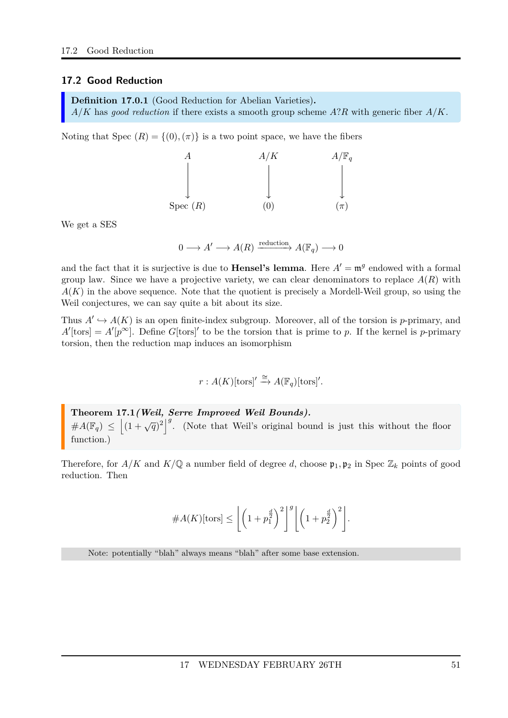#### <span id="page-50-0"></span>**17.2 Good Reduction**

<span id="page-50-1"></span>**Definition 17.0.1** (Good Reduction for Abelian Varieties)**.** *A/K* has *good reduction* if there exists a smooth group scheme *A*?*R* with generic fiber *A/K*.

Noting that Spec  $(R) = \{(0), (\pi)\}\$ is a two point space, we have the fibers

|            | A/K | $A/\mathbb{F}_q$ |
|------------|-----|------------------|
|            |     |                  |
|            |     |                  |
|            |     |                  |
| Spec $(R)$ | U   | $(\pi)$          |

We get a SES

$$
0 \longrightarrow A' \longrightarrow A(R) \xrightarrow{\text{reduction}} A(\mathbb{F}_q) \longrightarrow 0
$$

and the fact that it is surjective is due to **Hensel's lemma**. Here  $A' = \mathfrak{m}^g$  endowed with a formal group law. Since we have a projective variety, we can clear denominators to replace  $A(R)$  with  $A(K)$  in the above sequence. Note that the quotient is precisely a Mordell-Weil group, so using the Weil conjectures, we can say quite a bit about its size.

Thus  $A' \hookrightarrow A(K)$  is an open finite-index subgroup. Moreover, all of the torsion is *p*-primary, and  $A'$ [tors] =  $A'[p^{\infty}]$ . Define *G*[tors]' to be the torsion that is prime to *p*. If the kernel is *p*-primary torsion, then the reduction map induces an isomorphism

$$
r: A(K)[\text{tors}] \stackrel{\cong}{\rightarrow} A(\mathbb{F}_q)[\text{tors}]'
$$
.

<span id="page-50-2"></span>**Theorem 17.1***(Weil, Serre Improved Weil Bounds).*  $#A(\mathbb{F}_q) \leq \left| (1 + \sqrt{q})^2 \right|^g$ . (Note that Weil's original bound is just this without the floor function.)

Therefore, for  $A/K$  and  $K/\mathbb{Q}$  a number field of degree *d*, choose  $\mathfrak{p}_1, \mathfrak{p}_2$  in Spec  $\mathbb{Z}_k$  points of good reduction. Then

#*A*(*K*)[tors] ≤ \$ 1 + *p d* 2 1 2 %*<sup>g</sup>*\$ 1 + *p d* 2 2 2 % *.*

Note: potentially "blah" always means "blah" after some base extension.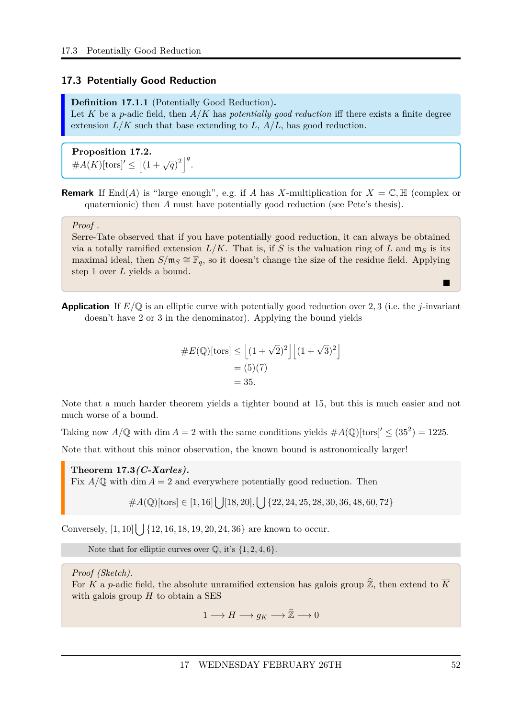#### <span id="page-51-0"></span>**17.3 Potentially Good Reduction**

<span id="page-51-1"></span>**Definition 17.1.1** (Potentially Good Reduction)**.** Let K be a *p*-adic field, then  $A/K$  has *potentially good reduction* iff there exists a finite degree extension *L/K* such that base extending to *L*, *A/L*, has good reduction.

<span id="page-51-2"></span>**Proposition 17.2.**  $#A(K)[\text{tors}]' \leq |(1+\sqrt{q})^2|^g.$ 

**Remark** If End(*A*) is "large enough", e.g. if *A* has *X*-multiplication for  $X = \mathbb{C}, \mathbb{H}$  (complex or quaternionic) then *A* must have potentially good reduction (see Pete's thesis).

#### *Proof .*

Serre-Tate observed that if you have potentially good reduction, it can always be obtained via a totally ramified extension  $L/K$ . That is, if *S* is the valuation ring of *L* and  $m<sub>S</sub>$  is its maximal ideal, then  $S/\mathfrak{m}_S \cong \mathbb{F}_q$ , so it doesn't change the size of the residue field. Applying step 1 over *L* yields a bound.

**Application** If *E/*Q is an elliptic curve with potentially good reduction over 2*,* 3 (i.e. the *j*-invariant doesn't have 2 or 3 in the denominator). Applying the bound yields

$$
#E(\mathbb{Q})[\text{tors}] \le \left[ (1 + \sqrt{2})^2 \right] \left[ (1 + \sqrt{3})^2 \right]
$$

$$
= (5)(7)
$$

$$
= 35.
$$

Note that a much harder theorem yields a tighter bound at 15, but this is much easier and not much worse of a bound.

Taking now  $A/\mathbb{Q}$  with dim  $A = 2$  with the same conditions yields  $\#A(\mathbb{Q})$ [tors]'  $\leq (35^2) = 1225$ .

Note that without this minor observation, the known bound is astronomically larger!

<span id="page-51-3"></span>**Theorem 17.3***(C-Xarles).* Fix  $A/\mathbb{Q}$  with dim  $A=2$  and everywhere potentially good reduction. Then

#*A*(Q)[tors] ∈ [1*,* 16][ [18*,* 20]*,* [ {22*,* 24*,* 25*,* 28*,* 30*,* 36*,* 48*,* 60*,* 72}

Conversely,  $[1, 10]$   $\left[ \right]$  {12*,* 16*,* 18*,* 19*,* 20*,* 24*,* 36} are known to occur.

Note that for elliptic curves over  $\mathbb{Q}$ , it's  $\{1, 2, 4, 6\}$ .

*Proof (Sketch).*

For *K* a *p*-adic field, the absolute unramified extension has galois group  $\hat{\mathbb{Z}}$ , then extend to  $\overline{K}$ with galois group *H* to obtain a SES

 $1 \longrightarrow H \longrightarrow q_K \longrightarrow \hat{\mathbb{Z}} \longrightarrow 0$ 

 $\blacksquare$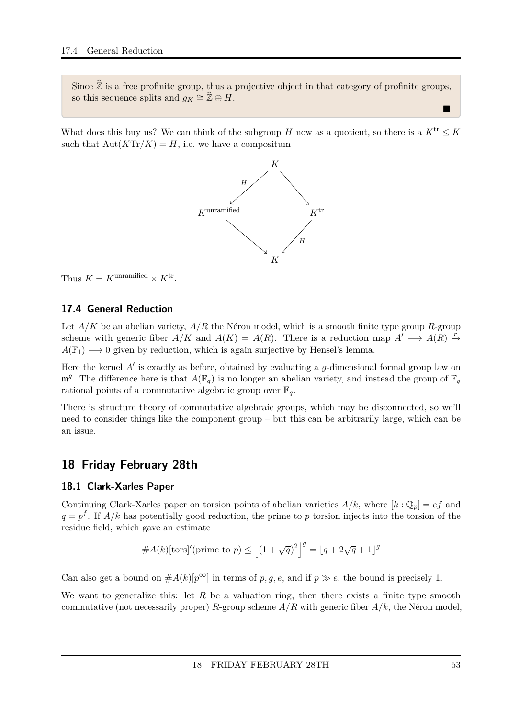Since  $\hat{\mathbb{Z}}$  is a free profinite group, thus a projective object in that category of profinite groups, so this sequence splits and  $g_K \cong \widehat{\mathbb{Z}} \oplus H$ .

What does this buy us? We can think of the subgroup *H* now as a quotient, so there is a  $K^{\text{tr}} \leq \overline{K}$ such that  $Aut(KTr/K) = H$ , i.e. we have a compositum



Thus  $\overline{K} = K^{\text{unramified}} \times K^{\text{tr}}$ .

### <span id="page-52-0"></span>**17.4 General Reduction**

Let *A/K* be an abelian variety, *A/R* the Néron model, which is a smooth finite type group *R*-group scheme with generic fiber  $A/K$  and  $A(K) = A(R)$ . There is a reduction map  $A' \longrightarrow A(R) \stackrel{\tilde{r}}{\rightarrow}$  $A(\mathbb{F}_1) \longrightarrow 0$  given by reduction, which is again surjective by Hensel's lemma.

Here the kernel  $A'$  is exactly as before, obtained by evaluating a  $g$ -dimensional formal group law on  $\mathfrak{m}^g$ . The difference here is that  $A(\mathbb{F}_q)$  is no longer an abelian variety, and instead the group of  $\mathbb{F}_q$ rational points of a commutative algebraic group over  $\mathbb{F}_q$ .

There is structure theory of commutative algebraic groups, which may be disconnected, so we'll need to consider things like the component group – but this can be arbitrarily large, which can be an issue.

### <span id="page-52-1"></span>**18 Friday February 28th**

#### <span id="page-52-2"></span>**18.1 Clark-Xarles Paper**

Continuing Clark-Xarles paper on torsion points of abelian varieties  $A/k$ , where  $[k:\mathbb{Q}_p] = ef$  and  $q = p<sup>f</sup>$ . If *A/k* has potentially good reduction, the prime to *p* torsion injects into the torsion of the residue field, which gave an estimate

$$
#A(k)[\text{tors]'(\text{prime to } p)} \le \left[ (1 + \sqrt{q})^2 \right]^g = \left[ q + 2\sqrt{q} + 1 \right]^g
$$

Can also get a bound on  $#A(k)[p^{\infty}]$  in terms of p, g, e, and if  $p \gg e$ , the bound is precisely 1.

We want to generalize this: let R be a valuation ring, then there exists a finite type smooth commutative (not necessarily proper) *R*-group scheme  $A/R$  with generic fiber  $A/k$ , the Néron model,

Е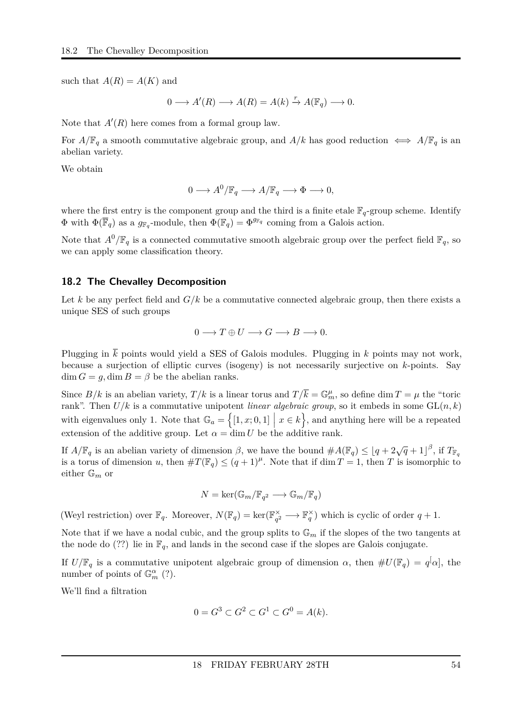such that  $A(R) = A(K)$  and

$$
0 \longrightarrow A'(R) \longrightarrow A(R) = A(k) \xrightarrow{r} A(\mathbb{F}_q) \longrightarrow 0.
$$

Note that  $A'(R)$  here comes from a formal group law.

For  $A/\mathbb{F}_q$  a smooth commutative algebraic group, and  $A/k$  has good reduction  $\iff A/\mathbb{F}_q$  is an abelian variety.

We obtain

$$
0 \longrightarrow A^0/\mathbb{F}_q \longrightarrow A/\mathbb{F}_q \longrightarrow \Phi \longrightarrow 0,
$$

where the first entry is the component group and the third is a finite etale  $\mathbb{F}_q$ -group scheme. Identify  $\Phi$  with  $\Phi(\overline{\mathbb{F}}_q)$  as a  $g_{\mathbb{F}_q}$ -module, then  $\Phi(\mathbb{F}_q) = \Phi^{g_{\mathbb{F}_q}}$  coming from a Galois action.

Note that  $A^0/\mathbb{F}_q$  is a connected commutative smooth algebraic group over the perfect field  $\mathbb{F}_q$ , so we can apply some classification theory.

#### <span id="page-53-0"></span>**18.2 The Chevalley Decomposition**

Let k be any perfect field and  $G/k$  be a commutative connected algebraic group, then there exists a unique SES of such groups

$$
0 \longrightarrow T \oplus U \longrightarrow G \longrightarrow B \longrightarrow 0.
$$

Plugging in  $\overline{k}$  points would yield a SES of Galois modules. Plugging in  $k$  points may not work, because a surjection of elliptic curves (isogeny) is not necessarily surjective on *k*-points. Say dim  $G = g$ , dim  $B = \beta$  be the abelian ranks.

Since  $B/k$  is an abelian variety,  $T/k$  is a linear torus and  $T/\overline{k} = \mathbb{G}_m^{\mu}$ , so define dim  $T = \mu$  the "toric rank". Then  $U/k$  is a commutative unipotent *linear algebraic group*, so it embeds in some  $GL(n, k)$ with eigenvalues only 1. Note that  $\mathbb{G}_a = \{ [1, x; 0, 1] \mid x \in k \}$ , and anything here will be a repeated extension of the additive group. Let  $\alpha = \dim U$  be the additive rank.

If  $A/\mathbb{F}_q$  is an abelian variety of dimension  $\beta$ , we have the bound  $\#A(\mathbb{F}_q) \leq \lfloor q + 2\sqrt{q} + 1 \rfloor^{\beta}$ , if  $T_{\mathbb{F}_q}$ is a torus of dimension *u*, then  $\#T(\mathbb{F}_q) \leq (q+1)^{\mu}$ . Note that if dim  $T = 1$ , then *T* is isomorphic to either G*<sup>m</sup>* or

$$
N=\ker(\mathbb{G}_m/\mathbb{F}_{q^2}\longrightarrow\mathbb{G}_m/\mathbb{F}_q)
$$

(Weyl restriction) over  $\mathbb{F}_q$ . Moreover,  $N(\mathbb{F}_q) = \ker(\mathbb{F}_{q^2}^{\times})$  $\mathbb{F}_q^{\times} \longrightarrow \mathbb{F}_q^{\times}$  which is cyclic of order  $q + 1$ .

Note that if we have a nodal cubic, and the group splits to  $\mathbb{G}_m$  if the slopes of the two tangents at the node do (??) lie in  $\mathbb{F}_q$ , and lands in the second case if the slopes are Galois conjugate.

If  $U/\mathbb{F}_q$  is a commutative unipotent algebraic group of dimension  $\alpha$ , then  $\#U(\mathbb{F}_q) = q^{\lceil} \alpha \rceil$ , the number of points of  $\mathbb{G}_m^{\alpha}$  (?).

We'll find a filtration

$$
0 = G^3 \subset G^2 \subset G^1 \subset G^0 = A(k).
$$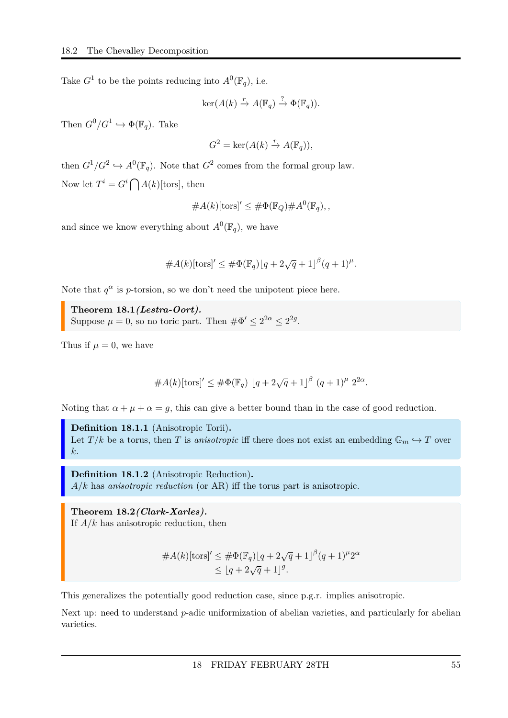Take  $G^1$  to be the points reducing into  $A^0(\mathbb{F}_q)$ , i.e.

$$
\ker(A(k) \xrightarrow{r} A(\mathbb{F}_q) \xrightarrow{?} \Phi(\mathbb{F}_q)).
$$

Then  $G^0/G^1 \hookrightarrow \Phi(\mathbb{F}_q)$ . Take

$$
G^{2} = \ker(A(k) \xrightarrow{r} A(\mathbb{F}_{q})),
$$

then  $G^1/G^2 \hookrightarrow A^0(\mathbb{F}_q)$ . Note that  $G^2$  comes from the formal group law. Now let  $T^i = G^i \bigcap A(k)$ [tors], then

#*A*(*k*)[tors] <sup>0</sup> ≤ #Φ(F*Q*)#*A* 0 (F*q*)*, ,*

and since we know everything about  $A^0(\mathbb{F}_q)$ , we have

 $#A(k)[\text{tors}]' \leq #\Phi(\mathbb{F}_q)[q + 2\sqrt{q} + 1]^{\beta}(q + 1)^{\mu}.$ 

Note that  $q^{\alpha}$  is *p*-torsion, so we don't need the unipotent piece here.

<span id="page-54-2"></span>**Theorem 18.1***(Lestra-Oort).* Suppose  $\mu = 0$ , so no toric part. Then  $\#\Phi' \leq 2^{2\alpha} \leq 2^{2g}$ .

Thus if  $\mu = 0$ , we have

#*A*(*k*)[tors] <sup>0</sup> <sup>≤</sup> #Φ(F*q*) <sup>b</sup>*<sup>q</sup>* + 2<sup>√</sup> *q* + 1c *β* (*q* + 1)*<sup>µ</sup>* 2 2*α .*

Noting that  $\alpha + \mu + \alpha = g$ , this can give a better bound than in the case of good reduction.

<span id="page-54-0"></span>**Definition 18.1.1** (Anisotropic Torii)**.** Let  $T/k$  be a torus, then *T* is *anisotropic* iff there does not exist an embedding  $\mathbb{G}_m \hookrightarrow T$  over *k*.

<span id="page-54-1"></span>**Definition 18.1.2** (Anisotropic Reduction)**.** *A/k* has *anisotropic reduction* (or AR) iff the torus part is anisotropic.

<span id="page-54-3"></span>**Theorem 18.2***(Clark-Xarles).* If *A/k* has anisotropic reduction, then

$$
#A(k)[\text{tors}]' \leq #\Phi(\mathbb{F}_q)[q+2\sqrt{q}+1]^{\beta}(q+1)^{\mu}2^{\alpha} \leq |q+2\sqrt{q}+1|^g.
$$

This generalizes the potentially good reduction case, since p.g.r. implies anisotropic.

Next up: need to understand *p*-adic uniformization of abelian varieties, and particularly for abelian varieties.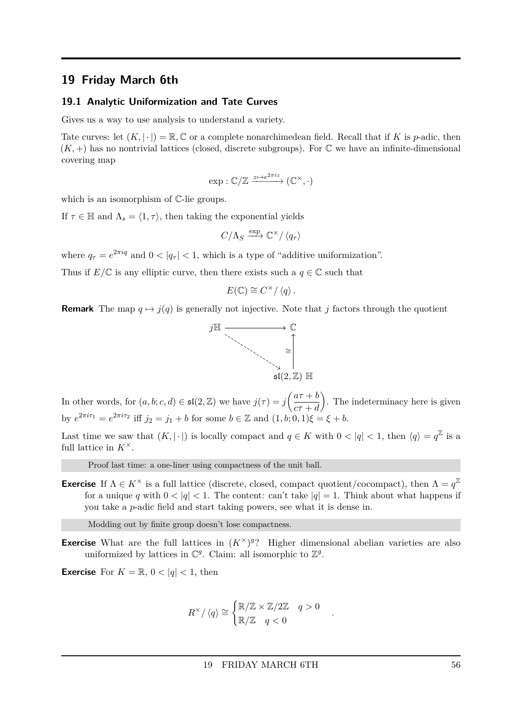### <span id="page-55-0"></span>**19 Friday March 6th**

#### <span id="page-55-1"></span>**19.1 Analytic Uniformization and Tate Curves**

Gives us a way to use analysis to understand a variety.

Tate curves: let  $(K, |\cdot|) = \mathbb{R}, \mathbb{C}$  or a complete nonarchimedean field. Recall that if K is *p*-adic, then  $(K, +)$  has no nontrivial lattices (closed, discrete subgroups). For  $\mathbb C$  we have an infinite-dimensional covering map

$$
\exp : \mathbb{C}/\mathbb{Z} \xrightarrow{z \mapsto e^{2\pi i z}} (\mathbb{C}^{\times}, \cdot)
$$

which is an isomorphism of  $\mathbb{C}$ -lie groups.

If  $\tau \in \mathbb{H}$  and  $\Lambda_s = \langle 1, \tau \rangle$ , then taking the exponential yields

$$
C/\Lambda_S \xrightarrow{\exp} \mathbb{C}^\times / \langle q_\tau \rangle
$$

where  $q_{\tau} = e^{2\pi i q}$  and  $0 < |q_{\tau}| < 1$ , which is a type of "additive uniformization".

Thus if  $E/\mathbb{C}$  is any elliptic curve, then there exists such a  $q \in \mathbb{C}$  such that

$$
E(\mathbb{C}) \cong C^{\times}/\langle q \rangle.
$$

**Remark** The map  $q \mapsto j(q)$  is generally not injective. Note that *j* factors through the quotient



In other words, for  $(a, b; c, d) \in \mathfrak{sl}(2, \mathbb{Z})$  we have  $j(\tau) = j\left(\frac{a\tau + b}{a\tau}\right)$ *cτ* + *d* . The indeterminacy here is given by  $e^{2\pi i \tau_1} = e^{2\pi i \tau_2}$  iff  $j_2 = j_1 + b$  for some  $b \in \mathbb{Z}$  and  $(1, b; 0, 1)\xi = \xi + b$ .

Last time we saw that  $(K, |\cdot|)$  is locally compact and  $q \in K$  with  $0 < |q| < 1$ , then  $\langle q \rangle = q^{\mathbb{Z}}$  is a full lattice in  $K^{\times}$ .

Proof last time: a one-liner using compactness of the unit ball.

**Exercise** If  $\Lambda \in K^{\times}$  is a full lattice (discrete, closed, compact quotient/cocompact), then  $\Lambda = q^{\mathbb{Z}}$ for a unique *q* with  $0 < |q| < 1$ . The content: can't take  $|q| = 1$ . Think about what happens if you take a *p*-adic field and start taking powers, see what it is dense in.

Modding out by finite group doesn't lose compactness.

**Exercise** What are the full lattices in  $(K^{\times})^{g}$ ? Higher dimensional abelian varieties are also uniformized by lattices in  $\mathbb{C}^g$ . Claim: all isomorphic to  $\mathbb{Z}^g$ .

**Exercise** For  $K = \mathbb{R}$ ,  $0 < |q| < 1$ , then

$$
R^{\times}/\langle q \rangle \cong \begin{cases} \mathbb{R}/\mathbb{Z} \times \mathbb{Z}/2\mathbb{Z} & q > 0 \\ \mathbb{R}/\mathbb{Z} & q < 0 \end{cases}
$$

*.*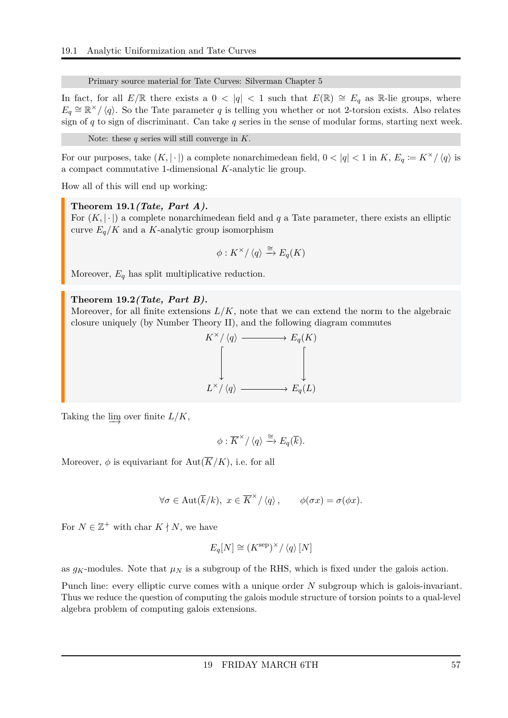Primary source material for Tate Curves: Silverman Chapter 5

In fact, for all  $E/\mathbb{R}$  there exists a  $0 < |q| < 1$  such that  $E(\mathbb{R}) \cong E_q$  as R-lie groups, where  $E_q \cong \mathbb{R}^{\times}/\langle q \rangle$ . So the Tate parameter *q* is telling you whether or not 2-torsion exists. Also relates sign of *q* to sign of discriminant. Can take *q* series in the sense of modular forms, starting next week.

```
Note: these q series will still converge in K.
```
For our purposes, take  $(K, |\cdot|)$  a complete nonarchimedean field,  $0 < |q| < 1$  in  $K$ ,  $E_q := K^{\times}/\langle q \rangle$  is a compact commutative 1-dimensional *K*-analytic lie group.

How all of this will end up working:

<span id="page-56-0"></span>**Theorem 19.1***(Tate, Part A).*

For  $(K, |\cdot|)$  a complete nonarchimedean field and q a Tate parameter, there exists an elliptic curve  $E_q/K$  and a K-analytic group isomorphism

$$
\phi: K^{\times}/\langle q \rangle \xrightarrow{\cong} E_q(K)
$$

Moreover, *E<sup>q</sup>* has split multiplicative reduction.

#### <span id="page-56-1"></span>**Theorem 19.2***(Tate, Part B).*

Moreover, for all finite extensions  $L/K$ , note that we can extend the norm to the algebraic closure uniquely (by Number Theory II), and the following diagram commutes



Taking the  $\varinjlim$  over finite  $L/K$ ,

$$
\phi: \overline{K}^{\times}/\left\langle q\right\rangle \xrightarrow{\cong} E_q(\overline{k}).
$$

Moreover,  $\phi$  is equivariant for Aut $(\overline{K}/K)$ , i.e. for all

$$
\forall \sigma \in \text{Aut}(\overline{k}/k), \ x \in \overline{K}^{\times}/\langle q \rangle, \qquad \phi(\sigma x) = \sigma(\phi x).
$$

For  $N \in \mathbb{Z}^+$  with char  $K \nmid N$ , we have

$$
E_q[N] \cong (K^{\text{sep}})^\times / \langle q \rangle [N]
$$

as  $g_K$ -modules. Note that  $\mu_N$  is a subgroup of the RHS, which is fixed under the galois action.

Punch line: every elliptic curve comes with a unique order *N* subgroup which is galois-invariant. Thus we reduce the question of computing the galois module structure of torsion points to a qual-level algebra problem of computing galois extensions.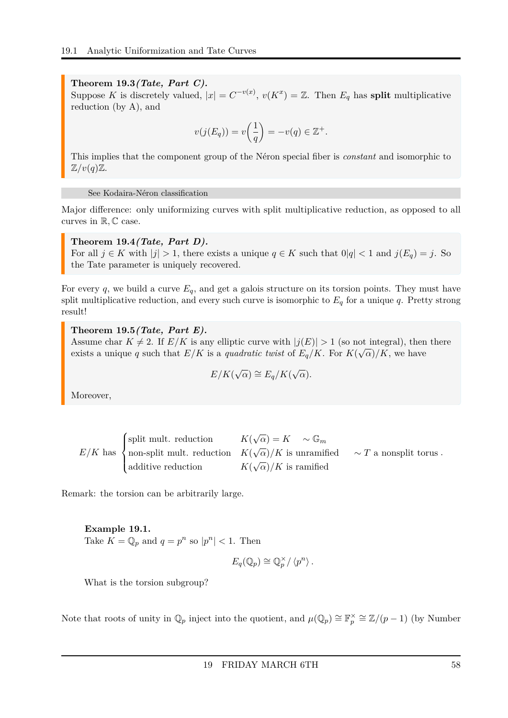#### <span id="page-57-0"></span>**Theorem 19.3***(Tate, Part C).*

Suppose *K* is discretely valued,  $|x| = C^{-v(x)}$ ,  $v(K^x) = \mathbb{Z}$ . Then  $E_q$  has **split** multiplicative reduction (by A), and

$$
v(j(E_q)) = v\left(\frac{1}{q}\right) = -v(q) \in \mathbb{Z}^+.
$$

This implies that the component group of the Néron special fiber is *constant* and isomorphic to  $\mathbb{Z}/v(q)\mathbb{Z}$ .

See Kodaira-Néron classification

Major difference: only uniformizing curves with split multiplicative reduction, as opposed to all curves in R*,* C case.

<span id="page-57-1"></span>**Theorem 19.4***(Tate, Part D).* For all  $j \in K$  with  $|j| > 1$ , there exists a unique  $q \in K$  such that  $0|q| < 1$  and  $j(E_q) = j$ . So the Tate parameter is uniquely recovered.

For every  $q$ , we build a curve  $E_q$ , and get a galois structure on its torsion points. They must have split multiplicative reduction, and every such curve is isomorphic to  $E_q$  for a unique  $q$ . Pretty strong result!

<span id="page-57-2"></span>**Theorem 19.5***(Tate, Part E).*

Assume char  $K \neq 2$ . If  $E/K$  is any elliptic curve with  $|j(E)| > 1$  (so not integral), then there exists a unique *q* such that  $E/K$  is a *quadratic twist* of  $E_q/K$ . For  $K(\sqrt{\alpha})/K$ , we have

$$
E/K(\sqrt{\alpha}) \cong E_q/K(\sqrt{\alpha}).
$$

Moreover,

| (split mult. reduction $K(\sqrt{\alpha}) = K \sim \mathbb{G}_m$                                                                      |                                  |  |
|--------------------------------------------------------------------------------------------------------------------------------------|----------------------------------|--|
| $E/K$ has $\big\{\text{non-split mult. reduction } K(\sqrt{\alpha})/K \text{ is unramified } \sim T \text{ a nonsplit torus.}\big\}$ |                                  |  |
| additive reduction                                                                                                                   | $K(\sqrt{\alpha})/K$ is ramified |  |

Remark: the torsion can be arbitrarily large.

#### **Example 19.1.**

Take  $K = \mathbb{Q}_p$  and  $q = p^n$  so  $|p^n| < 1$ . Then

$$
E_q(\mathbb{Q}_p) \cong \mathbb{Q}_p^{\times}/\langle p^n \rangle.
$$

What is the torsion subgroup?

Note that roots of unity in  $\mathbb{Q}_p$  inject into the quotient, and  $\mu(\mathbb{Q}_p) \cong \mathbb{F}_p^{\times} \cong \mathbb{Z}/(p-1)$  (by Number